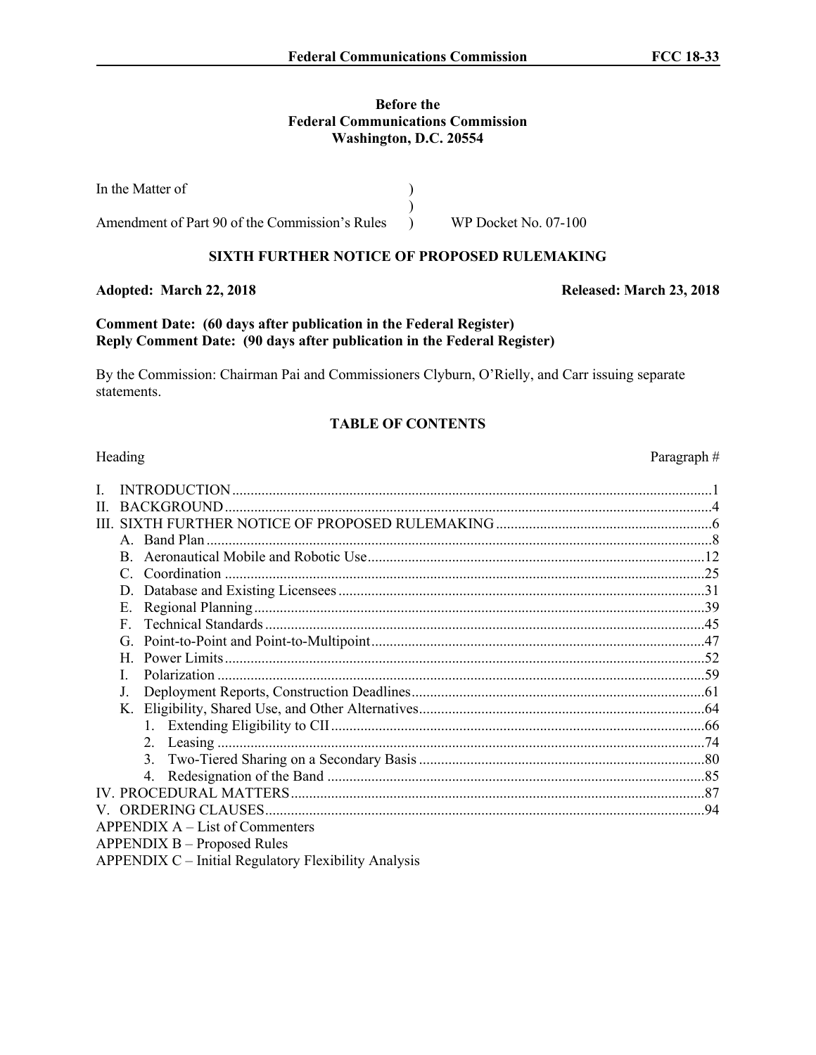## **Before the Federal Communications Commission Washington, D.C. 20554**

In the Matter of Amendment of Part 90 of the Commission's Rules ) ) ) WP Docket No. 07-100

# **SIXTH FURTHER NOTICE OF PROPOSED RULEMAKING**

# **Adopted: March 22, 2018 Released: March 23, 2018**

# **Comment Date: (60 days after publication in the Federal Register) Reply Comment Date: (90 days after publication in the Federal Register)**

By the Commission: Chairman Pai and Commissioners Clyburn, O'Rielly, and Carr issuing separate statements.

## **TABLE OF CONTENTS**

| H. |                                                             |  |
|----|-------------------------------------------------------------|--|
| Ш  |                                                             |  |
|    | A. Band Plan                                                |  |
|    |                                                             |  |
|    | Coordination<br>$\mathcal{C}$                               |  |
|    | D.                                                          |  |
|    | Е.                                                          |  |
|    | F                                                           |  |
|    |                                                             |  |
|    | H                                                           |  |
|    |                                                             |  |
|    | J.                                                          |  |
|    |                                                             |  |
|    |                                                             |  |
|    | 2. Leasing.                                                 |  |
|    |                                                             |  |
|    |                                                             |  |
|    |                                                             |  |
|    |                                                             |  |
|    | $APPENDIX A - List of Comments$                             |  |
|    | <b>APPENDIX B – Proposed Rules</b>                          |  |
|    | <b>APPENDIX C</b> – Initial Regulatory Flexibility Analysis |  |

Heading Paragraph #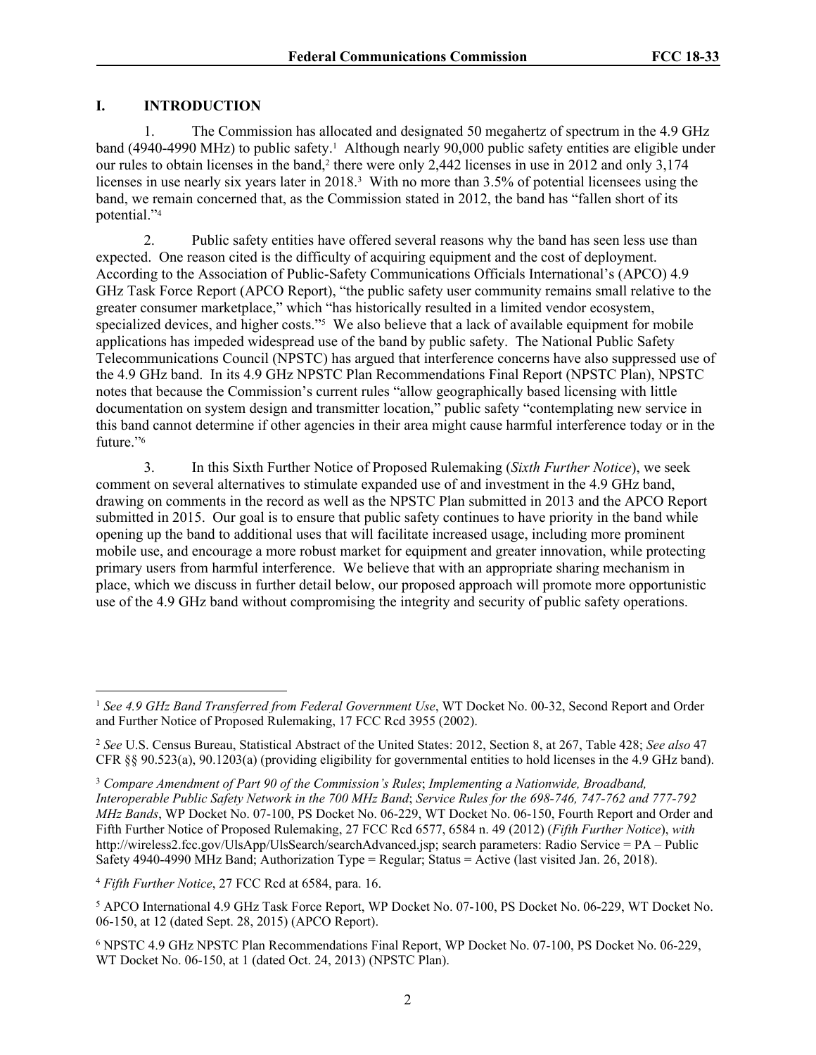# **I. INTRODUCTION**

1. The Commission has allocated and designated 50 megahertz of spectrum in the 4.9 GHz band (4940-4990 MHz) to public safety.<sup>1</sup> Although nearly 90,000 public safety entities are eligible under our rules to obtain licenses in the band,<sup>2</sup> there were only 2,442 licenses in use in 2012 and only 3,174 licenses in use nearly six years later in 2018.<sup>3</sup> With no more than 3.5% of potential licensees using the band, we remain concerned that, as the Commission stated in 2012, the band has "fallen short of its potential."<sup>4</sup>

2. Public safety entities have offered several reasons why the band has seen less use than expected. One reason cited is the difficulty of acquiring equipment and the cost of deployment. According to the Association of Public-Safety Communications Officials International's (APCO) 4.9 GHz Task Force Report (APCO Report), "the public safety user community remains small relative to the greater consumer marketplace," which "has historically resulted in a limited vendor ecosystem, specialized devices, and higher costs."<sup>5</sup> We also believe that a lack of available equipment for mobile applications has impeded widespread use of the band by public safety. The National Public Safety Telecommunications Council (NPSTC) has argued that interference concerns have also suppressed use of the 4.9 GHz band. In its 4.9 GHz NPSTC Plan Recommendations Final Report (NPSTC Plan), NPSTC notes that because the Commission's current rules "allow geographically based licensing with little documentation on system design and transmitter location," public safety "contemplating new service in this band cannot determine if other agencies in their area might cause harmful interference today or in the future."<sup>6</sup>

3. In this Sixth Further Notice of Proposed Rulemaking (*Sixth Further Notice*), we seek comment on several alternatives to stimulate expanded use of and investment in the 4.9 GHz band, drawing on comments in the record as well as the NPSTC Plan submitted in 2013 and the APCO Report submitted in 2015. Our goal is to ensure that public safety continues to have priority in the band while opening up the band to additional uses that will facilitate increased usage, including more prominent mobile use, and encourage a more robust market for equipment and greater innovation, while protecting primary users from harmful interference. We believe that with an appropriate sharing mechanism in place, which we discuss in further detail below, our proposed approach will promote more opportunistic use of the 4.9 GHz band without compromising the integrity and security of public safety operations.

<sup>1</sup> *See 4.9 GHz Band Transferred from Federal Government Use*, WT Docket No. 00-32, Second Report and Order and Further Notice of Proposed Rulemaking, 17 FCC Rcd 3955 (2002).

<sup>2</sup> *See* U.S. Census Bureau, Statistical Abstract of the United States: 2012, Section 8, at 267, Table 428; *See also* 47 CFR §§ 90.523(a), 90.1203(a) (providing eligibility for governmental entities to hold licenses in the 4.9 GHz band).

<sup>3</sup> *Compare Amendment of Part 90 of the Commission's Rules*; *Implementing a Nationwide, Broadband, Interoperable Public Safety Network in the 700 MHz Band*; *Service Rules for the 698-746, 747-762 and 777-792 MHz Bands*, WP Docket No. 07-100, PS Docket No. 06-229, WT Docket No. 06-150, Fourth Report and Order and Fifth Further Notice of Proposed Rulemaking, 27 FCC Rcd 6577, 6584 n. 49 (2012) (*Fifth Further Notice*), *with* http://wireless2.fcc.gov/UlsApp/UlsSearch/searchAdvanced.jsp; search parameters: Radio Service = PA – Public Safety 4940-4990 MHz Band; Authorization Type = Regular; Status = Active (last visited Jan. 26, 2018).

<sup>4</sup> *Fifth Further Notice*, 27 FCC Rcd at 6584, para. 16.

<sup>5</sup> APCO International 4.9 GHz Task Force Report, WP Docket No. 07-100, PS Docket No. 06-229, WT Docket No. 06-150, at 12 (dated Sept. 28, 2015) (APCO Report).

<sup>6</sup> NPSTC 4.9 GHz NPSTC Plan Recommendations Final Report, WP Docket No. 07-100, PS Docket No. 06-229, WT Docket No. 06-150, at 1 (dated Oct. 24, 2013) (NPSTC Plan).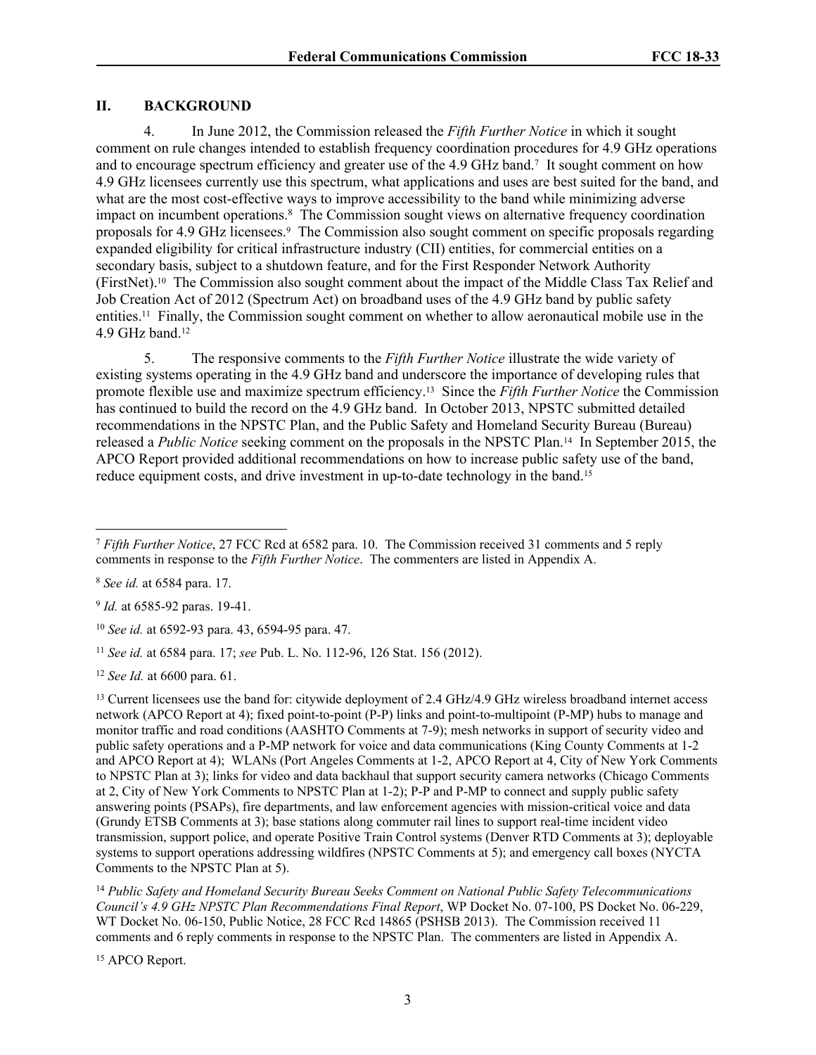#### **II. BACKGROUND**

4. In June 2012, the Commission released the *Fifth Further Notice* in which it sought comment on rule changes intended to establish frequency coordination procedures for 4.9 GHz operations and to encourage spectrum efficiency and greater use of the 4.9 GHz band.<sup>7</sup> It sought comment on how 4.9 GHz licensees currently use this spectrum, what applications and uses are best suited for the band, and what are the most cost-effective ways to improve accessibility to the band while minimizing adverse impact on incumbent operations.<sup>8</sup> The Commission sought views on alternative frequency coordination proposals for 4.9 GHz licensees.<sup>9</sup> The Commission also sought comment on specific proposals regarding expanded eligibility for critical infrastructure industry (CII) entities, for commercial entities on a secondary basis, subject to a shutdown feature, and for the First Responder Network Authority (FirstNet).10 The Commission also sought comment about the impact of the Middle Class Tax Relief and Job Creation Act of 2012 (Spectrum Act) on broadband uses of the 4.9 GHz band by public safety entities.11 Finally, the Commission sought comment on whether to allow aeronautical mobile use in the 4.9 GHz band.<sup>12</sup>

<span id="page-2-0"></span>5. The responsive comments to the *Fifth Further Notice* illustrate the wide variety of existing systems operating in the 4.9 GHz band and underscore the importance of developing rules that promote flexible use and maximize spectrum efficiency.13 Since the *Fifth Further Notice* the Commission has continued to build the record on the 4.9 GHz band. In October 2013, NPSTC submitted detailed recommendations in the NPSTC Plan, and the Public Safety and Homeland Security Bureau (Bureau) released a *Public Notice* seeking comment on the proposals in the NPSTC Plan.14 In September 2015, the APCO Report provided additional recommendations on how to increase public safety use of the band, reduce equipment costs, and drive investment in up-to-date technology in the band.<sup>15</sup>

<sup>15</sup> APCO Report.

<sup>7</sup> *Fifth Further Notice*, 27 FCC Rcd at 6582 para. 10. The Commission received 31 comments and 5 reply comments in response to the *Fifth Further Notice*. The commenters are listed in Appendix A.

<sup>8</sup> *See id.* at 6584 para. 17.

<sup>9</sup> *Id.* at 6585-92 paras. 19-41.

<sup>10</sup> *See id.* at 6592-93 para. 43, 6594-95 para. 47.

<sup>11</sup> *See id.* at 6584 para. 17; *see* Pub. L. No. 112-96, 126 Stat. 156 (2012).

<sup>12</sup> *See Id.* at 6600 para. 61.

<sup>&</sup>lt;sup>13</sup> Current licensees use the band for: citywide deployment of 2.4 GHz/4.9 GHz wireless broadband internet access network (APCO Report at 4); fixed point-to-point (P-P) links and point-to-multipoint (P-MP) hubs to manage and monitor traffic and road conditions (AASHTO Comments at 7-9); mesh networks in support of security video and public safety operations and a P-MP network for voice and data communications (King County Comments at 1-2 and APCO Report at 4); WLANs (Port Angeles Comments at 1-2, APCO Report at 4, City of New York Comments to NPSTC Plan at 3); links for video and data backhaul that support security camera networks (Chicago Comments at 2, City of New York Comments to NPSTC Plan at 1-2); P-P and P-MP to connect and supply public safety answering points (PSAPs), fire departments, and law enforcement agencies with mission-critical voice and data (Grundy ETSB Comments at 3); base stations along commuter rail lines to support real-time incident video transmission, support police, and operate Positive Train Control systems (Denver RTD Comments at 3); deployable systems to support operations addressing wildfires (NPSTC Comments at 5); and emergency call boxes (NYCTA Comments to the NPSTC Plan at 5).

<sup>14</sup> *Public Safety and Homeland Security Bureau Seeks Comment on National Public Safety Telecommunications Council's 4.9 GHz NPSTC Plan Recommendations Final Report*, WP Docket No. 07-100, PS Docket No. 06-229, WT Docket No. 06-150, Public Notice, 28 FCC Rcd 14865 (PSHSB 2013). The Commission received 11 comments and 6 reply comments in response to the NPSTC Plan. The commenters are listed in Appendix A.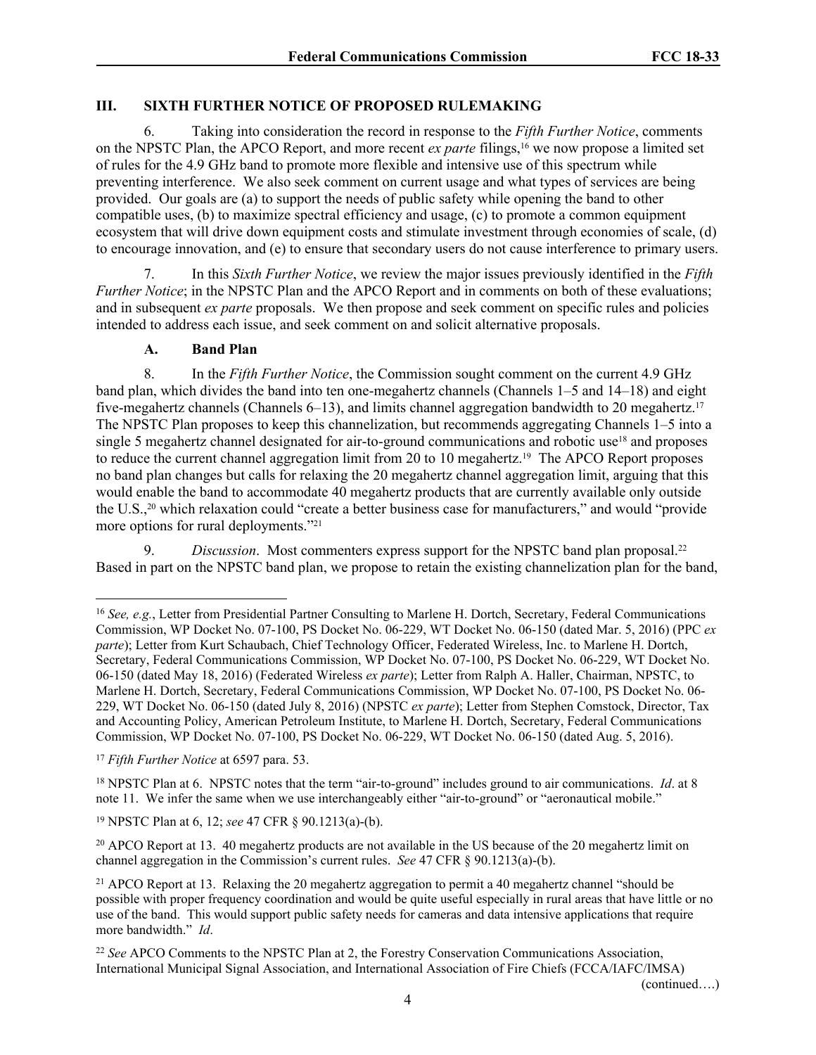# **III. SIXTH FURTHER NOTICE OF PROPOSED RULEMAKING**

6. Taking into consideration the record in response to the *Fifth Further Notice*, comments on the NPSTC Plan, the APCO Report, and more recent *ex parte* filings,16 we now propose a limited set of rules for the 4.9 GHz band to promote more flexible and intensive use of this spectrum while preventing interference. We also seek comment on current usage and what types of services are being provided. Our goals are (a) to support the needs of public safety while opening the band to other compatible uses, (b) to maximize spectral efficiency and usage, (c) to promote a common equipment ecosystem that will drive down equipment costs and stimulate investment through economies of scale, (d) to encourage innovation, and (e) to ensure that secondary users do not cause interference to primary users.

7. In this *Sixth Further Notice*, we review the major issues previously identified in the *Fifth Further Notice*; in the NPSTC Plan and the APCO Report and in comments on both of these evaluations; and in subsequent *ex parte* proposals. We then propose and seek comment on specific rules and policies intended to address each issue, and seek comment on and solicit alternative proposals.

# **A. Band Plan**

8. In the *Fifth Further Notice*, the Commission sought comment on the current 4.9 GHz band plan, which divides the band into ten one-megahertz channels (Channels 1–5 and 14–18) and eight five-megahertz channels (Channels 6–13), and limits channel aggregation bandwidth to 20 megahertz.<sup>17</sup> The NPSTC Plan proposes to keep this channelization, but recommends aggregating Channels 1–5 into a single 5 megahertz channel designated for air-to-ground communications and robotic use<sup>18</sup> and proposes to reduce the current channel aggregation limit from 20 to 10 megahertz.19 The APCO Report proposes no band plan changes but calls for relaxing the 20 megahertz channel aggregation limit, arguing that this would enable the band to accommodate 40 megahertz products that are currently available only outside the U.S.,20 which relaxation could "create a better business case for manufacturers," and would "provide more options for rural deployments."<sup>21</sup>

9. *Discussion*. Most commenters express support for the NPSTC band plan proposal.<sup>22</sup> Based in part on the NPSTC band plan, we propose to retain the existing channelization plan for the band,

(continued….)

<sup>16</sup> *See, e.g.*, Letter from Presidential Partner Consulting to Marlene H. Dortch, Secretary, Federal Communications Commission, WP Docket No. 07-100, PS Docket No. 06-229, WT Docket No. 06-150 (dated Mar. 5, 2016) (PPC *ex parte*); Letter from Kurt Schaubach, Chief Technology Officer, Federated Wireless, Inc. to Marlene H. Dortch, Secretary, Federal Communications Commission, WP Docket No. 07-100, PS Docket No. 06-229, WT Docket No. 06-150 (dated May 18, 2016) (Federated Wireless *ex parte*); Letter from Ralph A. Haller, Chairman, NPSTC, to Marlene H. Dortch, Secretary, Federal Communications Commission, WP Docket No. 07-100, PS Docket No. 06- 229, WT Docket No. 06-150 (dated July 8, 2016) (NPSTC *ex parte*); Letter from Stephen Comstock, Director, Tax and Accounting Policy, American Petroleum Institute, to Marlene H. Dortch, Secretary, Federal Communications Commission, WP Docket No. 07-100, PS Docket No. 06-229, WT Docket No. 06-150 (dated Aug. 5, 2016).

<sup>17</sup> *Fifth Further Notice* at 6597 para. 53.

<sup>18</sup> NPSTC Plan at 6. NPSTC notes that the term "air-to-ground" includes ground to air communications. *Id*. at 8 note 11. We infer the same when we use interchangeably either "air-to-ground" or "aeronautical mobile."

<sup>19</sup> NPSTC Plan at 6, 12; *see* 47 CFR § 90.1213(a)-(b).

<sup>&</sup>lt;sup>20</sup> APCO Report at 13. 40 megahertz products are not available in the US because of the 20 megahertz limit on channel aggregation in the Commission's current rules. *See* 47 CFR § 90.1213(a)-(b).

<sup>21</sup> APCO Report at 13. Relaxing the 20 megahertz aggregation to permit a 40 megahertz channel "should be possible with proper frequency coordination and would be quite useful especially in rural areas that have little or no use of the band. This would support public safety needs for cameras and data intensive applications that require more bandwidth." *Id*.

<sup>22</sup> *See* APCO Comments to the NPSTC Plan at 2, the Forestry Conservation Communications Association, International Municipal Signal Association, and International Association of Fire Chiefs (FCCA/IAFC/IMSA)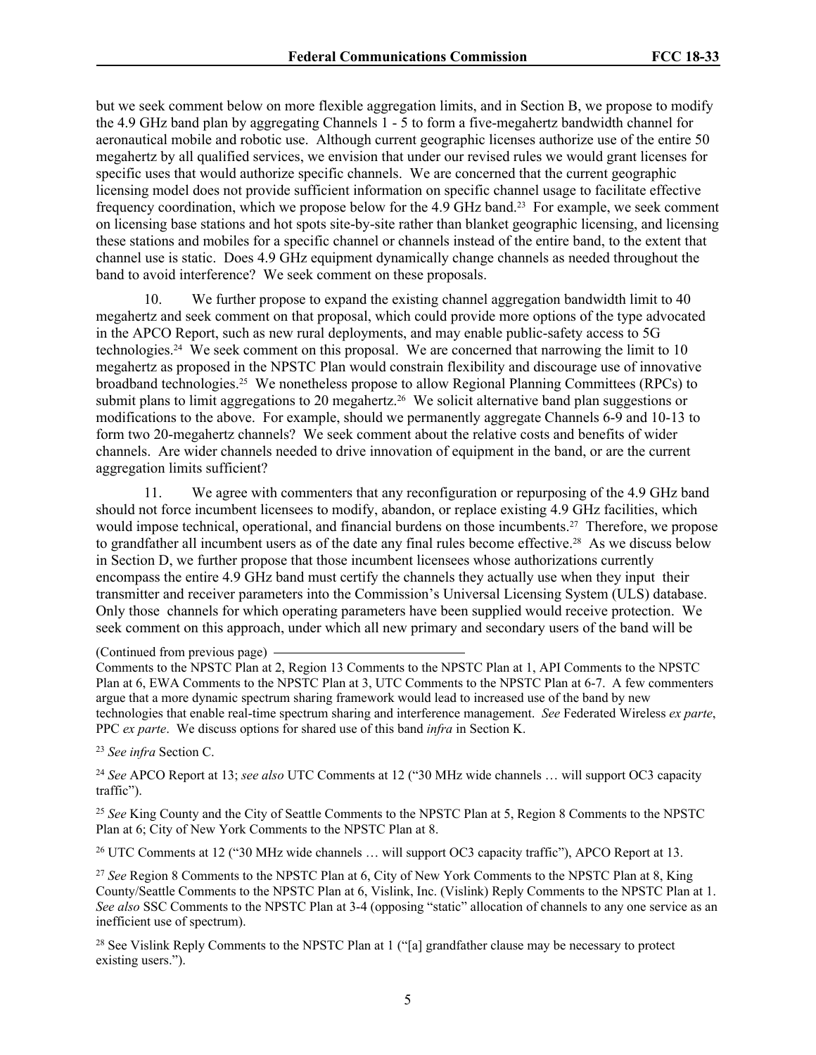but we seek comment below on more flexible aggregation limits, and in Section [B,](#page-5-0) we propose to modify the 4.9 GHz band plan by aggregating Channels 1 - 5 to form a five-megahertz bandwidth channel for aeronautical mobile and robotic use. Although current geographic licenses authorize use of the entire 50 megahertz by all qualified services, we envision that under our revised rules we would grant licenses for specific uses that would authorize specific channels. We are concerned that the current geographic licensing model does not provide sufficient information on specific channel usage to facilitate effective frequency coordination, which we propose below for the 4.9 GHz band.23 For example, we seek comment on licensing base stations and hot spots site-by-site rather than blanket geographic licensing, and licensing these stations and mobiles for a specific channel or channels instead of the entire band, to the extent that channel use is static. Does 4.9 GHz equipment dynamically change channels as needed throughout the band to avoid interference? We seek comment on these proposals.

10. We further propose to expand the existing channel aggregation bandwidth limit to 40 megahertz and seek comment on that proposal, which could provide more options of the type advocated in the APCO Report, such as new rural deployments, and may enable public-safety access to 5G technologies.24 We seek comment on this proposal. We are concerned that narrowing the limit to 10 megahertz as proposed in the NPSTC Plan would constrain flexibility and discourage use of innovative broadband technologies.25 We nonetheless propose to allow Regional Planning Committees (RPCs) to submit plans to limit aggregations to 20 megahertz.<sup>26</sup> We solicit alternative band plan suggestions or modifications to the above. For example, should we permanently aggregate Channels 6-9 and 10-13 to form two 20-megahertz channels? We seek comment about the relative costs and benefits of wider channels. Are wider channels needed to drive innovation of equipment in the band, or are the current aggregation limits sufficient?

11. We agree with commenters that any reconfiguration or repurposing of the 4.9 GHz band should not force incumbent licensees to modify, abandon, or replace existing 4.9 GHz facilities, which would impose technical, operational, and financial burdens on those incumbents.<sup>27</sup> Therefore, we propose to grandfather all incumbent users as of the date any final rules become effective.28 As we discuss below in Section [D,](#page-11-0) we further propose that those incumbent licensees whose authorizations currently encompass the entire 4.9 GHz band must certify the channels they actually use when they input their transmitter and receiver parameters into the Commission's Universal Licensing System (ULS) database. Only those channels for which operating parameters have been supplied would receive protection. We seek comment on this approach, under which all new primary and secondary users of the band will be

(Continued from previous page)

Comments to the NPSTC Plan at 2, Region 13 Comments to the NPSTC Plan at 1, API Comments to the NPSTC Plan at 6, EWA Comments to the NPSTC Plan at 3, UTC Comments to the NPSTC Plan at 6-7. A few commenters argue that a more dynamic spectrum sharing framework would lead to increased use of the band by new technologies that enable real-time spectrum sharing and interference management. *See* Federated Wireless *ex parte*, PPC *ex parte*. We discuss options for shared use of this band *infra* in Section [K](#page-23-0).

<sup>23</sup> *See infra* Section [C](#page-9-0).

<sup>24</sup> *See* APCO Report at 13; *see also* UTC Comments at 12 ("30 MHz wide channels … will support OC3 capacity traffic").

<sup>25</sup> *See* King County and the City of Seattle Comments to the NPSTC Plan at 5, Region 8 Comments to the NPSTC Plan at 6; City of New York Comments to the NPSTC Plan at 8.

<sup>26</sup> UTC Comments at 12 ("30 MHz wide channels … will support OC3 capacity traffic"), APCO Report at 13.

<sup>27</sup> *See* Region 8 Comments to the NPSTC Plan at 6, City of New York Comments to the NPSTC Plan at 8, King County/Seattle Comments to the NPSTC Plan at 6, Vislink, Inc. (Vislink) Reply Comments to the NPSTC Plan at 1. *See also* SSC Comments to the NPSTC Plan at 3-4 (opposing "static" allocation of channels to any one service as an inefficient use of spectrum).

<sup>28</sup> See Vislink Reply Comments to the NPSTC Plan at 1 ("[a] grandfather clause may be necessary to protect existing users.").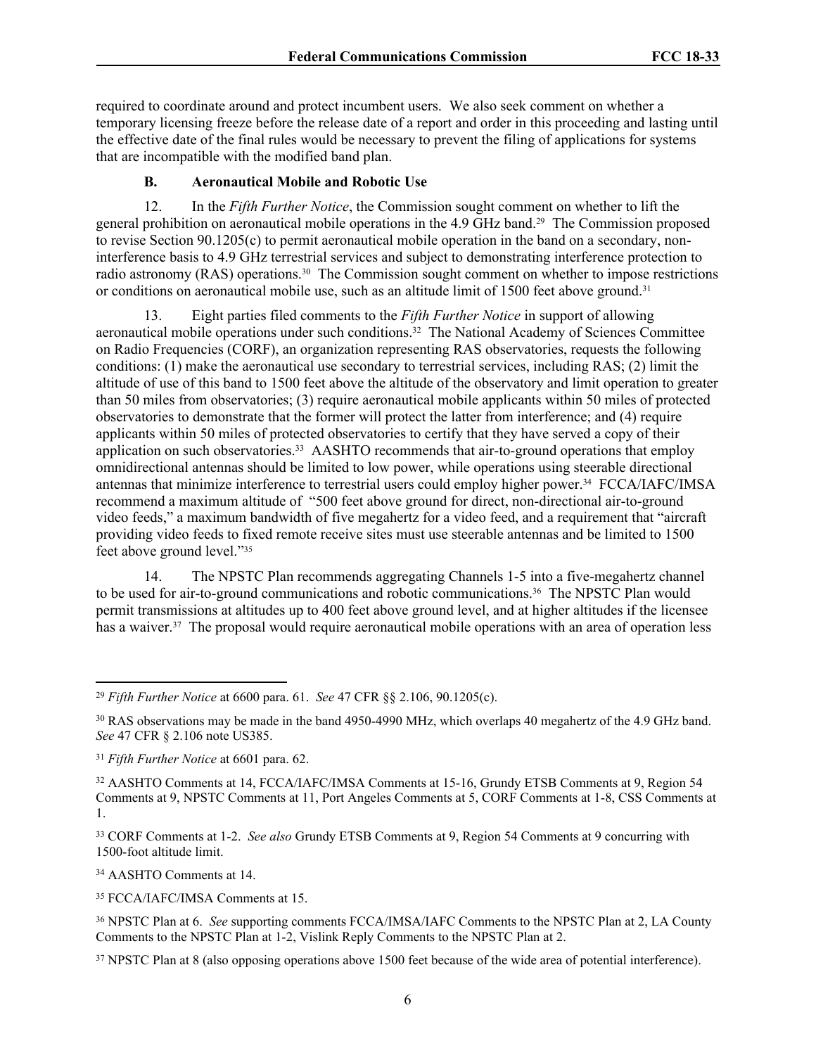required to coordinate around and protect incumbent users. We also seek comment on whether a temporary licensing freeze before the release date of a report and order in this proceeding and lasting until the effective date of the final rules would be necessary to prevent the filing of applications for systems that are incompatible with the modified band plan.

## <span id="page-5-0"></span>**B. Aeronautical Mobile and Robotic Use**

12. In the *Fifth Further Notice*, the Commission sought comment on whether to lift the general prohibition on aeronautical mobile operations in the 4.9 GHz band.29 The Commission proposed to revise Section 90.1205(c) to permit aeronautical mobile operation in the band on a secondary, noninterference basis to 4.9 GHz terrestrial services and subject to demonstrating interference protection to radio astronomy (RAS) operations.<sup>30</sup> The Commission sought comment on whether to impose restrictions or conditions on aeronautical mobile use, such as an altitude limit of 1500 feet above ground.<sup>31</sup>

13. Eight parties filed comments to the *Fifth Further Notice* in support of allowing aeronautical mobile operations under such conditions.<sup>32</sup> The National Academy of Sciences Committee on Radio Frequencies (CORF), an organization representing RAS observatories, requests the following conditions: (1) make the aeronautical use secondary to terrestrial services, including RAS; (2) limit the altitude of use of this band to 1500 feet above the altitude of the observatory and limit operation to greater than 50 miles from observatories; (3) require aeronautical mobile applicants within 50 miles of protected observatories to demonstrate that the former will protect the latter from interference; and (4) require applicants within 50 miles of protected observatories to certify that they have served a copy of their application on such observatories.<sup>33</sup> AASHTO recommends that air-to-ground operations that employ omnidirectional antennas should be limited to low power, while operations using steerable directional antennas that minimize interference to terrestrial users could employ higher power.34 FCCA/IAFC/IMSA recommend a maximum altitude of "500 feet above ground for direct, non-directional air-to-ground video feeds," a maximum bandwidth of five megahertz for a video feed, and a requirement that "aircraft providing video feeds to fixed remote receive sites must use steerable antennas and be limited to 1500 feet above ground level."<sup>35</sup>

14. The NPSTC Plan recommends aggregating Channels 1-5 into a five-megahertz channel to be used for air-to-ground communications and robotic communications.<sup>36</sup> The NPSTC Plan would permit transmissions at altitudes up to 400 feet above ground level, and at higher altitudes if the licensee has a waiver.<sup>37</sup> The proposal would require aeronautical mobile operations with an area of operation less

<sup>33</sup> CORF Comments at 1-2. *See also* Grundy ETSB Comments at 9, Region 54 Comments at 9 concurring with 1500-foot altitude limit.

<sup>34</sup> AASHTO Comments at 14.

<sup>35</sup> FCCA/IAFC/IMSA Comments at 15.

<sup>29</sup> *Fifth Further Notice* at 6600 para. 61. *See* 47 CFR §§ 2.106, 90.1205(c).

<sup>30</sup> RAS observations may be made in the band 4950-4990 MHz, which overlaps 40 megahertz of the 4.9 GHz band. *See* 47 CFR § 2.106 note US385.

<sup>31</sup> *Fifth Further Notice* at 6601 para. 62.

<sup>32</sup> AASHTO Comments at 14, FCCA/IAFC/IMSA Comments at 15-16, Grundy ETSB Comments at 9, Region 54 Comments at 9, NPSTC Comments at 11, Port Angeles Comments at 5, CORF Comments at 1-8, CSS Comments at 1.

<sup>36</sup> NPSTC Plan at 6. *See* supporting comments FCCA/IMSA/IAFC Comments to the NPSTC Plan at 2, LA County Comments to the NPSTC Plan at 1-2, Vislink Reply Comments to the NPSTC Plan at 2.

<sup>&</sup>lt;sup>37</sup> NPSTC Plan at 8 (also opposing operations above 1500 feet because of the wide area of potential interference).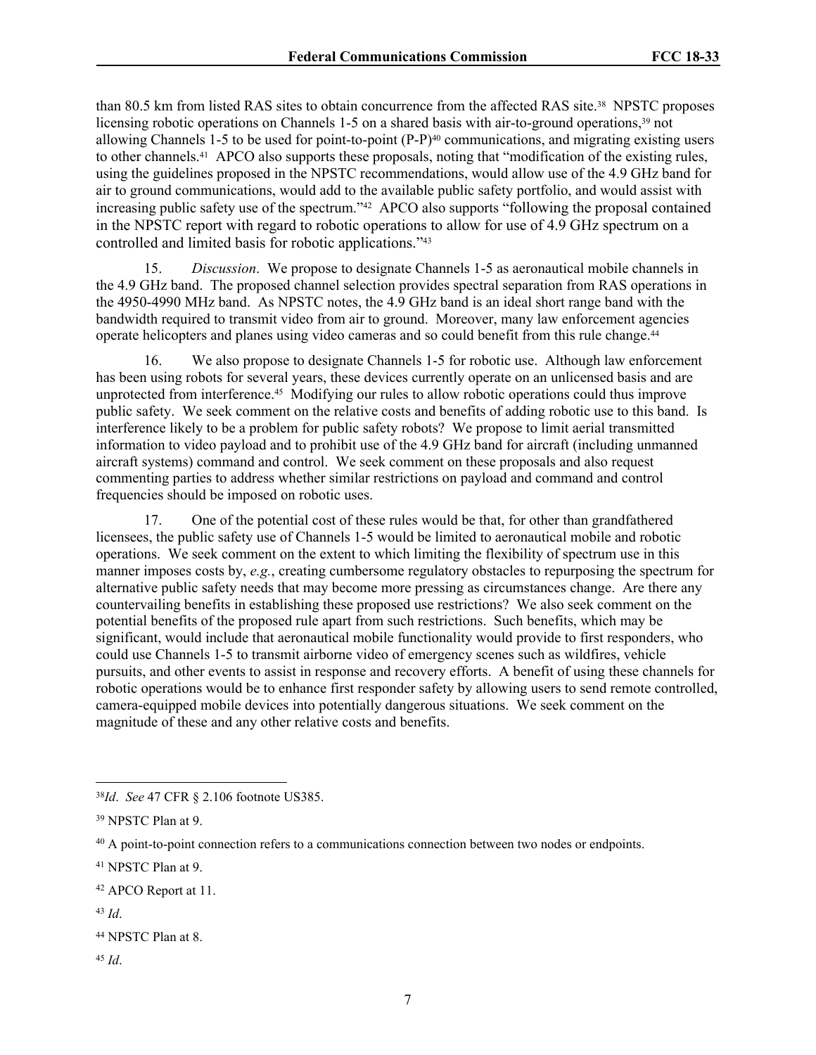than 80.5 km from listed RAS sites to obtain concurrence from the affected RAS site.38 NPSTC proposes licensing robotic operations on Channels 1-5 on a shared basis with air-to-ground operations,<sup>39</sup> not allowing Channels 1-5 to be used for point-to-point (P-P)40 communications, and migrating existing users to other channels.41 APCO also supports these proposals, noting that "modification of the existing rules, using the guidelines proposed in the NPSTC recommendations, would allow use of the 4.9 GHz band for air to ground communications, would add to the available public safety portfolio, and would assist with increasing public safety use of the spectrum."42 APCO also supports "following the proposal contained in the NPSTC report with regard to robotic operations to allow for use of 4.9 GHz spectrum on a controlled and limited basis for robotic applications."<sup>43</sup>

15. *Discussion*. We propose to designate Channels 1-5 as aeronautical mobile channels in the 4.9 GHz band. The proposed channel selection provides spectral separation from RAS operations in the 4950-4990 MHz band. As NPSTC notes, the 4.9 GHz band is an ideal short range band with the bandwidth required to transmit video from air to ground. Moreover, many law enforcement agencies operate helicopters and planes using video cameras and so could benefit from this rule change.<sup>44</sup>

16. We also propose to designate Channels 1-5 for robotic use. Although law enforcement has been using robots for several years, these devices currently operate on an unlicensed basis and are unprotected from interference.<sup>45</sup> Modifying our rules to allow robotic operations could thus improve public safety. We seek comment on the relative costs and benefits of adding robotic use to this band. Is interference likely to be a problem for public safety robots? We propose to limit aerial transmitted information to video payload and to prohibit use of the 4.9 GHz band for aircraft (including unmanned aircraft systems) command and control. We seek comment on these proposals and also request commenting parties to address whether similar restrictions on payload and command and control frequencies should be imposed on robotic uses.

17. One of the potential cost of these rules would be that, for other than grandfathered licensees, the public safety use of Channels 1-5 would be limited to aeronautical mobile and robotic operations. We seek comment on the extent to which limiting the flexibility of spectrum use in this manner imposes costs by, *e.g.*, creating cumbersome regulatory obstacles to repurposing the spectrum for alternative public safety needs that may become more pressing as circumstances change. Are there any countervailing benefits in establishing these proposed use restrictions? We also seek comment on the potential benefits of the proposed rule apart from such restrictions. Such benefits, which may be significant, would include that aeronautical mobile functionality would provide to first responders, who could use Channels 1-5 to transmit airborne video of emergency scenes such as wildfires, vehicle pursuits, and other events to assist in response and recovery efforts. A benefit of using these channels for robotic operations would be to enhance first responder safety by allowing users to send remote controlled, camera-equipped mobile devices into potentially dangerous situations. We seek comment on the magnitude of these and any other relative costs and benefits.

<sup>45</sup> *Id*.

<sup>38</sup>*Id*. *See* 47 CFR § 2.106 footnote US385.

<sup>39</sup> NPSTC Plan at 9.

<sup>40</sup> A point-to-point connection refers to a communications connection between two nodes or endpoints.

<sup>41</sup> NPSTC Plan at 9.

<sup>42</sup> APCO Report at 11.

<sup>43</sup> *Id*.

<sup>44</sup> NPSTC Plan at 8.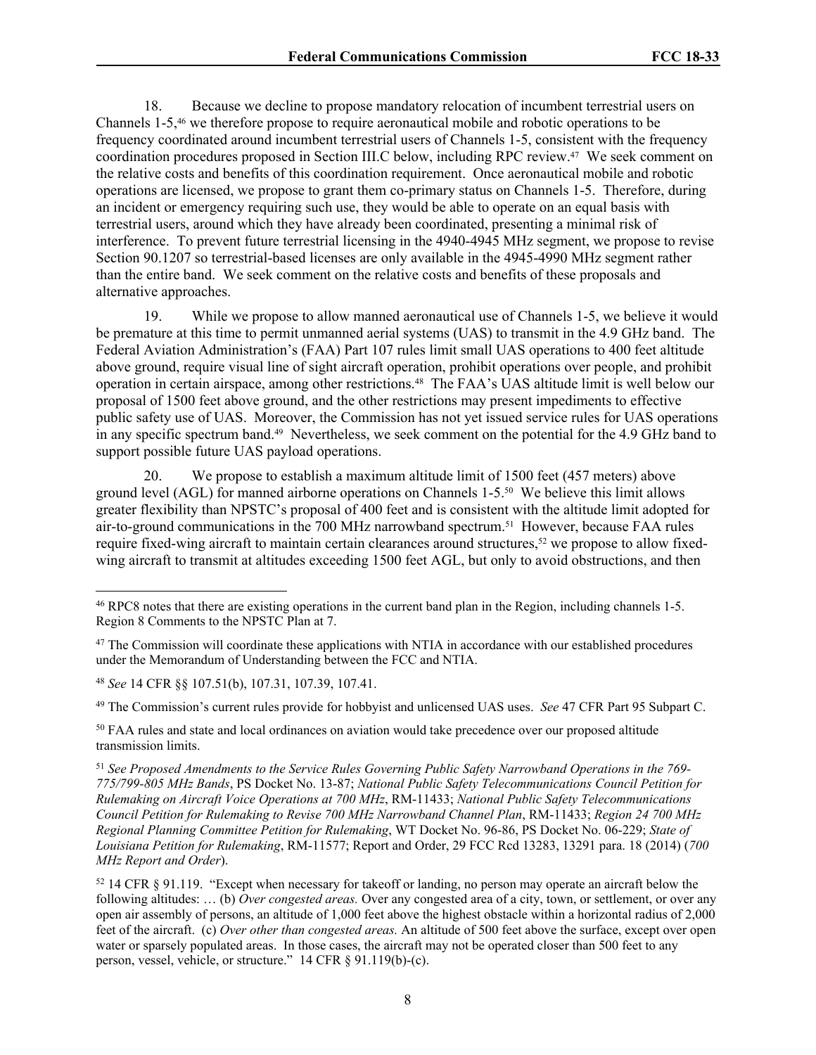18. Because we decline to propose mandatory relocation of incumbent terrestrial users on Channels 1-5,46 we therefore propose to require aeronautical mobile and robotic operations to be frequency coordinated around incumbent terrestrial users of Channels 1-5, consistent with the frequency coordination procedures proposed in Section III[.C](#page-9-0) below, including RPC review.47 We seek comment on the relative costs and benefits of this coordination requirement. Once aeronautical mobile and robotic operations are licensed, we propose to grant them co-primary status on Channels 1-5. Therefore, during an incident or emergency requiring such use, they would be able to operate on an equal basis with terrestrial users, around which they have already been coordinated, presenting a minimal risk of interference. To prevent future terrestrial licensing in the 4940-4945 MHz segment, we propose to revise Section 90.1207 so terrestrial-based licenses are only available in the 4945-4990 MHz segment rather than the entire band. We seek comment on the relative costs and benefits of these proposals and alternative approaches.

19. While we propose to allow manned aeronautical use of Channels 1-5, we believe it would be premature at this time to permit unmanned aerial systems (UAS) to transmit in the 4.9 GHz band. The Federal Aviation Administration's (FAA) Part 107 rules limit small UAS operations to 400 feet altitude above ground, require visual line of sight aircraft operation, prohibit operations over people, and prohibit operation in certain airspace, among other restrictions.48 The FAA's UAS altitude limit is well below our proposal of 1500 feet above ground, and the other restrictions may present impediments to effective public safety use of UAS. Moreover, the Commission has not yet issued service rules for UAS operations in any specific spectrum band.49 Nevertheless, we seek comment on the potential for the 4.9 GHz band to support possible future UAS payload operations.

20. We propose to establish a maximum altitude limit of 1500 feet (457 meters) above ground level (AGL) for manned airborne operations on Channels 1-5.50 We believe this limit allows greater flexibility than NPSTC's proposal of 400 feet and is consistent with the altitude limit adopted for air-to-ground communications in the 700 MHz narrowband spectrum.51 However, because FAA rules require fixed-wing aircraft to maintain certain clearances around structures,<sup>52</sup> we propose to allow fixedwing aircraft to transmit at altitudes exceeding 1500 feet AGL, but only to avoid obstructions, and then

<sup>49</sup> The Commission's current rules provide for hobbyist and unlicensed UAS uses. *See* 47 CFR Part 95 Subpart C.

<sup>50</sup> FAA rules and state and local ordinances on aviation would take precedence over our proposed altitude transmission limits.

<sup>46</sup> RPC8 notes that there are existing operations in the current band plan in the Region, including channels 1-5. Region 8 Comments to the NPSTC Plan at 7.

<sup>&</sup>lt;sup>47</sup> The Commission will coordinate these applications with NTIA in accordance with our established procedures under the Memorandum of Understanding between the FCC and NTIA.

<sup>48</sup> *See* 14 CFR §§ 107.51(b), 107.31, 107.39, 107.41.

<sup>51</sup> *See Proposed Amendments to the Service Rules Governing Public Safety Narrowband Operations in the 769- 775/799-805 MHz Bands*, PS Docket No. 13-87; *National Public Safety Telecommunications Council Petition for Rulemaking on Aircraft Voice Operations at 700 MHz*, RM-11433; *National Public Safety Telecommunications Council Petition for Rulemaking to Revise 700 MHz Narrowband Channel Plan*, RM-11433; *Region 24 700 MHz Regional Planning Committee Petition for Rulemaking*, WT Docket No. 96-86, PS Docket No. 06-229; *State of Louisiana Petition for Rulemaking*, RM-11577; Report and Order, 29 FCC Rcd 13283, 13291 para. 18 (2014) (*700 MHz Report and Order*).

<sup>52</sup> 14 CFR § 91.119. "Except when necessary for takeoff or landing, no person may operate an aircraft below the following altitudes: … (b) *Over congested areas.* Over any congested area of a city, town, or settlement, or over any open air assembly of persons, an altitude of 1,000 feet above the highest obstacle within a horizontal radius of 2,000 feet of the aircraft. (c) *Over other than congested areas.* An altitude of 500 feet above the surface, except over open water or sparsely populated areas. In those cases, the aircraft may not be operated closer than 500 feet to any person, vessel, vehicle, or structure." 14 CFR § 91.119(b)-(c).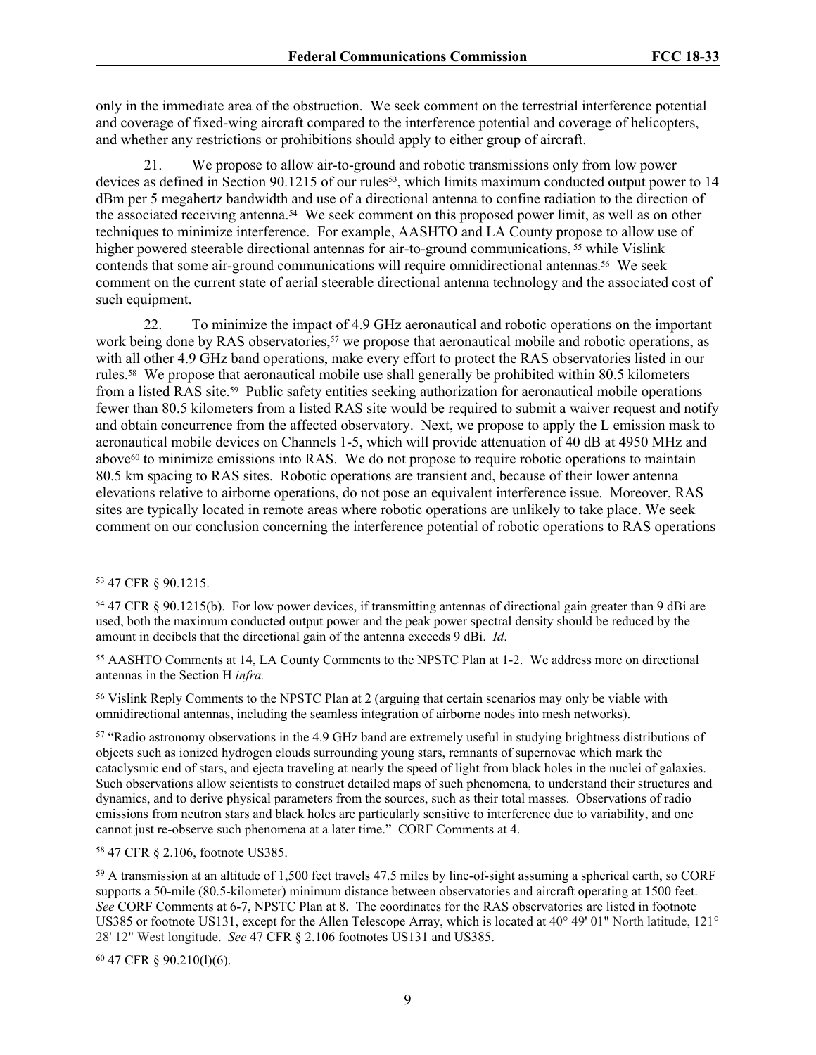only in the immediate area of the obstruction. We seek comment on the terrestrial interference potential and coverage of fixed-wing aircraft compared to the interference potential and coverage of helicopters, and whether any restrictions or prohibitions should apply to either group of aircraft.

21. We propose to allow air-to-ground and robotic transmissions only from low power devices as defined in Section 90.1215 of our rules<sup>53</sup>, which limits maximum conducted output power to 14 dBm per 5 megahertz bandwidth and use of a directional antenna to confine radiation to the direction of the associated receiving antenna.54 We seek comment on this proposed power limit, as well as on other techniques to minimize interference. For example, AASHTO and LA County propose to allow use of higher powered steerable directional antennas for air-to-ground communications, <sup>55</sup> while Vislink contends that some air-ground communications will require omnidirectional antennas.56 We seek comment on the current state of aerial steerable directional antenna technology and the associated cost of such equipment.

22. To minimize the impact of 4.9 GHz aeronautical and robotic operations on the important work being done by RAS observatories,<sup>57</sup> we propose that aeronautical mobile and robotic operations, as with all other 4.9 GHz band operations, make every effort to protect the RAS observatories listed in our rules.58 We propose that aeronautical mobile use shall generally be prohibited within 80.5 kilometers from a listed RAS site.59 Public safety entities seeking authorization for aeronautical mobile operations fewer than 80.5 kilometers from a listed RAS site would be required to submit a waiver request and notify and obtain concurrence from the affected observatory. Next, we propose to apply the L emission mask to aeronautical mobile devices on Channels 1-5, which will provide attenuation of 40 dB at 4950 MHz and above60 to minimize emissions into RAS. We do not propose to require robotic operations to maintain 80.5 km spacing to RAS sites. Robotic operations are transient and, because of their lower antenna elevations relative to airborne operations, do not pose an equivalent interference issue. Moreover, RAS sites are typically located in remote areas where robotic operations are unlikely to take place. We seek comment on our conclusion concerning the interference potential of robotic operations to RAS operations

<sup>55</sup> AASHTO Comments at 14, LA County Comments to the NPSTC Plan at 1-2. We address more on directional antennas in the Section [H](#page-19-0) *infra.*

<sup>56</sup> Vislink Reply Comments to the NPSTC Plan at 2 (arguing that certain scenarios may only be viable with omnidirectional antennas, including the seamless integration of airborne nodes into mesh networks).

<sup>57</sup> "Radio astronomy observations in the 4.9 GHz band are extremely useful in studying brightness distributions of objects such as ionized hydrogen clouds surrounding young stars, remnants of supernovae which mark the cataclysmic end of stars, and ejecta traveling at nearly the speed of light from black holes in the nuclei of galaxies. Such observations allow scientists to construct detailed maps of such phenomena, to understand their structures and dynamics, and to derive physical parameters from the sources, such as their total masses. Observations of radio emissions from neutron stars and black holes are particularly sensitive to interference due to variability, and one cannot just re-observe such phenomena at a later time." CORF Comments at 4.

<sup>58</sup> 47 CFR § 2.106, footnote US385.

60 47 CFR § 90.210(l)(6).

<sup>53</sup> 47 CFR § 90.1215.

<sup>54</sup> 47 CFR § 90.1215(b). For low power devices, if transmitting antennas of directional gain greater than 9 dBi are used, both the maximum conducted output power and the peak power spectral density should be reduced by the amount in decibels that the directional gain of the antenna exceeds 9 dBi. *Id*.

<sup>59</sup> A transmission at an altitude of 1,500 feet travels 47.5 miles by line-of-sight assuming a spherical earth, so CORF supports a 50-mile (80.5-kilometer) minimum distance between observatories and aircraft operating at 1500 feet. *See* CORF Comments at 6-7, NPSTC Plan at 8. The coordinates for the RAS observatories are listed in footnote US385 or footnote US131, except for the Allen Telescope Array, which is located at 40° 49' 01" North latitude, 121° 28' 12" West longitude. *See* 47 CFR § 2.106 footnotes US131 and US385.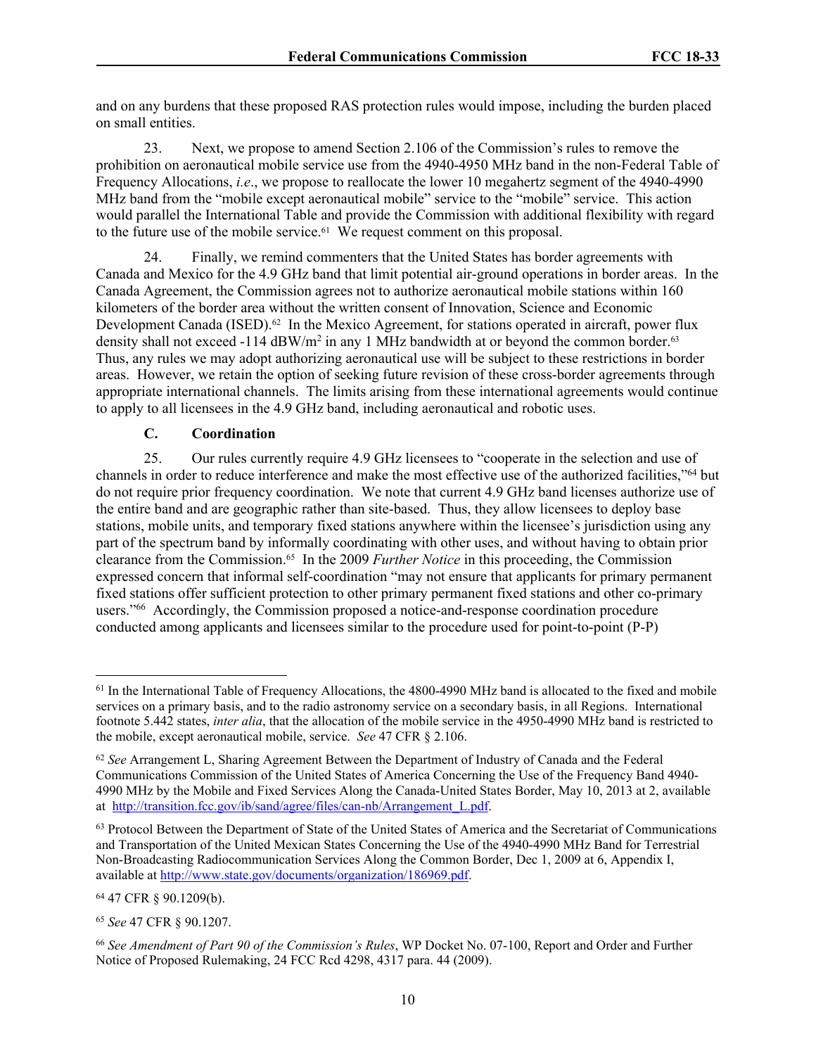and on any burdens that these proposed RAS protection rules would impose, including the burden placed on small entities.

23. Next, we propose to amend Section 2.106 of the Commission's rules to remove the prohibition on aeronautical mobile service use from the 4940-4950 MHz band in the non-Federal Table of Frequency Allocations, *i.e*., we propose to reallocate the lower 10 megahertz segment of the 4940-4990 MHz band from the "mobile except aeronautical mobile" service to the "mobile" service. This action would parallel the International Table and provide the Commission with additional flexibility with regard to the future use of the mobile service.61 We request comment on this proposal.

24. Finally, we remind commenters that the United States has border agreements with Canada and Mexico for the 4.9 GHz band that limit potential air-ground operations in border areas. In the Canada Agreement, the Commission agrees not to authorize aeronautical mobile stations within 160 kilometers of the border area without the written consent of Innovation, Science and Economic Development Canada (ISED).<sup>62</sup> In the Mexico Agreement, for stations operated in aircraft, power flux density shall not exceed -114  $dBW/m^2$  in any 1 MHz bandwidth at or beyond the common border.<sup>63</sup> Thus, any rules we may adopt authorizing aeronautical use will be subject to these restrictions in border areas. However, we retain the option of seeking future revision of these cross-border agreements through appropriate international channels. The limits arising from these international agreements would continue to apply to all licensees in the 4.9 GHz band, including aeronautical and robotic uses.

## <span id="page-9-0"></span>**C. Coordination**

25. Our rules currently require 4.9 GHz licensees to "cooperate in the selection and use of channels in order to reduce interference and make the most effective use of the authorized facilities,"<sup>64</sup> but do not require prior frequency coordination. We note that current 4.9 GHz band licenses authorize use of the entire band and are geographic rather than site-based. Thus, they allow licensees to deploy base stations, mobile units, and temporary fixed stations anywhere within the licensee's jurisdiction using any part of the spectrum band by informally coordinating with other uses, and without having to obtain prior clearance from the Commission.65 In the 2009 *Further Notice* in this proceeding, the Commission expressed concern that informal self-coordination "may not ensure that applicants for primary permanent fixed stations offer sufficient protection to other primary permanent fixed stations and other co-primary users."<sup>66</sup> Accordingly, the Commission proposed a notice-and-response coordination procedure conducted among applicants and licensees similar to the procedure used for point-to-point (P-P)

<sup>64</sup> 47 CFR § 90.1209(b).

<sup>65</sup> *See* 47 CFR § 90.1207.

<sup>&</sup>lt;sup>61</sup> In the International Table of Frequency Allocations, the 4800-4990 MHz band is allocated to the fixed and mobile services on a primary basis, and to the radio astronomy service on a secondary basis, in all Regions. International footnote 5.442 states, *inter alia*, that the allocation of the mobile service in the 4950-4990 MHz band is restricted to the mobile, except aeronautical mobile, service. *See* 47 CFR § 2.106.

<sup>62</sup> *See* Arrangement L, Sharing Agreement Between the Department of Industry of Canada and the Federal Communications Commission of the United States of America Concerning the Use of the Frequency Band 4940- 4990 MHz by the Mobile and Fixed Services Along the Canada-United States Border, May 10, 2013 at 2, available at [http://transition.fcc.gov/ib/sand/agree/files/can-nb/Arrangement\\_L.pdf.](http://transition.fcc.gov/ib/sand/agree/files/can-nb/Arrangement_L.pdf.;%20Protocol)

<sup>63</sup> Protocol Between the Department of State of the United States of America and the Secretariat of Communications and Transportation of the United Mexican States Concerning the Use of the 4940-4990 MHz Band for Terrestrial Non-Broadcasting Radiocommunication Services Along the Common Border, Dec 1, 2009 at 6, Appendix I, available at [http://www.state.gov/documents/organization/186969.pdf.](http://www.state.gov/documents/organization/186969.pdf)

<sup>66</sup> *See Amendment of Part 90 of the Commission's Rules*, WP Docket No. 07-100, Report and Order and Further Notice of Proposed Rulemaking, 24 FCC Rcd 4298, 4317 para. 44 (2009).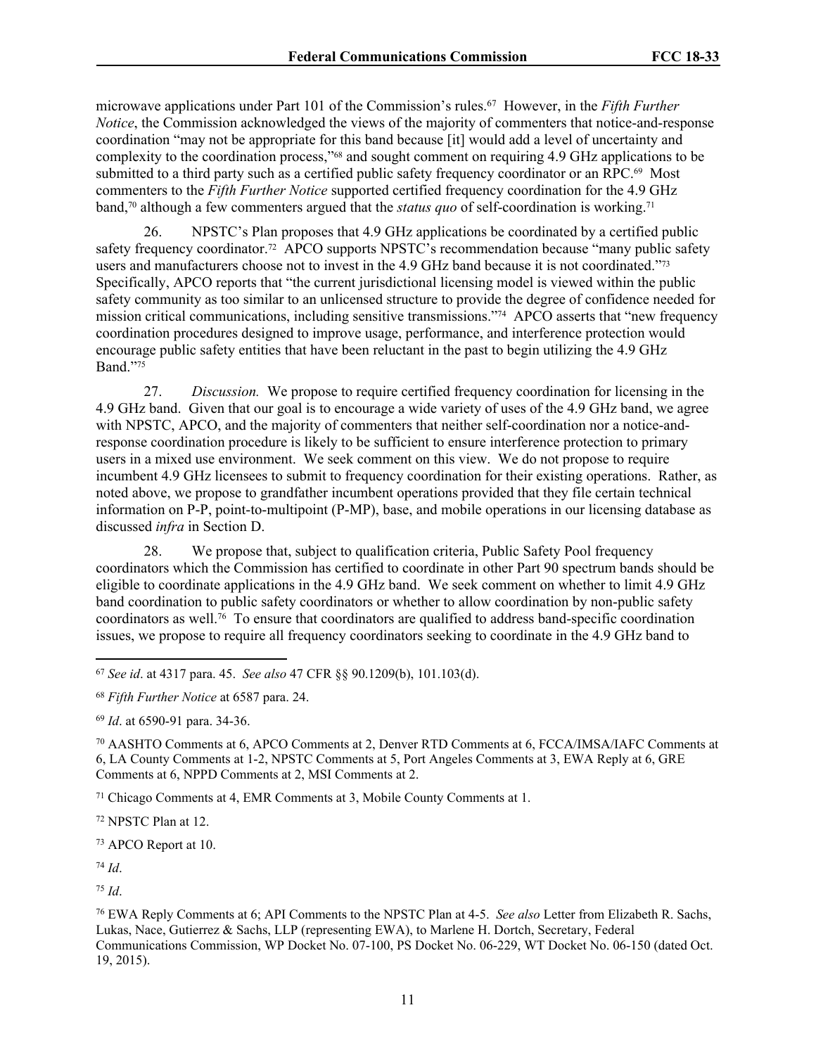microwave applications under Part 101 of the Commission's rules.<sup>67</sup> However, in the *Fifth Further Notice*, the Commission acknowledged the views of the majority of commenters that notice-and-response coordination "may not be appropriate for this band because [it] would add a level of uncertainty and complexity to the coordination process,"68 and sought comment on requiring 4.9 GHz applications to be submitted to a third party such as a certified public safety frequency coordinator or an RPC.<sup>69</sup> Most commenters to the *Fifth Further Notice* supported certified frequency coordination for the 4.9 GHz band,<sup>70</sup> although a few commenters argued that the *status quo* of self-coordination is working.<sup>71</sup>

26. NPSTC's Plan proposes that 4.9 GHz applications be coordinated by a certified public safety frequency coordinator.<sup>72</sup> APCO supports NPSTC's recommendation because "many public safety" users and manufacturers choose not to invest in the 4.9 GHz band because it is not coordinated."<sup>73</sup> Specifically, APCO reports that "the current jurisdictional licensing model is viewed within the public safety community as too similar to an unlicensed structure to provide the degree of confidence needed for mission critical communications, including sensitive transmissions."74 APCO asserts that "new frequency coordination procedures designed to improve usage, performance, and interference protection would encourage public safety entities that have been reluctant in the past to begin utilizing the 4.9 GHz Band."<sup>75</sup>

27. *Discussion.* We propose to require certified frequency coordination for licensing in the 4.9 GHz band. Given that our goal is to encourage a wide variety of uses of the 4.9 GHz band, we agree with NPSTC, APCO, and the majority of commenters that neither self-coordination nor a notice-andresponse coordination procedure is likely to be sufficient to ensure interference protection to primary users in a mixed use environment. We seek comment on this view. We do not propose to require incumbent 4.9 GHz licensees to submit to frequency coordination for their existing operations. Rather, as noted above, we propose to grandfather incumbent operations provided that they file certain technical information on P-P, point-to-multipoint (P-MP), base, and mobile operations in our licensing database as discussed *infra* in Section [D](#page-11-0).

28. We propose that, subject to qualification criteria, Public Safety Pool frequency coordinators which the Commission has certified to coordinate in other Part 90 spectrum bands should be eligible to coordinate applications in the 4.9 GHz band. We seek comment on whether to limit 4.9 GHz band coordination to public safety coordinators or whether to allow coordination by non-public safety coordinators as well.76 To ensure that coordinators are qualified to address band-specific coordination issues, we propose to require all frequency coordinators seeking to coordinate in the 4.9 GHz band to

<sup>69</sup> *Id*. at 6590-91 para. 34-36.

<sup>70</sup> AASHTO Comments at 6, APCO Comments at 2, Denver RTD Comments at 6, FCCA/IMSA/IAFC Comments at 6, LA County Comments at 1-2, NPSTC Comments at 5, Port Angeles Comments at 3, EWA Reply at 6, GRE Comments at 6, NPPD Comments at 2, MSI Comments at 2.

<sup>71</sup> Chicago Comments at 4, EMR Comments at 3, Mobile County Comments at 1.

<sup>72</sup> NPSTC Plan at 12.

<sup>73</sup> APCO Report at 10.

<sup>74</sup> *Id*.

<sup>75</sup> *Id*.

<sup>76</sup> EWA Reply Comments at 6; API Comments to the NPSTC Plan at 4-5. *See also* Letter from Elizabeth R. Sachs, Lukas, Nace, Gutierrez & Sachs, LLP (representing EWA), to Marlene H. Dortch, Secretary, Federal Communications Commission, WP Docket No. 07-100, PS Docket No. 06-229, WT Docket No. 06-150 (dated Oct. 19, 2015).

<sup>67</sup> *See id*. at 4317 para. 45. *See also* 47 CFR §§ 90.1209(b), 101.103(d).

<sup>68</sup> *Fifth Further Notice* at 6587 para. 24.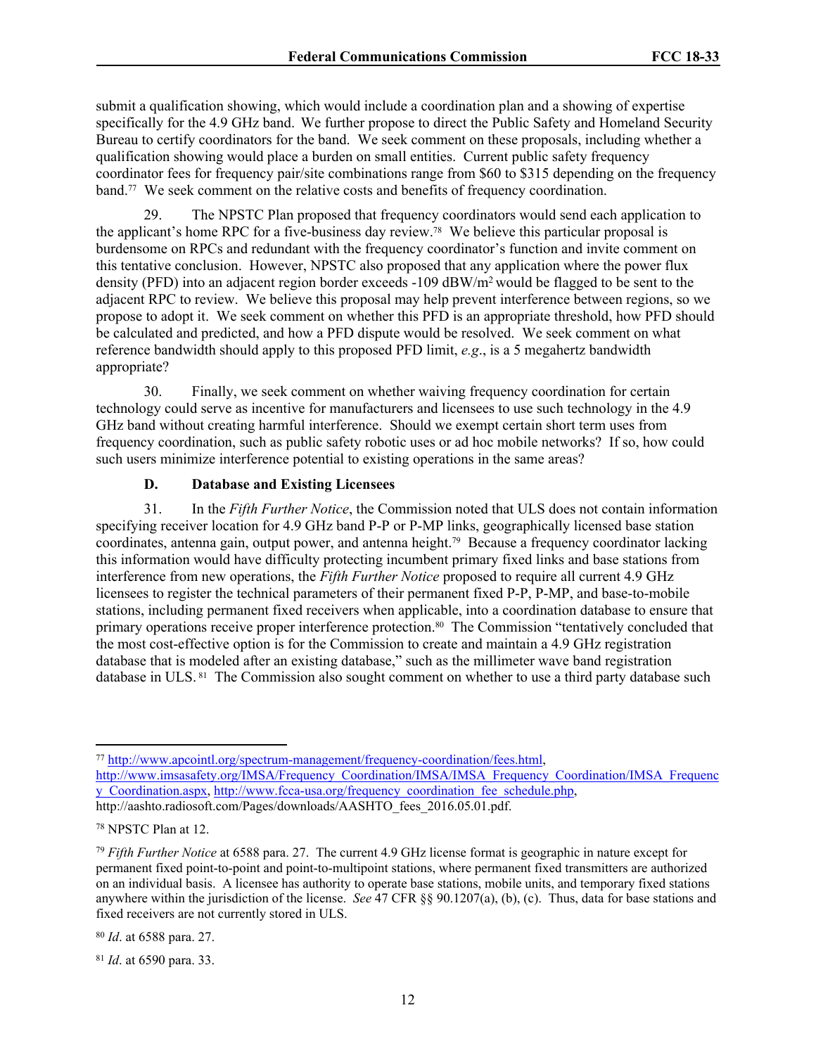submit a qualification showing, which would include a coordination plan and a showing of expertise specifically for the 4.9 GHz band. We further propose to direct the Public Safety and Homeland Security Bureau to certify coordinators for the band. We seek comment on these proposals, including whether a qualification showing would place a burden on small entities. Current public safety frequency coordinator fees for frequency pair/site combinations range from \$60 to \$315 depending on the frequency band.<sup>77</sup> We seek comment on the relative costs and benefits of frequency coordination.

29. The NPSTC Plan proposed that frequency coordinators would send each application to the applicant's home RPC for a five-business day review.78 We believe this particular proposal is burdensome on RPCs and redundant with the frequency coordinator's function and invite comment on this tentative conclusion. However, NPSTC also proposed that any application where the power flux density (PFD) into an adjacent region border exceeds -109 dBW/m<sup>2</sup>would be flagged to be sent to the adjacent RPC to review. We believe this proposal may help prevent interference between regions, so we propose to adopt it. We seek comment on whether this PFD is an appropriate threshold, how PFD should be calculated and predicted, and how a PFD dispute would be resolved. We seek comment on what reference bandwidth should apply to this proposed PFD limit, *e.g*., is a 5 megahertz bandwidth appropriate?

30. Finally, we seek comment on whether waiving frequency coordination for certain technology could serve as incentive for manufacturers and licensees to use such technology in the 4.9 GHz band without creating harmful interference. Should we exempt certain short term uses from frequency coordination, such as public safety robotic uses or ad hoc mobile networks? If so, how could such users minimize interference potential to existing operations in the same areas?

# <span id="page-11-0"></span>**D. Database and Existing Licensees**

31. In the *Fifth Further Notice*, the Commission noted that ULS does not contain information specifying receiver location for 4.9 GHz band P-P or P-MP links, geographically licensed base station coordinates, antenna gain, output power, and antenna height.79 Because a frequency coordinator lacking this information would have difficulty protecting incumbent primary fixed links and base stations from interference from new operations, the *Fifth Further Notice* proposed to require all current 4.9 GHz licensees to register the technical parameters of their permanent fixed P-P, P-MP, and base-to-mobile stations, including permanent fixed receivers when applicable, into a coordination database to ensure that primary operations receive proper interference protection.<sup>80</sup> The Commission "tentatively concluded that the most cost-effective option is for the Commission to create and maintain a 4.9 GHz registration database that is modeled after an existing database," such as the millimeter wave band registration database in ULS. 81 The Commission also sought comment on whether to use a third party database such

<sup>77</sup> <http://www.apcointl.org/spectrum-management/frequency-coordination/fees.html>,

[http://www.imsasafety.org/IMSA/Frequency\\_Coordination/IMSA/IMSA\\_Frequency\\_Coordination/IMSA\\_Frequenc](http://www.imsasafety.org/IMSA/Frequency_Coordination/IMSA/IMSA_Frequency_Coordination/IMSA_Frequency_Coordination.aspx) [y\\_Coordination.aspx,](http://www.imsasafety.org/IMSA/Frequency_Coordination/IMSA/IMSA_Frequency_Coordination/IMSA_Frequency_Coordination.aspx) [http://www.fcca-usa.org/frequency\\_coordination\\_fee\\_schedule.php,](http://www.fcca-usa.org/frequency_coordination_fee_schedule.php) http://aashto.radiosoft.com/Pages/downloads/AASHTO\_fees\_2016.05.01.pdf.

<sup>78</sup> NPSTC Plan at 12.

<sup>79</sup> *Fifth Further Notice* at 6588 para. 27. The current 4.9 GHz license format is geographic in nature except for permanent fixed point-to-point and point-to-multipoint stations, where permanent fixed transmitters are authorized on an individual basis. A licensee has authority to operate base stations, mobile units, and temporary fixed stations anywhere within the jurisdiction of the license. *See* 47 CFR §§ 90.1207(a), (b), (c). Thus, data for base stations and fixed receivers are not currently stored in ULS.

<sup>80</sup> *Id*. at 6588 para. 27.

<sup>81</sup> *Id*. at 6590 para. 33.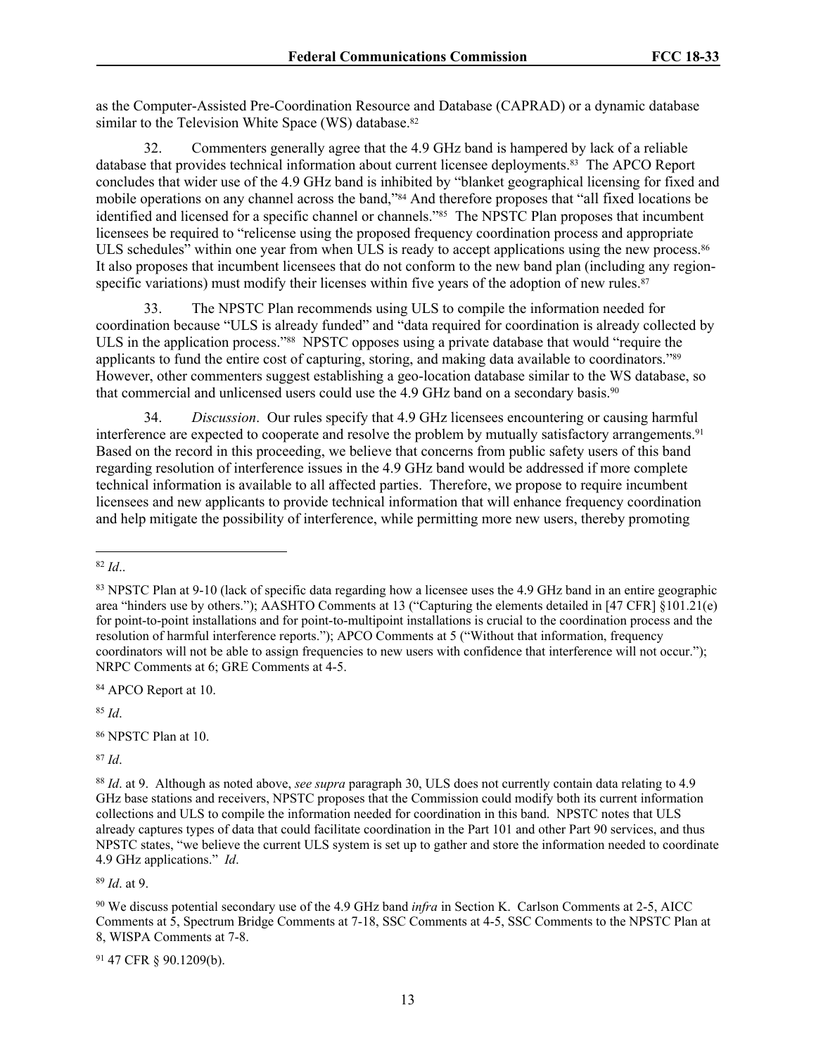as the Computer-Assisted Pre-Coordination Resource and Database (CAPRAD) or a dynamic database similar to the Television White Space (WS) database.<sup>82</sup>

32. Commenters generally agree that the 4.9 GHz band is hampered by lack of a reliable database that provides technical information about current licensee deployments.83 The APCO Report concludes that wider use of the 4.9 GHz band is inhibited by "blanket geographical licensing for fixed and mobile operations on any channel across the band,"84 And therefore proposes that "all fixed locations be identified and licensed for a specific channel or channels."<sup>85</sup> The NPSTC Plan proposes that incumbent licensees be required to "relicense using the proposed frequency coordination process and appropriate ULS schedules" within one year from when ULS is ready to accept applications using the new process.<sup>86</sup> It also proposes that incumbent licensees that do not conform to the new band plan (including any regionspecific variations) must modify their licenses within five years of the adoption of new rules.<sup>87</sup>

33. The NPSTC Plan recommends using ULS to compile the information needed for coordination because "ULS is already funded" and "data required for coordination is already collected by ULS in the application process."88 NPSTC opposes using a private database that would "require the applicants to fund the entire cost of capturing, storing, and making data available to coordinators."<sup>89</sup> However, other commenters suggest establishing a geo-location database similar to the WS database, so that commercial and unlicensed users could use the 4.9 GHz band on a secondary basis.<sup>90</sup>

34. *Discussion*. Our rules specify that 4.9 GHz licensees encountering or causing harmful interference are expected to cooperate and resolve the problem by mutually satisfactory arrangements.<sup>91</sup> Based on the record in this proceeding, we believe that concerns from public safety users of this band regarding resolution of interference issues in the 4.9 GHz band would be addressed if more complete technical information is available to all affected parties. Therefore, we propose to require incumbent licensees and new applicants to provide technical information that will enhance frequency coordination and help mitigate the possibility of interference, while permitting more new users, thereby promoting

<sup>84</sup> APCO Report at 10.

<sup>85</sup> *Id*.

<sup>87</sup> *Id*.

<sup>89</sup> *Id*. at 9.

91 47 CFR § 90.1209(b).

<sup>82</sup> *Id*..

<sup>83</sup> NPSTC Plan at 9-10 (lack of specific data regarding how a licensee uses the 4.9 GHz band in an entire geographic area "hinders use by others."); AASHTO Comments at 13 ("Capturing the elements detailed in [47 CFR] §101.21(e) for point-to-point installations and for point-to-multipoint installations is crucial to the coordination process and the resolution of harmful interference reports."); APCO Comments at 5 ("Without that information, frequency coordinators will not be able to assign frequencies to new users with confidence that interference will not occur."); NRPC Comments at 6; GRE Comments at 4-5.

<sup>86</sup> NPSTC Plan at 10.

<sup>88</sup> *Id*. at 9. Although as noted above, *see supra* paragraph 30, ULS does not currently contain data relating to 4.9 GHz base stations and receivers, NPSTC proposes that the Commission could modify both its current information collections and ULS to compile the information needed for coordination in this band. NPSTC notes that ULS already captures types of data that could facilitate coordination in the Part 101 and other Part 90 services, and thus NPSTC states, "we believe the current ULS system is set up to gather and store the information needed to coordinate 4.9 GHz applications." *Id*.

<sup>90</sup> We discuss potential secondary use of the 4.9 GHz band *infra* in Section [K.](#page-23-0) Carlson Comments at 2-5, AICC Comments at 5, Spectrum Bridge Comments at 7-18, SSC Comments at 4-5, SSC Comments to the NPSTC Plan at 8, WISPA Comments at 7-8.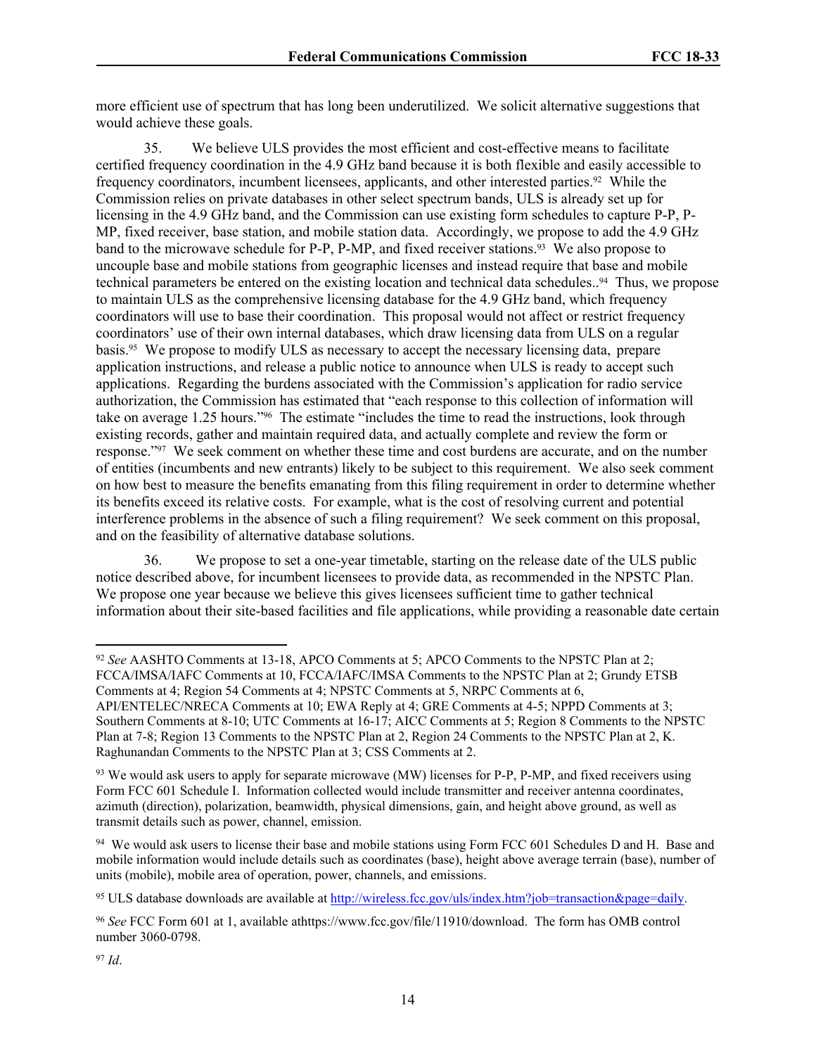more efficient use of spectrum that has long been underutilized. We solicit alternative suggestions that would achieve these goals.

35. We believe ULS provides the most efficient and cost-effective means to facilitate certified frequency coordination in the 4.9 GHz band because it is both flexible and easily accessible to frequency coordinators, incumbent licensees, applicants, and other interested parties.92 While the Commission relies on private databases in other select spectrum bands, ULS is already set up for licensing in the 4.9 GHz band, and the Commission can use existing form schedules to capture P-P, P-MP, fixed receiver, base station, and mobile station data. Accordingly, we propose to add the 4.9 GHz band to the microwave schedule for P-P, P-MP, and fixed receiver stations.93 We also propose to uncouple base and mobile stations from geographic licenses and instead require that base and mobile technical parameters be entered on the existing location and technical data schedules..94 Thus, we propose to maintain ULS as the comprehensive licensing database for the 4.9 GHz band, which frequency coordinators will use to base their coordination. This proposal would not affect or restrict frequency coordinators' use of their own internal databases, which draw licensing data from ULS on a regular basis.95 We propose to modify ULS as necessary to accept the necessary licensing data, prepare application instructions, and release a public notice to announce when ULS is ready to accept such applications. Regarding the burdens associated with the Commission's application for radio service authorization, the Commission has estimated that "each response to this collection of information will take on average 1.25 hours."96 The estimate "includes the time to read the instructions, look through existing records, gather and maintain required data, and actually complete and review the form or response."97 We seek comment on whether these time and cost burdens are accurate, and on the number of entities (incumbents and new entrants) likely to be subject to this requirement. We also seek comment on how best to measure the benefits emanating from this filing requirement in order to determine whether its benefits exceed its relative costs. For example, what is the cost of resolving current and potential interference problems in the absence of such a filing requirement? We seek comment on this proposal, and on the feasibility of alternative database solutions.

<span id="page-13-0"></span>36. We propose to set a one-year timetable, starting on the release date of the ULS public notice described above, for incumbent licensees to provide data, as recommended in the NPSTC Plan. We propose one year because we believe this gives licensees sufficient time to gather technical information about their site-based facilities and file applications, while providing a reasonable date certain

<sup>92</sup> *See* AASHTO Comments at 13-18, APCO Comments at 5; APCO Comments to the NPSTC Plan at 2; FCCA/IMSA/IAFC Comments at 10, FCCA/IAFC/IMSA Comments to the NPSTC Plan at 2; Grundy ETSB Comments at 4; Region 54 Comments at 4; NPSTC Comments at 5, NRPC Comments at 6, API/ENTELEC/NRECA Comments at 10; EWA Reply at 4; GRE Comments at 4-5; NPPD Comments at 3; Southern Comments at 8-10; UTC Comments at 16-17; AICC Comments at 5; Region 8 Comments to the NPSTC Plan at 7-8; Region 13 Comments to the NPSTC Plan at 2, Region 24 Comments to the NPSTC Plan at 2, K. Raghunandan Comments to the NPSTC Plan at 3; CSS Comments at 2.

<sup>93</sup> We would ask users to apply for separate microwave (MW) licenses for P-P, P-MP, and fixed receivers using Form FCC 601 Schedule I. Information collected would include transmitter and receiver antenna coordinates, azimuth (direction), polarization, beamwidth, physical dimensions, gain, and height above ground, as well as transmit details such as power, channel, emission.

 $94$  We would ask users to license their base and mobile stations using Form FCC 601 Schedules D and H. Base and mobile information would include details such as coordinates (base), height above average terrain (base), number of units (mobile), mobile area of operation, power, channels, and emissions.

<sup>95</sup> ULS database downloads are available at [http://wireless.fcc.gov/uls/index.htm?job=transaction&page=daily.](http://wireless.fcc.gov/uls/index.htm?job=transaction&page=daily)

<sup>96</sup> *See* FCC Form 601 at 1, available athttps://www.fcc.gov/file/11910/download. The form has OMB control number 3060-0798.

<sup>97</sup> *Id*.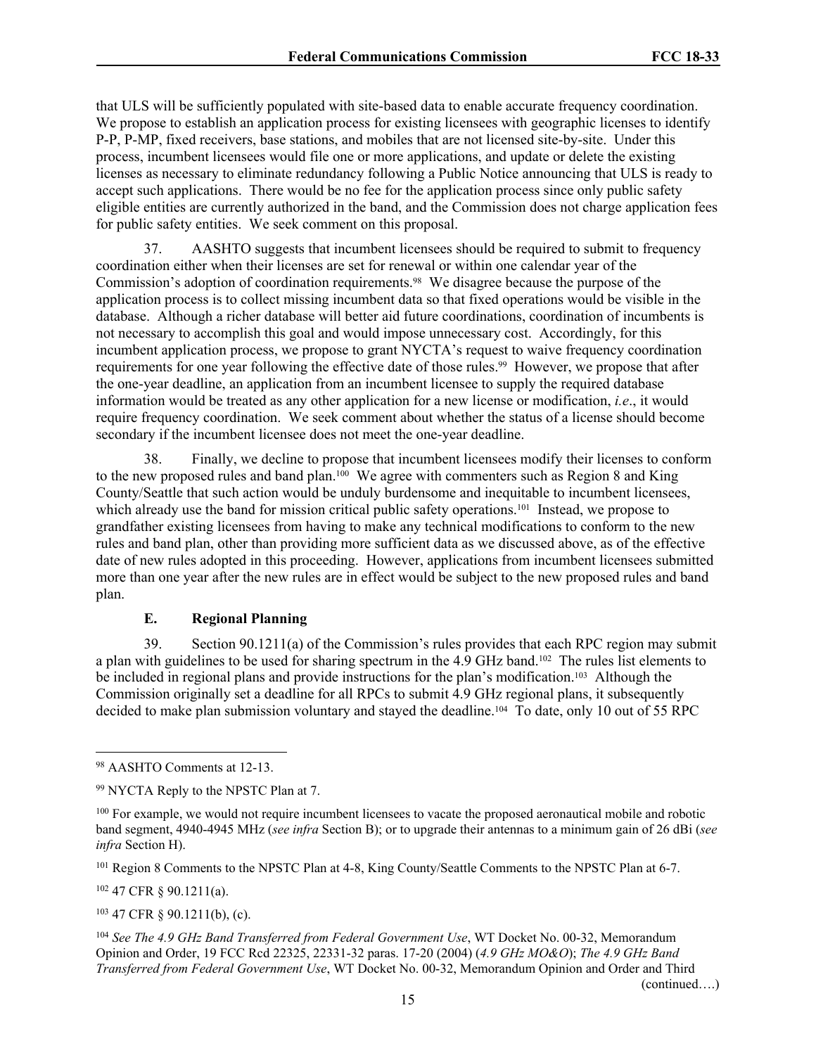that ULS will be sufficiently populated with site-based data to enable accurate frequency coordination. We propose to establish an application process for existing licensees with geographic licenses to identify P-P, P-MP, fixed receivers, base stations, and mobiles that are not licensed site-by-site. Under this process, incumbent licensees would file one or more applications, and update or delete the existing licenses as necessary to eliminate redundancy following a Public Notice announcing that ULS is ready to accept such applications. There would be no fee for the application process since only public safety eligible entities are currently authorized in the band, and the Commission does not charge application fees for public safety entities. We seek comment on this proposal.

37. AASHTO suggests that incumbent licensees should be required to submit to frequency coordination either when their licenses are set for renewal or within one calendar year of the Commission's adoption of coordination requirements.98 We disagree because the purpose of the application process is to collect missing incumbent data so that fixed operations would be visible in the database. Although a richer database will better aid future coordinations, coordination of incumbents is not necessary to accomplish this goal and would impose unnecessary cost. Accordingly, for this incumbent application process, we propose to grant NYCTA's request to waive frequency coordination requirements for one year following the effective date of those rules.<sup>99</sup> However, we propose that after the one-year deadline, an application from an incumbent licensee to supply the required database information would be treated as any other application for a new license or modification, *i.e*., it would require frequency coordination. We seek comment about whether the status of a license should become secondary if the incumbent licensee does not meet the one-year deadline.

38. Finally, we decline to propose that incumbent licensees modify their licenses to conform to the new proposed rules and band plan.100 We agree with commenters such as Region 8 and King County/Seattle that such action would be unduly burdensome and inequitable to incumbent licensees, which already use the band for mission critical public safety operations.<sup>101</sup> Instead, we propose to grandfather existing licensees from having to make any technical modifications to conform to the new rules and band plan, other than providing more sufficient data as we discussed above, as of the effective date of new rules adopted in this proceeding. However, applications from incumbent licensees submitted more than one year after the new rules are in effect would be subject to the new proposed rules and band plan.

# **E. Regional Planning**

39. Section 90.1211(a) of the Commission's rules provides that each RPC region may submit a plan with guidelines to be used for sharing spectrum in the 4.9 GHz band.102 The rules list elements to be included in regional plans and provide instructions for the plan's modification.103 Although the Commission originally set a deadline for all RPCs to submit 4.9 GHz regional plans, it subsequently decided to make plan submission voluntary and stayed the deadline.<sup>104</sup> To date, only 10 out of 55 RPC

<sup>101</sup> Region 8 Comments to the NPSTC Plan at 4-8, King County/Seattle Comments to the NPSTC Plan at 6-7.

<sup>102</sup> 47 CFR § 90.1211(a).

<sup>103</sup> 47 CFR § 90.1211(b), (c).

<sup>104</sup> *See The 4.9 GHz Band Transferred from Federal Government Use*, WT Docket No. 00-32, Memorandum Opinion and Order, 19 FCC Rcd 22325, 22331-32 paras. 17-20 (2004) (*4.9 GHz MO&O*); *The 4.9 GHz Band Transferred from Federal Government Use*, WT Docket No. 00-32, Memorandum Opinion and Order and Third

(continued….)

<sup>98</sup> AASHTO Comments at 12-13.

<sup>99</sup> NYCTA Reply to the NPSTC Plan at 7.

<sup>&</sup>lt;sup>100</sup> For example, we would not require incumbent licensees to vacate the proposed aeronautical mobile and robotic band segment, 4940-4945 MHz (*see infra* Section [B\)](#page-5-0); or to upgrade their antennas to a minimum gain of 26 dBi (*see infra* Section [H\)](#page-19-0).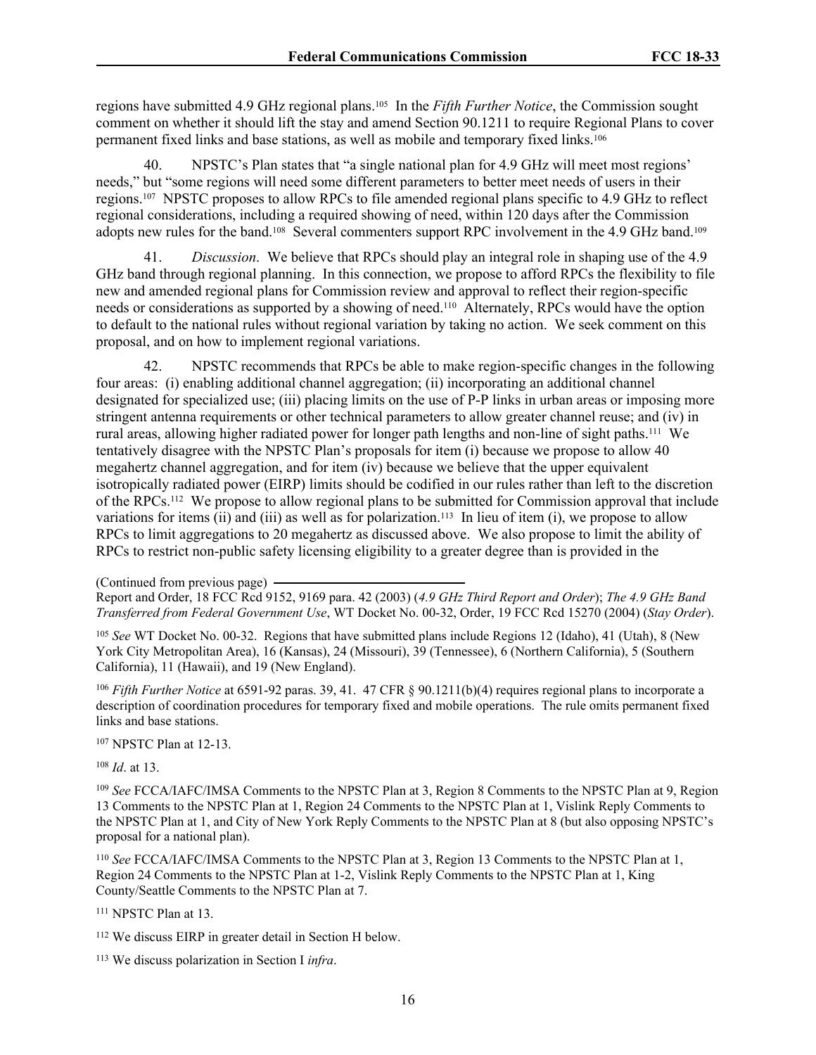regions have submitted 4.9 GHz regional plans.105 In the *Fifth Further Notice*, the Commission sought comment on whether it should lift the stay and amend Section 90.1211 to require Regional Plans to cover permanent fixed links and base stations, as well as mobile and temporary fixed links.<sup>106</sup>

40. NPSTC's Plan states that "a single national plan for 4.9 GHz will meet most regions' needs," but "some regions will need some different parameters to better meet needs of users in their regions.107 NPSTC proposes to allow RPCs to file amended regional plans specific to 4.9 GHz to reflect regional considerations, including a required showing of need, within 120 days after the Commission adopts new rules for the band.108 Several commenters support RPC involvement in the 4.9 GHz band.<sup>109</sup>

41. *Discussion*. We believe that RPCs should play an integral role in shaping use of the 4.9 GHz band through regional planning. In this connection, we propose to afford RPCs the flexibility to file new and amended regional plans for Commission review and approval to reflect their region-specific needs or considerations as supported by a showing of need.110 Alternately, RPCs would have the option to default to the national rules without regional variation by taking no action. We seek comment on this proposal, and on how to implement regional variations.

42. NPSTC recommends that RPCs be able to make region-specific changes in the following four areas: (i) enabling additional channel aggregation; (ii) incorporating an additional channel designated for specialized use; (iii) placing limits on the use of P-P links in urban areas or imposing more stringent antenna requirements or other technical parameters to allow greater channel reuse; and (iv) in rural areas, allowing higher radiated power for longer path lengths and non-line of sight paths.111 We tentatively disagree with the NPSTC Plan's proposals for item (i) because we propose to allow 40 megahertz channel aggregation, and for item (iv) because we believe that the upper equivalent isotropically radiated power (EIRP) limits should be codified in our rules rather than left to the discretion of the RPCs.112 We propose to allow regional plans to be submitted for Commission approval that include variations for items (ii) and (iii) as well as for polarization.<sup>113</sup> In lieu of item (i), we propose to allow RPCs to limit aggregations to 20 megahertz as discussed above. We also propose to limit the ability of RPCs to restrict non-public safety licensing eligibility to a greater degree than is provided in the

Report and Order, 18 FCC Rcd 9152, 9169 para. 42 (2003) (*4.9 GHz Third Report and Order*); *The 4.9 GHz Band Transferred from Federal Government Use*, WT Docket No. 00-32, Order, 19 FCC Rcd 15270 (2004) (*Stay Order*).

<sup>105</sup> *See* WT Docket No. 00-32. Regions that have submitted plans include Regions 12 (Idaho), 41 (Utah), 8 (New York City Metropolitan Area), 16 (Kansas), 24 (Missouri), 39 (Tennessee), 6 (Northern California), 5 (Southern California), 11 (Hawaii), and 19 (New England).

<sup>106</sup> *Fifth Further Notice* at 6591-92 paras. 39, 41. 47 CFR § 90.1211(b)(4) requires regional plans to incorporate a description of coordination procedures for temporary fixed and mobile operations. The rule omits permanent fixed links and base stations.

<sup>107</sup> NPSTC Plan at 12-13.

<sup>108</sup> *Id*. at 13.

<sup>109</sup> *See* FCCA/IAFC/IMSA Comments to the NPSTC Plan at 3, Region 8 Comments to the NPSTC Plan at 9, Region 13 Comments to the NPSTC Plan at 1, Region 24 Comments to the NPSTC Plan at 1, Vislink Reply Comments to the NPSTC Plan at 1, and City of New York Reply Comments to the NPSTC Plan at 8 (but also opposing NPSTC's proposal for a national plan).

<sup>110</sup> *See* FCCA/IAFC/IMSA Comments to the NPSTC Plan at 3, Region 13 Comments to the NPSTC Plan at 1, Region 24 Comments to the NPSTC Plan at 1-2, Vislink Reply Comments to the NPSTC Plan at 1, King County/Seattle Comments to the NPSTC Plan at 7.

<sup>111</sup> NPSTC Plan at 13.

<sup>112</sup> We discuss EIRP in greater detail in Section [H](#page-19-0) below.

113 We discuss polarization in Section [I](#page-21-0) *infra*.

<sup>(</sup>Continued from previous page)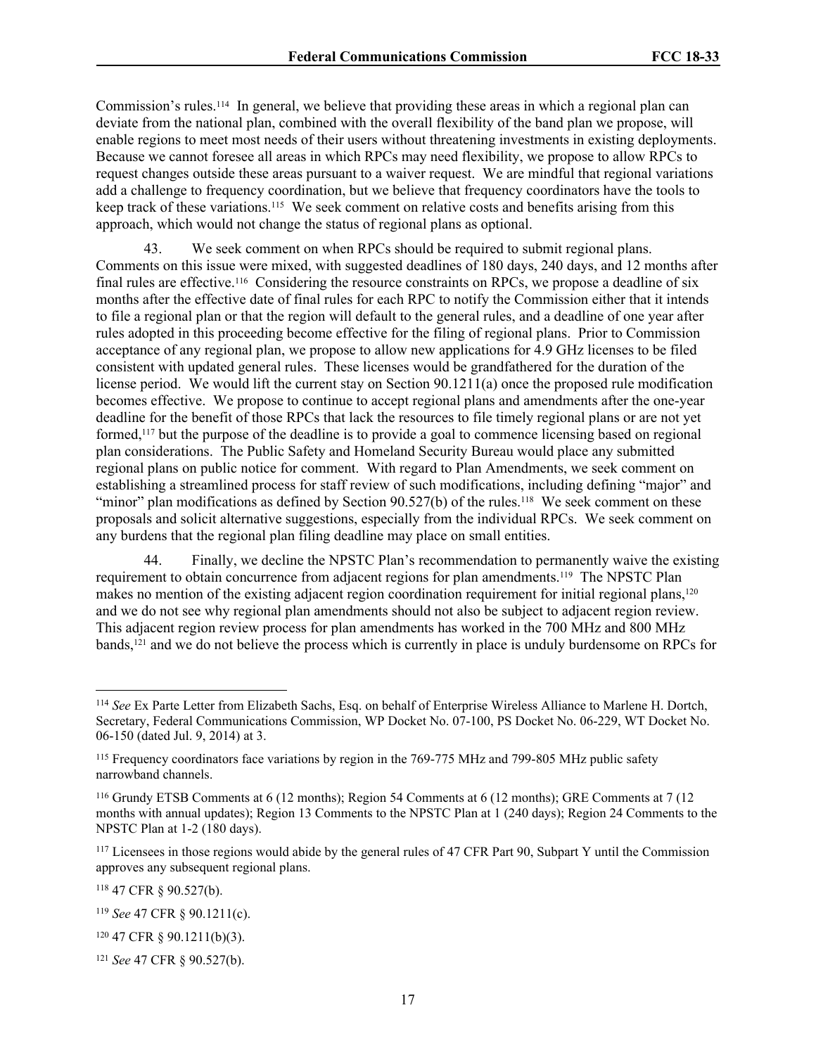Commission's rules.114 In general, we believe that providing these areas in which a regional plan can deviate from the national plan, combined with the overall flexibility of the band plan we propose, will enable regions to meet most needs of their users without threatening investments in existing deployments. Because we cannot foresee all areas in which RPCs may need flexibility, we propose to allow RPCs to request changes outside these areas pursuant to a waiver request. We are mindful that regional variations add a challenge to frequency coordination, but we believe that frequency coordinators have the tools to keep track of these variations.<sup>115</sup> We seek comment on relative costs and benefits arising from this approach, which would not change the status of regional plans as optional.

43. We seek comment on when RPCs should be required to submit regional plans. Comments on this issue were mixed, with suggested deadlines of 180 days, 240 days, and 12 months after final rules are effective.116 Considering the resource constraints on RPCs, we propose a deadline of six months after the effective date of final rules for each RPC to notify the Commission either that it intends to file a regional plan or that the region will default to the general rules, and a deadline of one year after rules adopted in this proceeding become effective for the filing of regional plans. Prior to Commission acceptance of any regional plan, we propose to allow new applications for 4.9 GHz licenses to be filed consistent with updated general rules. These licenses would be grandfathered for the duration of the license period. We would lift the current stay on Section 90.1211(a) once the proposed rule modification becomes effective. We propose to continue to accept regional plans and amendments after the one-year deadline for the benefit of those RPCs that lack the resources to file timely regional plans or are not yet formed,117 but the purpose of the deadline is to provide a goal to commence licensing based on regional plan considerations. The Public Safety and Homeland Security Bureau would place any submitted regional plans on public notice for comment. With regard to Plan Amendments, we seek comment on establishing a streamlined process for staff review of such modifications, including defining "major" and "minor" plan modifications as defined by Section  $90.527(b)$  of the rules.<sup>118</sup> We seek comment on these proposals and solicit alternative suggestions, especially from the individual RPCs. We seek comment on any burdens that the regional plan filing deadline may place on small entities.

44. Finally, we decline the NPSTC Plan's recommendation to permanently waive the existing requirement to obtain concurrence from adjacent regions for plan amendments.119 The NPSTC Plan makes no mention of the existing adjacent region coordination requirement for initial regional plans,<sup>120</sup> and we do not see why regional plan amendments should not also be subject to adjacent region review. This adjacent region review process for plan amendments has worked in the 700 MHz and 800 MHz bands,121 and we do not believe the process which is currently in place is unduly burdensome on RPCs for

<sup>114</sup> *See* Ex Parte Letter from Elizabeth Sachs, Esq. on behalf of Enterprise Wireless Alliance to Marlene H. Dortch, Secretary, Federal Communications Commission, WP Docket No. 07-100, PS Docket No. 06-229, WT Docket No. 06-150 (dated Jul. 9, 2014) at 3.

<sup>115</sup> Frequency coordinators face variations by region in the 769-775 MHz and 799-805 MHz public safety narrowband channels.

<sup>116</sup> Grundy ETSB Comments at 6 (12 months); Region 54 Comments at 6 (12 months); GRE Comments at 7 (12 months with annual updates); Region 13 Comments to the NPSTC Plan at 1 (240 days); Region 24 Comments to the NPSTC Plan at 1-2 (180 days).

<sup>&</sup>lt;sup>117</sup> Licensees in those regions would abide by the general rules of 47 CFR Part 90, Subpart Y until the Commission approves any subsequent regional plans.

<sup>118</sup> 47 CFR § 90.527(b).

<sup>119</sup> *See* 47 CFR § 90.1211(c).

<sup>120</sup> 47 CFR § 90.1211(b)(3).

<sup>121</sup> *See* 47 CFR § 90.527(b).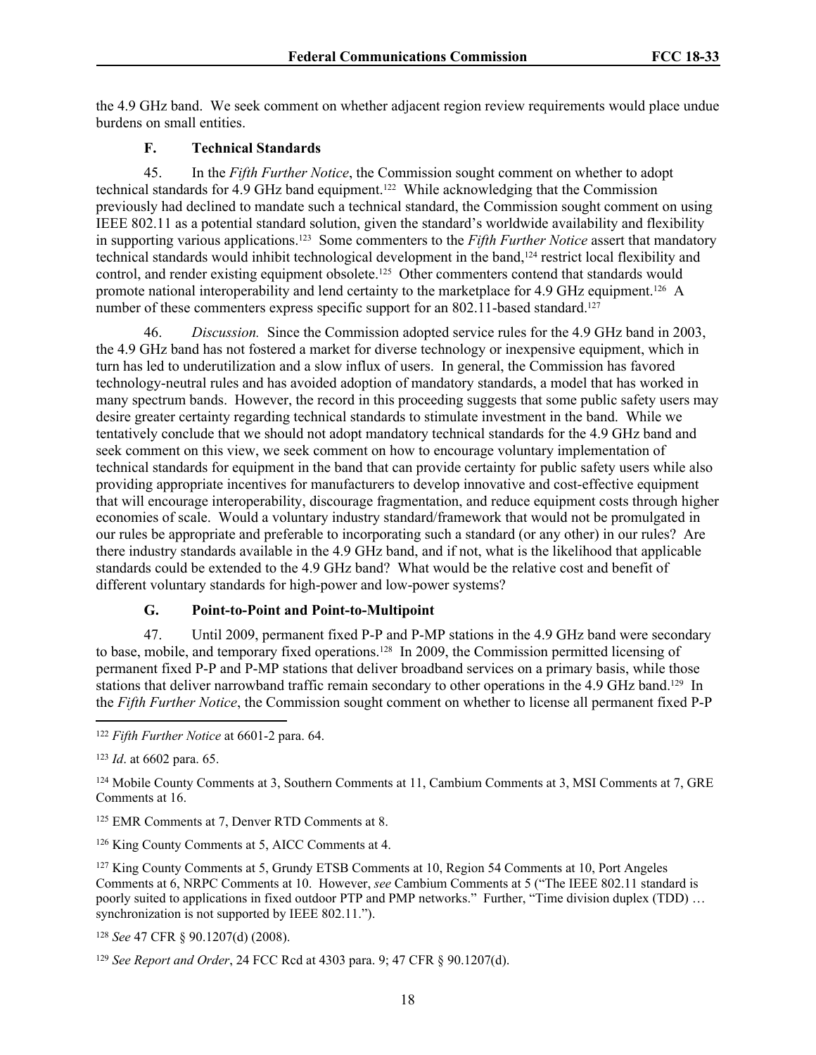the 4.9 GHz band. We seek comment on whether adjacent region review requirements would place undue burdens on small entities.

# **F. Technical Standards**

45. In the *Fifth Further Notice*, the Commission sought comment on whether to adopt technical standards for 4.9 GHz band equipment.122 While acknowledging that the Commission previously had declined to mandate such a technical standard, the Commission sought comment on using IEEE 802.11 as a potential standard solution, given the standard's worldwide availability and flexibility in supporting various applications.123 Some commenters to the *Fifth Further Notice* assert that mandatory technical standards would inhibit technological development in the band,124 restrict local flexibility and control, and render existing equipment obsolete.<sup>125</sup> Other commenters contend that standards would promote national interoperability and lend certainty to the marketplace for 4.9 GHz equipment.126 A number of these commenters express specific support for an 802.11-based standard.<sup>127</sup>

46. *Discussion.* Since the Commission adopted service rules for the 4.9 GHz band in 2003, the 4.9 GHz band has not fostered a market for diverse technology or inexpensive equipment, which in turn has led to underutilization and a slow influx of users. In general, the Commission has favored technology-neutral rules and has avoided adoption of mandatory standards, a model that has worked in many spectrum bands. However, the record in this proceeding suggests that some public safety users may desire greater certainty regarding technical standards to stimulate investment in the band. While we tentatively conclude that we should not adopt mandatory technical standards for the 4.9 GHz band and seek comment on this view, we seek comment on how to encourage voluntary implementation of technical standards for equipment in the band that can provide certainty for public safety users while also providing appropriate incentives for manufacturers to develop innovative and cost-effective equipment that will encourage interoperability, discourage fragmentation, and reduce equipment costs through higher economies of scale. Would a voluntary industry standard/framework that would not be promulgated in our rules be appropriate and preferable to incorporating such a standard (or any other) in our rules? Are there industry standards available in the 4.9 GHz band, and if not, what is the likelihood that applicable standards could be extended to the 4.9 GHz band? What would be the relative cost and benefit of different voluntary standards for high-power and low-power systems?

# <span id="page-17-0"></span>**G. Point-to-Point and Point-to-Multipoint**

47. Until 2009, permanent fixed P-P and P-MP stations in the 4.9 GHz band were secondary to base, mobile, and temporary fixed operations.128 In 2009, the Commission permitted licensing of permanent fixed P-P and P-MP stations that deliver broadband services on a primary basis, while those stations that deliver narrowband traffic remain secondary to other operations in the 4.9 GHz band.129 In the *Fifth Further Notice*, the Commission sought comment on whether to license all permanent fixed P-P

<sup>125</sup> EMR Comments at 7, Denver RTD Comments at 8.

<sup>126</sup> King County Comments at 5, AICC Comments at 4.

<sup>127</sup> King County Comments at 5, Grundy ETSB Comments at 10, Region 54 Comments at 10, Port Angeles Comments at 6, NRPC Comments at 10. However, *see* Cambium Comments at 5 ("The IEEE 802.11 standard is poorly suited to applications in fixed outdoor PTP and PMP networks." Further, "Time division duplex (TDD) … synchronization is not supported by IEEE 802.11.").

<sup>128</sup> *See* 47 CFR § 90.1207(d) (2008).

<sup>122</sup> *Fifth Further Notice* at 6601-2 para. 64.

<sup>123</sup> *Id*. at 6602 para. 65.

<sup>124</sup> Mobile County Comments at 3, Southern Comments at 11, Cambium Comments at 3, MSI Comments at 7, GRE Comments at 16.

<sup>129</sup> *See Report and Order*, 24 FCC Rcd at 4303 para. 9; 47 CFR § 90.1207(d).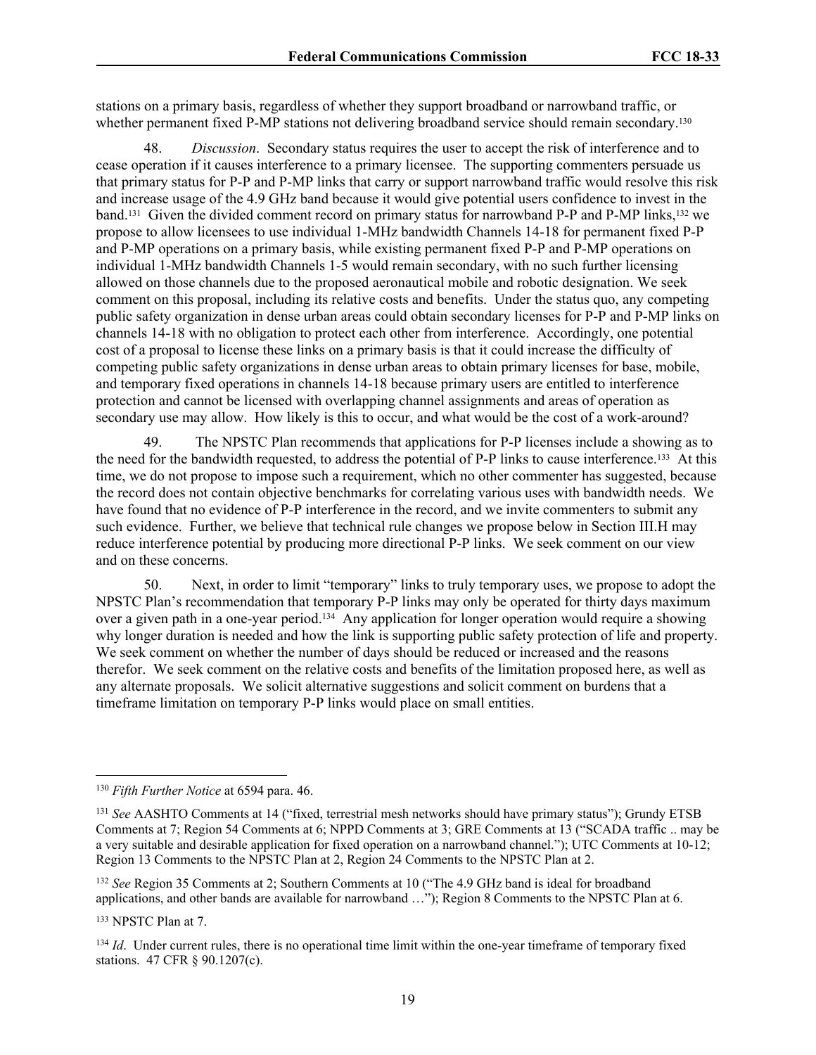stations on a primary basis, regardless of whether they support broadband or narrowband traffic, or whether permanent fixed P-MP stations not delivering broadband service should remain secondary.<sup>130</sup>

48. *Discussion*. Secondary status requires the user to accept the risk of interference and to cease operation if it causes interference to a primary licensee. The supporting commenters persuade us that primary status for P-P and P-MP links that carry or support narrowband traffic would resolve this risk and increase usage of the 4.9 GHz band because it would give potential users confidence to invest in the band.131 Given the divided comment record on primary status for narrowband P-P and P-MP links,132 we propose to allow licensees to use individual 1-MHz bandwidth Channels 14-18 for permanent fixed P-P and P-MP operations on a primary basis, while existing permanent fixed P-P and P-MP operations on individual 1-MHz bandwidth Channels 1-5 would remain secondary, with no such further licensing allowed on those channels due to the proposed aeronautical mobile and robotic designation. We seek comment on this proposal, including its relative costs and benefits. Under the status quo, any competing public safety organization in dense urban areas could obtain secondary licenses for P-P and P-MP links on channels 14-18 with no obligation to protect each other from interference. Accordingly, one potential cost of a proposal to license these links on a primary basis is that it could increase the difficulty of competing public safety organizations in dense urban areas to obtain primary licenses for base, mobile, and temporary fixed operations in channels 14-18 because primary users are entitled to interference protection and cannot be licensed with overlapping channel assignments and areas of operation as secondary use may allow. How likely is this to occur, and what would be the cost of a work-around?

49. The NPSTC Plan recommends that applications for P-P licenses include a showing as to the need for the bandwidth requested, to address the potential of P-P links to cause interference.133 At this time, we do not propose to impose such a requirement, which no other commenter has suggested, because the record does not contain objective benchmarks for correlating various uses with bandwidth needs. We have found that no evidence of P-P interference in the record, and we invite commenters to submit any such evidence. Further, we believe that technical rule changes we propose below in Section III.[H](#page-19-0) may reduce interference potential by producing more directional P-P links. We seek comment on our view and on these concerns.

50. Next, in order to limit "temporary" links to truly temporary uses, we propose to adopt the NPSTC Plan's recommendation that temporary P-P links may only be operated for thirty days maximum over a given path in a one-year period.134 Any application for longer operation would require a showing why longer duration is needed and how the link is supporting public safety protection of life and property. We seek comment on whether the number of days should be reduced or increased and the reasons therefor. We seek comment on the relative costs and benefits of the limitation proposed here, as well as any alternate proposals. We solicit alternative suggestions and solicit comment on burdens that a timeframe limitation on temporary P-P links would place on small entities.

<sup>130</sup> *Fifth Further Notice* at 6594 para. 46.

<sup>131</sup> *See* AASHTO Comments at 14 ("fixed, terrestrial mesh networks should have primary status"); Grundy ETSB Comments at 7; Region 54 Comments at 6; NPPD Comments at 3; GRE Comments at 13 ("SCADA traffic .. may be a very suitable and desirable application for fixed operation on a narrowband channel."); UTC Comments at 10-12; Region 13 Comments to the NPSTC Plan at 2, Region 24 Comments to the NPSTC Plan at 2.

<sup>132</sup> *See* Region 35 Comments at 2; Southern Comments at 10 ("The 4.9 GHz band is ideal for broadband applications, and other bands are available for narrowband …"); Region 8 Comments to the NPSTC Plan at 6.

<sup>133</sup> NPSTC Plan at 7.

<sup>&</sup>lt;sup>134</sup> *Id*. Under current rules, there is no operational time limit within the one-year timeframe of temporary fixed stations. 47 CFR § 90.1207(c).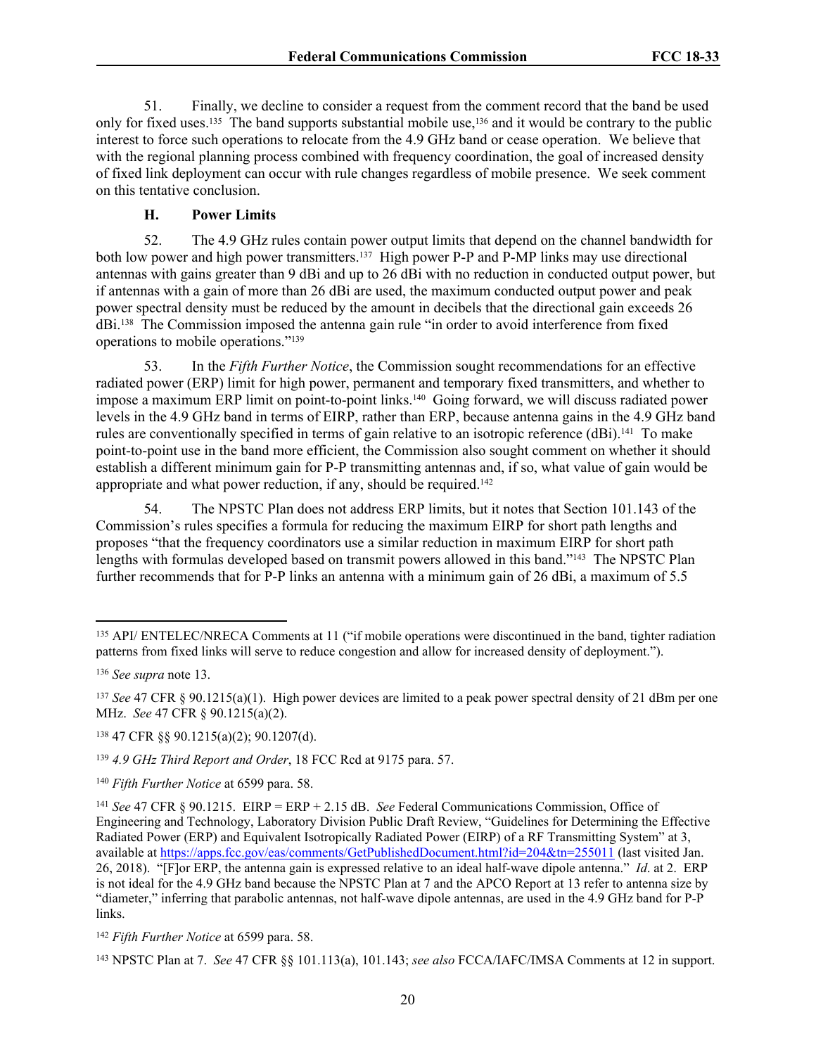51. Finally, we decline to consider a request from the comment record that the band be used only for fixed uses.135 The band supports substantial mobile use,136 and it would be contrary to the public interest to force such operations to relocate from the 4.9 GHz band or cease operation. We believe that with the regional planning process combined with frequency coordination, the goal of increased density of fixed link deployment can occur with rule changes regardless of mobile presence. We seek comment on this tentative conclusion.

#### <span id="page-19-0"></span>**H. Power Limits**

52. The 4.9 GHz rules contain power output limits that depend on the channel bandwidth for both low power and high power transmitters.<sup>137</sup> High power P-P and P-MP links may use directional antennas with gains greater than 9 dBi and up to 26 dBi with no reduction in conducted output power, but if antennas with a gain of more than 26 dBi are used, the maximum conducted output power and peak power spectral density must be reduced by the amount in decibels that the directional gain exceeds 26 dBi.138 The Commission imposed the antenna gain rule "in order to avoid interference from fixed operations to mobile operations."<sup>139</sup>

53. In the *Fifth Further Notice*, the Commission sought recommendations for an effective radiated power (ERP) limit for high power, permanent and temporary fixed transmitters, and whether to impose a maximum ERP limit on point-to-point links.<sup>140</sup> Going forward, we will discuss radiated power levels in the 4.9 GHz band in terms of EIRP, rather than ERP, because antenna gains in the 4.9 GHz band rules are conventionally specified in terms of gain relative to an isotropic reference (dBi).141 To make point-to-point use in the band more efficient, the Commission also sought comment on whether it should establish a different minimum gain for P-P transmitting antennas and, if so, what value of gain would be appropriate and what power reduction, if any, should be required.<sup>142</sup>

54. The NPSTC Plan does not address ERP limits, but it notes that Section 101.143 of the Commission's rules specifies a formula for reducing the maximum EIRP for short path lengths and proposes "that the frequency coordinators use a similar reduction in maximum EIRP for short path lengths with formulas developed based on transmit powers allowed in this band."143 The NPSTC Plan further recommends that for P-P links an antenna with a minimum gain of 26 dBi, a maximum of 5.5

<sup>135</sup> API/ ENTELEC/NRECA Comments at 11 ("if mobile operations were discontinued in the band, tighter radiation patterns from fixed links will serve to reduce congestion and allow for increased density of deployment.").

<sup>136</sup> *See supra* note [13.](#page-2-0)

<sup>137</sup> *See* 47 CFR § 90.1215(a)(1). High power devices are limited to a peak power spectral density of 21 dBm per one MHz. *See* 47 CFR § 90.1215(a)(2).

<sup>138</sup> 47 CFR §§ 90.1215(a)(2); 90.1207(d).

<sup>139</sup> *4.9 GHz Third Report and Order*, 18 FCC Rcd at 9175 para. 57.

<sup>140</sup> *Fifth Further Notice* at 6599 para. 58.

<sup>141</sup> *See* 47 CFR § 90.1215. EIRP = ERP + 2.15 dB. *See* Federal Communications Commission, Office of Engineering and Technology, Laboratory Division Public Draft Review, "Guidelines for Determining the Effective Radiated Power (ERP) and Equivalent Isotropically Radiated Power (EIRP) of a RF Transmitting System" at 3, available at<https://apps.fcc.gov/eas/comments/GetPublishedDocument.html?id=204&tn=255011> (last visited Jan. 26, 2018). "[F]or ERP, the antenna gain is expressed relative to an ideal half-wave dipole antenna." *Id*. at 2. ERP is not ideal for the 4.9 GHz band because the NPSTC Plan at 7 and the APCO Report at 13 refer to antenna size by "diameter," inferring that parabolic antennas, not half-wave dipole antennas, are used in the 4.9 GHz band for P-P links.

<sup>142</sup> *Fifth Further Notice* at 6599 para. 58.

<sup>143</sup> NPSTC Plan at 7. *See* 47 CFR §§ 101.113(a), 101.143; *see also* FCCA/IAFC/IMSA Comments at 12 in support.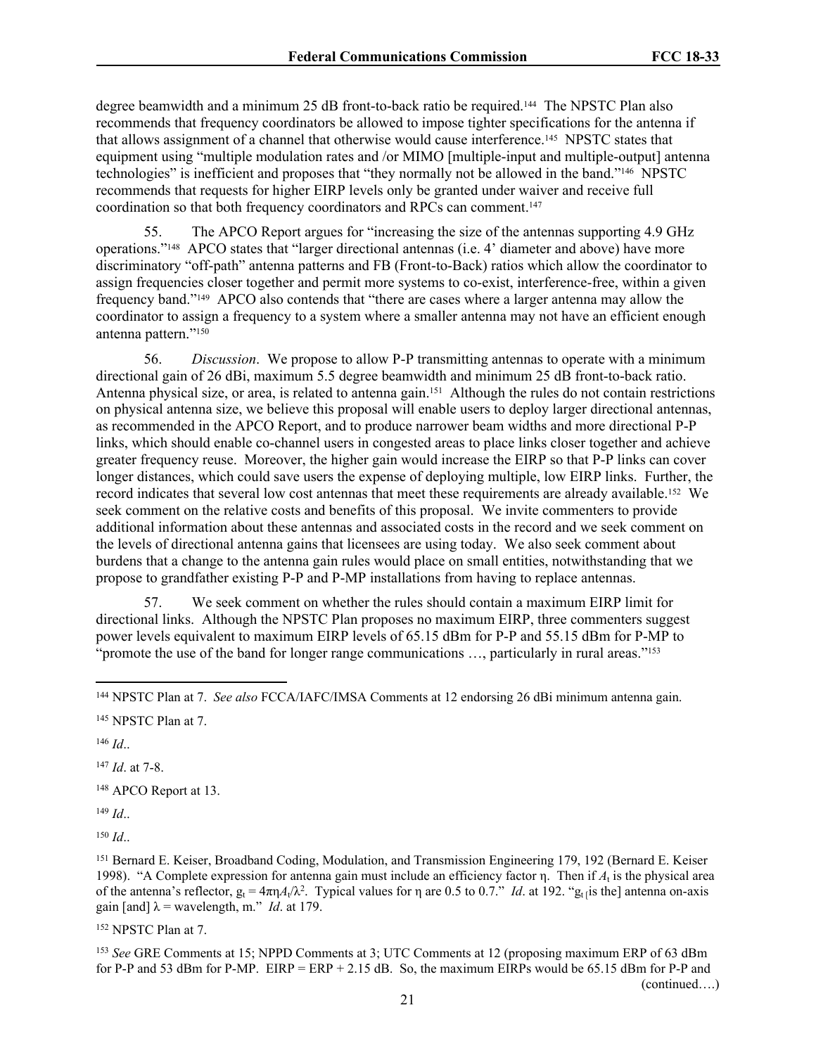degree beamwidth and a minimum 25 dB front-to-back ratio be required.144 The NPSTC Plan also recommends that frequency coordinators be allowed to impose tighter specifications for the antenna if that allows assignment of a channel that otherwise would cause interference.145 NPSTC states that equipment using "multiple modulation rates and /or MIMO [multiple-input and multiple-output] antenna technologies" is inefficient and proposes that "they normally not be allowed in the band."146 NPSTC recommends that requests for higher EIRP levels only be granted under waiver and receive full coordination so that both frequency coordinators and RPCs can comment.<sup>147</sup>

55. The APCO Report argues for "increasing the size of the antennas supporting 4.9 GHz operations."148 APCO states that "larger directional antennas (i.e. 4' diameter and above) have more discriminatory "off-path" antenna patterns and FB (Front-to-Back) ratios which allow the coordinator to assign frequencies closer together and permit more systems to co-exist, interference-free, within a given frequency band."149 APCO also contends that "there are cases where a larger antenna may allow the coordinator to assign a frequency to a system where a smaller antenna may not have an efficient enough antenna pattern." 150

56. *Discussion*. We propose to allow P-P transmitting antennas to operate with a minimum directional gain of 26 dBi, maximum 5.5 degree beamwidth and minimum 25 dB front-to-back ratio. Antenna physical size, or area, is related to antenna gain.151 Although the rules do not contain restrictions on physical antenna size, we believe this proposal will enable users to deploy larger directional antennas, as recommended in the APCO Report, and to produce narrower beam widths and more directional P-P links, which should enable co-channel users in congested areas to place links closer together and achieve greater frequency reuse. Moreover, the higher gain would increase the EIRP so that P-P links can cover longer distances, which could save users the expense of deploying multiple, low EIRP links. Further, the record indicates that several low cost antennas that meet these requirements are already available.152 We seek comment on the relative costs and benefits of this proposal. We invite commenters to provide additional information about these antennas and associated costs in the record and we seek comment on the levels of directional antenna gains that licensees are using today. We also seek comment about burdens that a change to the antenna gain rules would place on small entities, notwithstanding that we propose to grandfather existing P-P and P-MP installations from having to replace antennas.

57. We seek comment on whether the rules should contain a maximum EIRP limit for directional links. Although the NPSTC Plan proposes no maximum EIRP, three commenters suggest power levels equivalent to maximum EIRP levels of 65.15 dBm for P-P and 55.15 dBm for P-MP to "promote the use of the band for longer range communications ..., particularly in rural areas."<sup>153</sup>

<sup>146</sup> *Id*..

<sup>147</sup> *Id*. at 7-8.

<sup>148</sup> APCO Report at 13.

<sup>149</sup> *Id*..

<sup>150</sup> *Id*..

<sup>151</sup> Bernard E. Keiser, Broadband Coding, Modulation, and Transmission Engineering 179, 192 (Bernard E. Keiser 1998). "A Complete expression for antenna gain must include an efficiency factor η. Then if  $A_t$  is the physical area of the antenna's reflector,  $g_t = 4\pi n A_t/\lambda^2$ . Typical values for  $\eta$  are 0.5 to 0.7." *Id*. at 192. " $g_t$ <sub>[is</sub> the] antenna on-axis gain [and]  $\lambda$  = wavelength, m." *Id*. at 179.

<sup>152</sup> NPSTC Plan at 7.

<sup>153</sup> *See* GRE Comments at 15; NPPD Comments at 3; UTC Comments at 12 (proposing maximum ERP of 63 dBm for P-P and 53 dBm for P-MP.  $EIRP = ERP + 2.15$  dB. So, the maximum EIRPs would be 65.15 dBm for P-P and (continued….)

<sup>144</sup> NPSTC Plan at 7. *See also* FCCA/IAFC/IMSA Comments at 12 endorsing 26 dBi minimum antenna gain.

<sup>145</sup> NPSTC Plan at 7.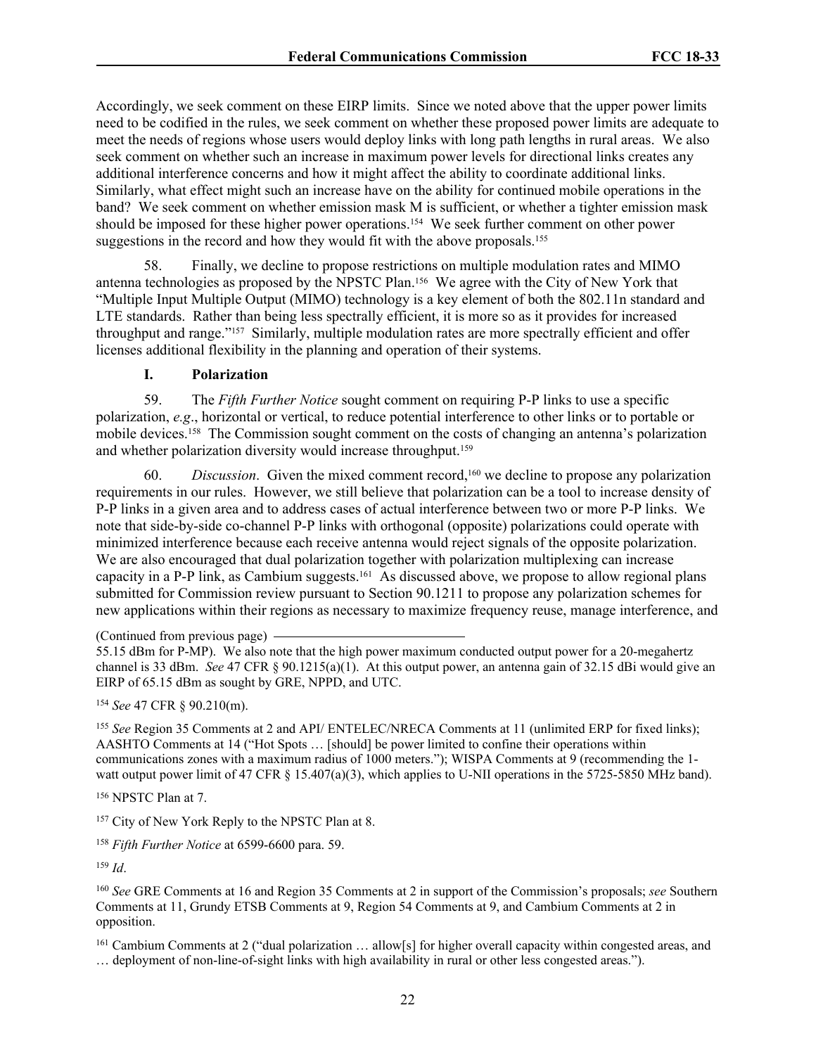Accordingly, we seek comment on these EIRP limits. Since we noted above that the upper power limits need to be codified in the rules, we seek comment on whether these proposed power limits are adequate to meet the needs of regions whose users would deploy links with long path lengths in rural areas. We also seek comment on whether such an increase in maximum power levels for directional links creates any additional interference concerns and how it might affect the ability to coordinate additional links. Similarly, what effect might such an increase have on the ability for continued mobile operations in the band? We seek comment on whether emission mask M is sufficient, or whether a tighter emission mask should be imposed for these higher power operations.154 We seek further comment on other power suggestions in the record and how they would fit with the above proposals.<sup>155</sup>

58. Finally, we decline to propose restrictions on multiple modulation rates and MIMO antenna technologies as proposed by the NPSTC Plan.156 We agree with the City of New York that "Multiple Input Multiple Output (MIMO) technology is a key element of both the 802.11n standard and LTE standards. Rather than being less spectrally efficient, it is more so as it provides for increased throughput and range."157 Similarly, multiple modulation rates are more spectrally efficient and offer licenses additional flexibility in the planning and operation of their systems.

## <span id="page-21-0"></span>**I. Polarization**

59. The *Fifth Further Notice* sought comment on requiring P-P links to use a specific polarization, *e.g*., horizontal or vertical, to reduce potential interference to other links or to portable or mobile devices.158 The Commission sought comment on the costs of changing an antenna's polarization and whether polarization diversity would increase throughput.<sup>159</sup>

60. *Discussion*. Given the mixed comment record,160 we decline to propose any polarization requirements in our rules. However, we still believe that polarization can be a tool to increase density of P-P links in a given area and to address cases of actual interference between two or more P-P links. We note that side-by-side co-channel P-P links with orthogonal (opposite) polarizations could operate with minimized interference because each receive antenna would reject signals of the opposite polarization. We are also encouraged that dual polarization together with polarization multiplexing can increase capacity in a P-P link, as Cambium suggests.161 As discussed above, we propose to allow regional plans submitted for Commission review pursuant to Section 90.1211 to propose any polarization schemes for new applications within their regions as necessary to maximize frequency reuse, manage interference, and

<sup>154</sup> *See* 47 CFR § 90.210(m).

<sup>155</sup> *See* Region 35 Comments at 2 and API/ ENTELEC/NRECA Comments at 11 (unlimited ERP for fixed links); AASHTO Comments at 14 ("Hot Spots … [should] be power limited to confine their operations within communications zones with a maximum radius of 1000 meters."); WISPA Comments at 9 (recommending the 1 watt output power limit of 47 CFR § 15.407(a)(3), which applies to U-NII operations in the 5725-5850 MHz band).

<sup>156</sup> NPSTC Plan at 7.

<sup>157</sup> City of New York Reply to the NPSTC Plan at 8.

<sup>158</sup> *Fifth Further Notice* at 6599-6600 para. 59.

<sup>159</sup> *Id*.

<sup>160</sup> *See* GRE Comments at 16 and Region 35 Comments at 2 in support of the Commission's proposals; *see* Southern Comments at 11, Grundy ETSB Comments at 9, Region 54 Comments at 9, and Cambium Comments at 2 in opposition.

<sup>161</sup> Cambium Comments at 2 ("dual polarization … allow[s] for higher overall capacity within congested areas, and

… deployment of non-line-of-sight links with high availability in rural or other less congested areas.").

<sup>(</sup>Continued from previous page)

<sup>55.15</sup> dBm for P-MP). We also note that the high power maximum conducted output power for a 20-megahertz channel is 33 dBm. *See* 47 CFR § 90.1215(a)(1). At this output power, an antenna gain of 32.15 dBi would give an EIRP of 65.15 dBm as sought by GRE, NPPD, and UTC.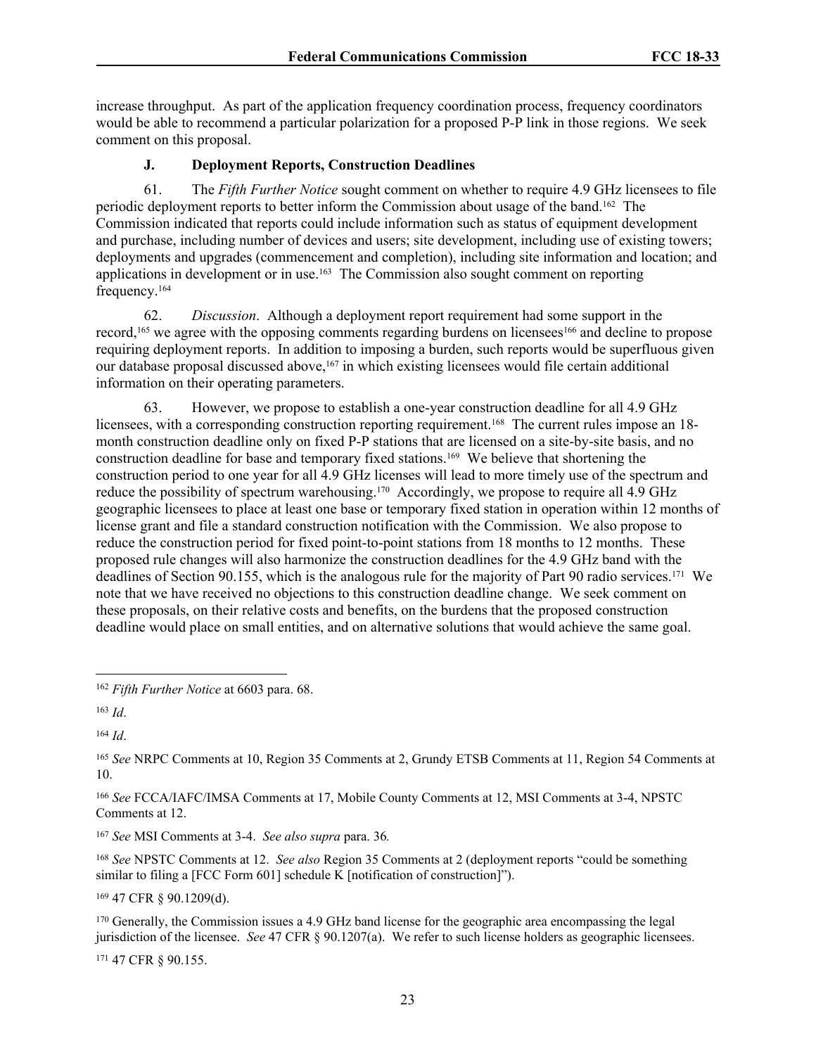increase throughput. As part of the application frequency coordination process, frequency coordinators would be able to recommend a particular polarization for a proposed P-P link in those regions. We seek comment on this proposal.

# **J. Deployment Reports, Construction Deadlines**

61. The *Fifth Further Notice* sought comment on whether to require 4.9 GHz licensees to file periodic deployment reports to better inform the Commission about usage of the band.162 The Commission indicated that reports could include information such as status of equipment development and purchase, including number of devices and users; site development, including use of existing towers; deployments and upgrades (commencement and completion), including site information and location; and applications in development or in use.163 The Commission also sought comment on reporting frequency.<sup>164</sup>

62. *Discussion*. Although a deployment report requirement had some support in the record,165 we agree with the opposing comments regarding burdens on licensees166 and decline to propose requiring deployment reports. In addition to imposing a burden, such reports would be superfluous given our database proposal discussed above,<sup>167</sup> in which existing licensees would file certain additional information on their operating parameters.

63. However, we propose to establish a one-year construction deadline for all 4.9 GHz licensees, with a corresponding construction reporting requirement.<sup>168</sup> The current rules impose an 18month construction deadline only on fixed P-P stations that are licensed on a site-by-site basis, and no construction deadline for base and temporary fixed stations.169 We believe that shortening the construction period to one year for all 4.9 GHz licenses will lead to more timely use of the spectrum and reduce the possibility of spectrum warehousing.170 Accordingly, we propose to require all 4.9 GHz geographic licensees to place at least one base or temporary fixed station in operation within 12 months of license grant and file a standard construction notification with the Commission. We also propose to reduce the construction period for fixed point-to-point stations from 18 months to 12 months. These proposed rule changes will also harmonize the construction deadlines for the 4.9 GHz band with the deadlines of Section 90.155, which is the analogous rule for the majority of Part 90 radio services.171 We note that we have received no objections to this construction deadline change. We seek comment on these proposals, on their relative costs and benefits, on the burdens that the proposed construction deadline would place on small entities, and on alternative solutions that would achieve the same goal.

<sup>164</sup> *Id*.

<sup>166</sup> *See* FCCA/IAFC/IMSA Comments at 17, Mobile County Comments at 12, MSI Comments at 3-4, NPSTC Comments at 12.

<sup>167</sup> *See* MSI Comments at 3-4. *See also supra* para. [36](#page-13-0)*.* 

<sup>168</sup> *See* NPSTC Comments at 12. *See also* Region 35 Comments at 2 (deployment reports "could be something similar to filing a [FCC Form 601] schedule K [notification of construction]").

<sup>169</sup> 47 CFR § 90.1209(d).

<sup>170</sup> Generally, the Commission issues a 4.9 GHz band license for the geographic area encompassing the legal jurisdiction of the licensee. *See* 47 CFR § 90.1207(a). We refer to such license holders as geographic licensees.

171 47 CFR § 90.155.

<sup>162</sup> *Fifth Further Notice* at 6603 para. 68.

<sup>163</sup> *Id*.

<sup>165</sup> *See* NRPC Comments at 10, Region 35 Comments at 2, Grundy ETSB Comments at 11, Region 54 Comments at 10.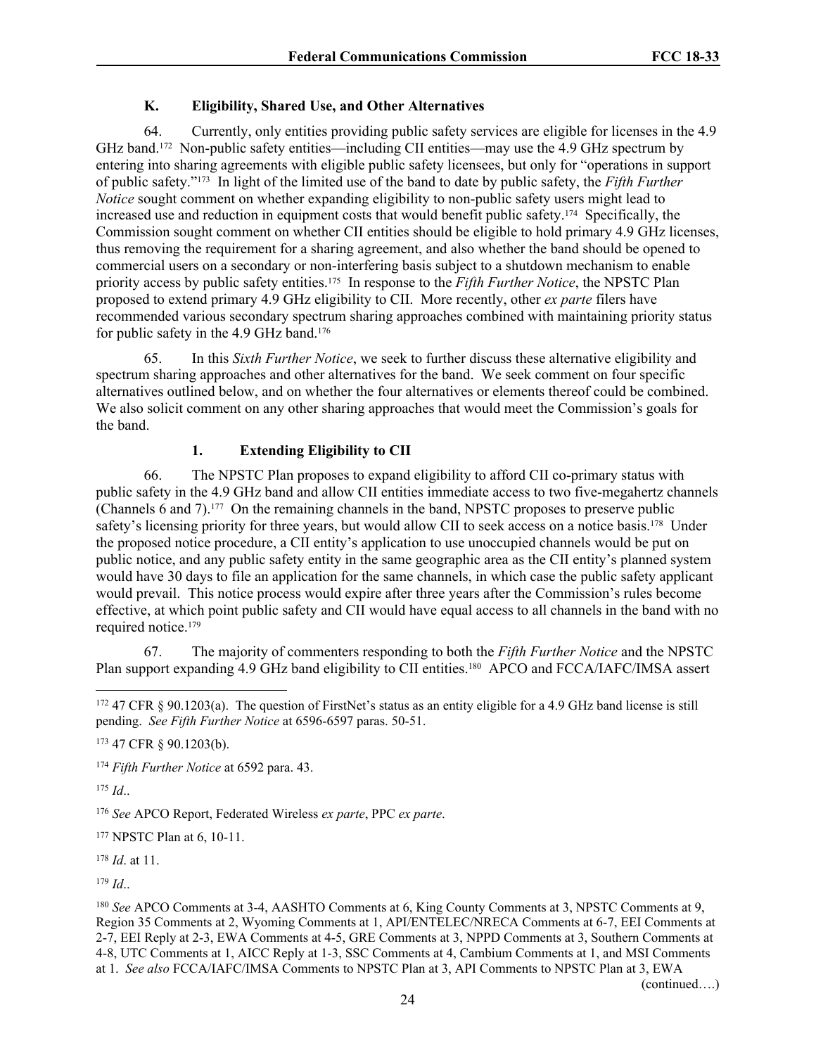# <span id="page-23-0"></span>**K. Eligibility, Shared Use, and Other Alternatives**

64. Currently, only entities providing public safety services are eligible for licenses in the 4.9 GHz band.172 Non-public safety entities—including CII entities—may use the 4.9 GHz spectrum by entering into sharing agreements with eligible public safety licensees, but only for "operations in support of public safety."173 In light of the limited use of the band to date by public safety, the *Fifth Further Notice* sought comment on whether expanding eligibility to non-public safety users might lead to increased use and reduction in equipment costs that would benefit public safety.174 Specifically, the Commission sought comment on whether CII entities should be eligible to hold primary 4.9 GHz licenses, thus removing the requirement for a sharing agreement, and also whether the band should be opened to commercial users on a secondary or non-interfering basis subject to a shutdown mechanism to enable priority access by public safety entities.175 In response to the *Fifth Further Notice*, the NPSTC Plan proposed to extend primary 4.9 GHz eligibility to CII. More recently, other *ex parte* filers have recommended various secondary spectrum sharing approaches combined with maintaining priority status for public safety in the 4.9 GHz band.<sup>176</sup>

65. In this *Sixth Further Notice*, we seek to further discuss these alternative eligibility and spectrum sharing approaches and other alternatives for the band. We seek comment on four specific alternatives outlined below, and on whether the four alternatives or elements thereof could be combined. We also solicit comment on any other sharing approaches that would meet the Commission's goals for the band.

# **1. Extending Eligibility to CII**

66. The NPSTC Plan proposes to expand eligibility to afford CII co-primary status with public safety in the 4.9 GHz band and allow CII entities immediate access to two five-megahertz channels (Channels 6 and 7).177 On the remaining channels in the band, NPSTC proposes to preserve public safety's licensing priority for three years, but would allow CII to seek access on a notice basis.<sup>178</sup> Under the proposed notice procedure, a CII entity's application to use unoccupied channels would be put on public notice, and any public safety entity in the same geographic area as the CII entity's planned system would have 30 days to file an application for the same channels, in which case the public safety applicant would prevail. This notice process would expire after three years after the Commission's rules become effective, at which point public safety and CII would have equal access to all channels in the band with no required notice.<sup>179</sup>

67. The majority of commenters responding to both the *Fifth Further Notice* and the NPSTC Plan support expanding 4.9 GHz band eligibility to CII entities.<sup>180</sup> APCO and FCCA/IAFC/IMSA assert

<sup>175</sup> *Id*..

<sup>176</sup> *See* APCO Report, Federated Wireless *ex parte*, PPC *ex parte*.

<sup>177</sup> NPSTC Plan at 6, 10-11.

<sup>178</sup> *Id*. at 11.

<sup>179</sup> *Id*..

(continued….)

<sup>172</sup> 47 CFR § 90.1203(a). The question of FirstNet's status as an entity eligible for a 4.9 GHz band license is still pending. *See Fifth Further Notice* at 6596-6597 paras. 50-51.

<sup>173</sup> 47 CFR § 90.1203(b).

<sup>174</sup> *Fifth Further Notice* at 6592 para. 43.

<sup>180</sup> *See* APCO Comments at 3-4, AASHTO Comments at 6, King County Comments at 3, NPSTC Comments at 9, Region 35 Comments at 2, Wyoming Comments at 1, API/ENTELEC/NRECA Comments at 6-7, EEI Comments at 2-7, EEI Reply at 2-3, EWA Comments at 4-5, GRE Comments at 3, NPPD Comments at 3, Southern Comments at 4-8, UTC Comments at 1, AICC Reply at 1-3, SSC Comments at 4, Cambium Comments at 1, and MSI Comments at 1. *See also* FCCA/IAFC/IMSA Comments to NPSTC Plan at 3, API Comments to NPSTC Plan at 3, EWA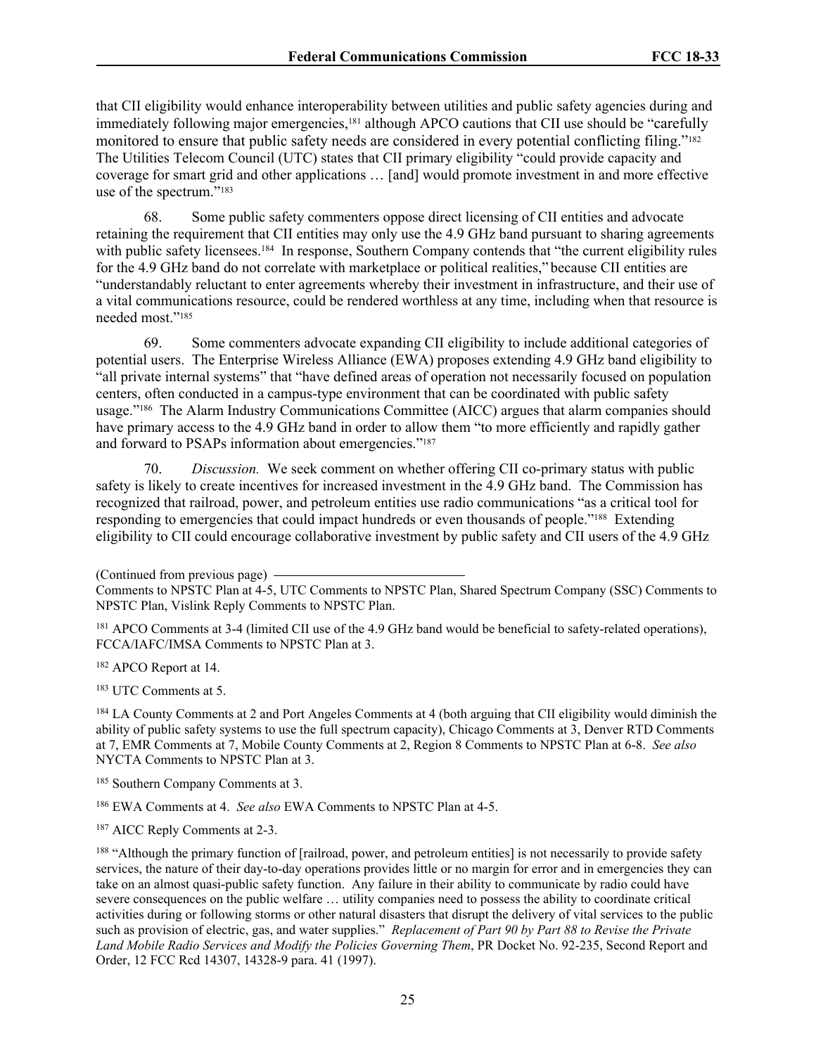that CII eligibility would enhance interoperability between utilities and public safety agencies during and immediately following major emergencies,<sup>181</sup> although APCO cautions that CII use should be "carefully monitored to ensure that public safety needs are considered in every potential conflicting filing."<sup>182</sup> The Utilities Telecom Council (UTC) states that CII primary eligibility "could provide capacity and coverage for smart grid and other applications … [and] would promote investment in and more effective use of the spectrum."<sup>183</sup>

68. Some public safety commenters oppose direct licensing of CII entities and advocate retaining the requirement that CII entities may only use the 4.9 GHz band pursuant to sharing agreements with public safety licensees.<sup>184</sup> In response, Southern Company contends that "the current eligibility rules" for the 4.9 GHz band do not correlate with marketplace or political realities," because CII entities are "understandably reluctant to enter agreements whereby their investment in infrastructure, and their use of a vital communications resource, could be rendered worthless at any time, including when that resource is needed most."<sup>185</sup>

69. Some commenters advocate expanding CII eligibility to include additional categories of potential users. The Enterprise Wireless Alliance (EWA) proposes extending 4.9 GHz band eligibility to "all private internal systems" that "have defined areas of operation not necessarily focused on population centers, often conducted in a campus-type environment that can be coordinated with public safety usage."186 The Alarm Industry Communications Committee (AICC) argues that alarm companies should have primary access to the 4.9 GHz band in order to allow them "to more efficiently and rapidly gather and forward to PSAPs information about emergencies."<sup>187</sup>

70. *Discussion.* We seek comment on whether offering CII co-primary status with public safety is likely to create incentives for increased investment in the 4.9 GHz band. The Commission has recognized that railroad, power, and petroleum entities use radio communications "as a critical tool for responding to emergencies that could impact hundreds or even thousands of people."188 Extending eligibility to CII could encourage collaborative investment by public safety and CII users of the 4.9 GHz

(Continued from previous page)

<sup>181</sup> APCO Comments at 3-4 (limited CII use of the 4.9 GHz band would be beneficial to safety-related operations), FCCA/IAFC/IMSA Comments to NPSTC Plan at 3.

<sup>182</sup> APCO Report at 14.

<sup>183</sup> UTC Comments at 5.

<sup>184</sup> LA County Comments at 2 and Port Angeles Comments at 4 (both arguing that CII eligibility would diminish the ability of public safety systems to use the full spectrum capacity), Chicago Comments at 3, Denver RTD Comments at 7, EMR Comments at 7, Mobile County Comments at 2, Region 8 Comments to NPSTC Plan at 6-8. *See also* NYCTA Comments to NPSTC Plan at 3.

<sup>185</sup> Southern Company Comments at 3.

<sup>186</sup> EWA Comments at 4. *See also* EWA Comments to NPSTC Plan at 4-5.

<sup>187</sup> AICC Reply Comments at 2-3.

<sup>188</sup> "Although the primary function of [railroad, power, and petroleum entities] is not necessarily to provide safety services, the nature of their day-to-day operations provides little or no margin for error and in emergencies they can take on an almost quasi-public safety function. Any failure in their ability to communicate by radio could have severe consequences on the public welfare … utility companies need to possess the ability to coordinate critical activities during or following storms or other natural disasters that disrupt the delivery of vital services to the public such as provision of electric, gas, and water supplies." *Replacement of Part 90 by Part 88 to Revise the Private Land Mobile Radio Services and Modify the Policies Governing Them*, PR Docket No. 92-235, Second Report and Order, 12 FCC Rcd 14307, 14328-9 para. 41 (1997).

Comments to NPSTC Plan at 4-5, UTC Comments to NPSTC Plan, Shared Spectrum Company (SSC) Comments to NPSTC Plan, Vislink Reply Comments to NPSTC Plan.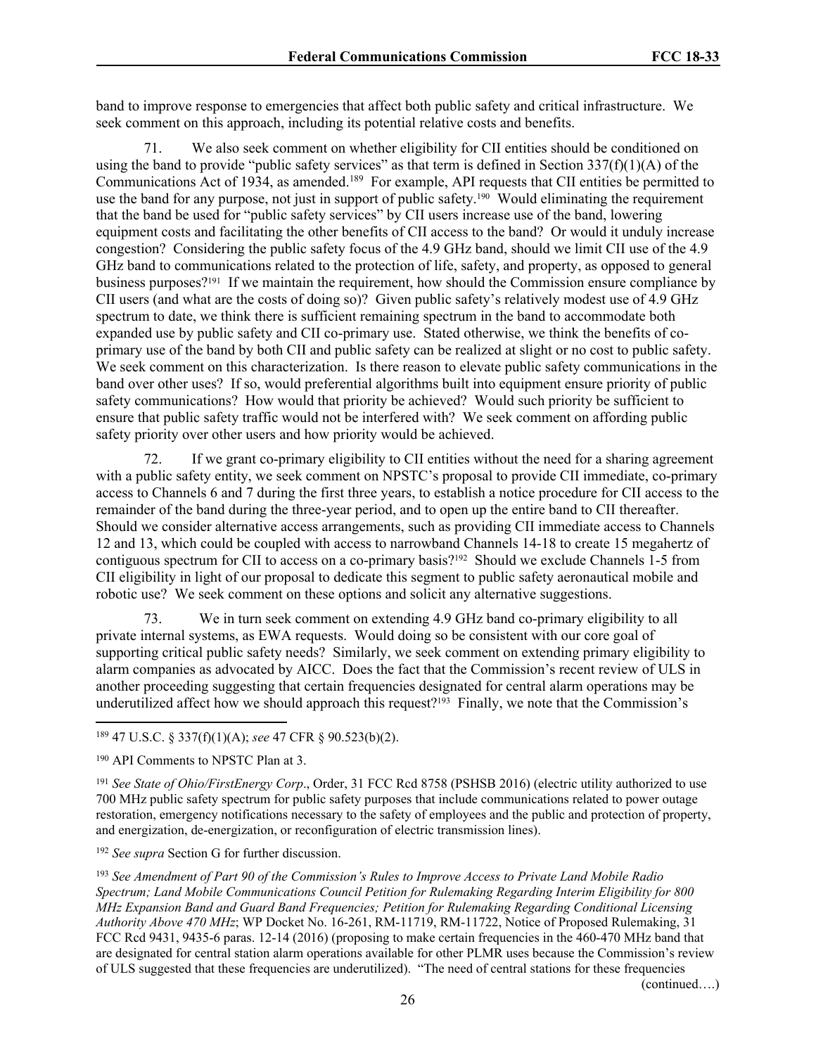band to improve response to emergencies that affect both public safety and critical infrastructure. We seek comment on this approach, including its potential relative costs and benefits.

71. We also seek comment on whether eligibility for CII entities should be conditioned on using the band to provide "public safety services" as that term is defined in Section  $337(f)(1)(A)$  of the Communications Act of 1934, as amended.<sup>189</sup> For example, API requests that CII entities be permitted to use the band for any purpose, not just in support of public safety.<sup>190</sup> Would eliminating the requirement that the band be used for "public safety services" by CII users increase use of the band, lowering equipment costs and facilitating the other benefits of CII access to the band? Or would it unduly increase congestion? Considering the public safety focus of the 4.9 GHz band, should we limit CII use of the 4.9 GHz band to communications related to the protection of life, safety, and property, as opposed to general business purposes?191 If we maintain the requirement, how should the Commission ensure compliance by CII users (and what are the costs of doing so)? Given public safety's relatively modest use of 4.9 GHz spectrum to date, we think there is sufficient remaining spectrum in the band to accommodate both expanded use by public safety and CII co-primary use. Stated otherwise, we think the benefits of coprimary use of the band by both CII and public safety can be realized at slight or no cost to public safety. We seek comment on this characterization. Is there reason to elevate public safety communications in the band over other uses? If so, would preferential algorithms built into equipment ensure priority of public safety communications? How would that priority be achieved? Would such priority be sufficient to ensure that public safety traffic would not be interfered with? We seek comment on affording public safety priority over other users and how priority would be achieved.

72. If we grant co-primary eligibility to CII entities without the need for a sharing agreement with a public safety entity, we seek comment on NPSTC's proposal to provide CII immediate, co-primary access to Channels 6 and 7 during the first three years, to establish a notice procedure for CII access to the remainder of the band during the three-year period, and to open up the entire band to CII thereafter. Should we consider alternative access arrangements, such as providing CII immediate access to Channels 12 and 13, which could be coupled with access to narrowband Channels 14-18 to create 15 megahertz of contiguous spectrum for CII to access on a co-primary basis?192 Should we exclude Channels 1-5 from CII eligibility in light of our proposal to dedicate this segment to public safety aeronautical mobile and robotic use? We seek comment on these options and solicit any alternative suggestions.

73. We in turn seek comment on extending 4.9 GHz band co-primary eligibility to all private internal systems, as EWA requests. Would doing so be consistent with our core goal of supporting critical public safety needs? Similarly, we seek comment on extending primary eligibility to alarm companies as advocated by AICC. Does the fact that the Commission's recent review of ULS in another proceeding suggesting that certain frequencies designated for central alarm operations may be underutilized affect how we should approach this request?<sup>193</sup> Finally, we note that the Commission's

<sup>191</sup> *See State of Ohio/FirstEnergy Corp*., Order, 31 FCC Rcd 8758 (PSHSB 2016) (electric utility authorized to use 700 MHz public safety spectrum for public safety purposes that include communications related to power outage restoration, emergency notifications necessary to the safety of employees and the public and protection of property, and energization, de-energization, or reconfiguration of electric transmission lines).

<sup>192</sup> *See supra* Section [G](#page-17-0) for further discussion.

<sup>193</sup> *See Amendment of Part 90 of the Commission's Rules to Improve Access to Private Land Mobile Radio Spectrum; Land Mobile Communications Council Petition for Rulemaking Regarding Interim Eligibility for 800 MHz Expansion Band and Guard Band Frequencies; Petition for Rulemaking Regarding Conditional Licensing Authority Above 470 MHz*; WP Docket No. 16-261, RM-11719, RM-11722, Notice of Proposed Rulemaking, 31 FCC Rcd 9431, 9435-6 paras. 12-14 (2016) (proposing to make certain frequencies in the 460-470 MHz band that are designated for central station alarm operations available for other PLMR uses because the Commission's review of ULS suggested that these frequencies are underutilized). "The need of central stations for these frequencies

(continued….)

<sup>189</sup> 47 U.S.C. § 337(f)(1)(A); *see* 47 CFR § 90.523(b)(2).

<sup>190</sup> API Comments to NPSTC Plan at 3.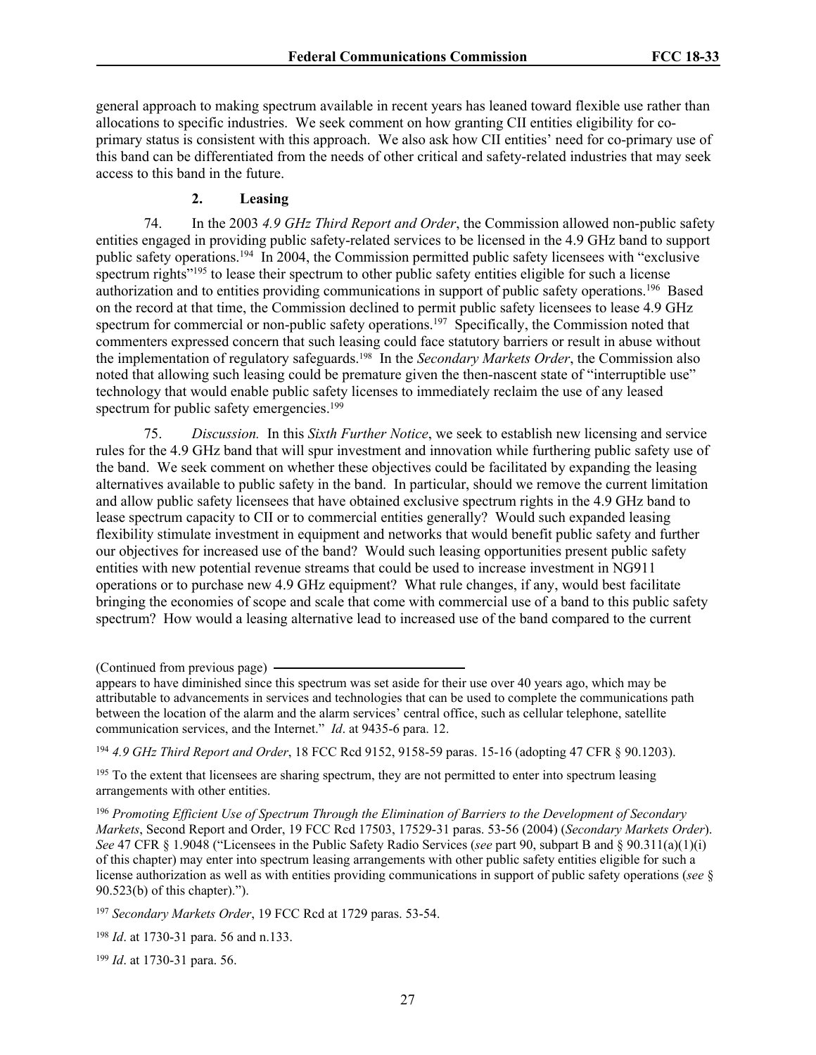general approach to making spectrum available in recent years has leaned toward flexible use rather than allocations to specific industries. We seek comment on how granting CII entities eligibility for coprimary status is consistent with this approach. We also ask how CII entities' need for co-primary use of this band can be differentiated from the needs of other critical and safety-related industries that may seek access to this band in the future.

# **2. Leasing**

74. In the 2003 *4.9 GHz Third Report and Order*, the Commission allowed non-public safety entities engaged in providing public safety-related services to be licensed in the 4.9 GHz band to support public safety operations.<sup>194</sup> In 2004, the Commission permitted public safety licensees with "exclusive spectrum rights<sup> $2195$ </sup> to lease their spectrum to other public safety entities eligible for such a license authorization and to entities providing communications in support of public safety operations.<sup>196</sup> Based on the record at that time, the Commission declined to permit public safety licensees to lease 4.9 GHz spectrum for commercial or non-public safety operations.<sup>197</sup> Specifically, the Commission noted that commenters expressed concern that such leasing could face statutory barriers or result in abuse without the implementation of regulatory safeguards.198 In the *Secondary Markets Order*, the Commission also noted that allowing such leasing could be premature given the then-nascent state of "interruptible use" technology that would enable public safety licenses to immediately reclaim the use of any leased spectrum for public safety emergencies.<sup>199</sup>

75. *Discussion.* In this *Sixth Further Notice*, we seek to establish new licensing and service rules for the 4.9 GHz band that will spur investment and innovation while furthering public safety use of the band. We seek comment on whether these objectives could be facilitated by expanding the leasing alternatives available to public safety in the band. In particular, should we remove the current limitation and allow public safety licensees that have obtained exclusive spectrum rights in the 4.9 GHz band to lease spectrum capacity to CII or to commercial entities generally? Would such expanded leasing flexibility stimulate investment in equipment and networks that would benefit public safety and further our objectives for increased use of the band? Would such leasing opportunities present public safety entities with new potential revenue streams that could be used to increase investment in NG911 operations or to purchase new 4.9 GHz equipment? What rule changes, if any, would best facilitate bringing the economies of scope and scale that come with commercial use of a band to this public safety spectrum? How would a leasing alternative lead to increased use of the band compared to the current

<sup>197</sup> *Secondary Markets Order*, 19 FCC Rcd at 1729 paras. 53-54.

<sup>199</sup> *Id*. at 1730-31 para. 56.

<sup>(</sup>Continued from previous page)

appears to have diminished since this spectrum was set aside for their use over 40 years ago, which may be attributable to advancements in services and technologies that can be used to complete the communications path between the location of the alarm and the alarm services' central office, such as cellular telephone, satellite communication services, and the Internet." *Id*. at 9435-6 para. 12.

<sup>194</sup> *4.9 GHz Third Report and Order*, 18 FCC Rcd 9152, 9158-59 paras. 15-16 (adopting 47 CFR § 90.1203).

<sup>&</sup>lt;sup>195</sup> To the extent that licensees are sharing spectrum, they are not permitted to enter into spectrum leasing arrangements with other entities.

<sup>196</sup> *Promoting Efficient Use of Spectrum Through the Elimination of Barriers to the Development of Secondary Markets*, Second Report and Order, 19 FCC Rcd 17503, 17529-31 paras. 53-56 (2004) (*Secondary Markets Order*). *See* 47 CFR § 1.9048 ("Licensees in the Public Safety Radio Services (*see* part 90, subpart B and § 90.311(a)(1)(i) of this chapter) may enter into spectrum leasing arrangements with other public safety entities eligible for such a license authorization as well as with entities providing communications in support of public safety operations (*see* § 90.523(b) of this chapter).").

<sup>198</sup> *Id*. at 1730-31 para. 56 and n.133.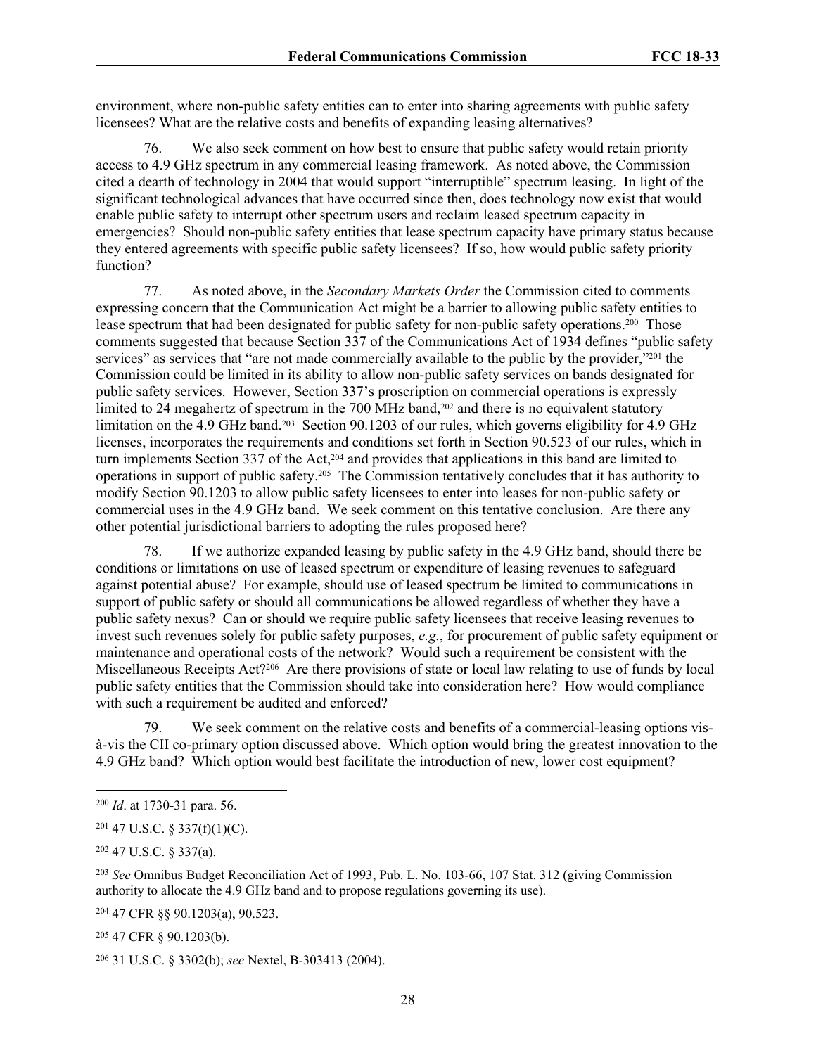environment, where non-public safety entities can to enter into sharing agreements with public safety licensees? What are the relative costs and benefits of expanding leasing alternatives?

76. We also seek comment on how best to ensure that public safety would retain priority access to 4.9 GHz spectrum in any commercial leasing framework. As noted above, the Commission cited a dearth of technology in 2004 that would support "interruptible" spectrum leasing. In light of the significant technological advances that have occurred since then, does technology now exist that would enable public safety to interrupt other spectrum users and reclaim leased spectrum capacity in emergencies? Should non-public safety entities that lease spectrum capacity have primary status because they entered agreements with specific public safety licensees? If so, how would public safety priority function?

77. As noted above, in the *Secondary Markets Order* the Commission cited to comments expressing concern that the Communication Act might be a barrier to allowing public safety entities to lease spectrum that had been designated for public safety for non-public safety operations.<sup>200</sup> Those comments suggested that because Section 337 of the Communications Act of 1934 defines "public safety services" as services that "are not made commercially available to the public by the provider,"<sup>201</sup> the Commission could be limited in its ability to allow non-public safety services on bands designated for public safety services. However, Section 337's proscription on commercial operations is expressly limited to 24 megahertz of spectrum in the 700 MHz band,<sup>202</sup> and there is no equivalent statutory limitation on the 4.9 GHz band.<sup>203</sup> Section 90.1203 of our rules, which governs eligibility for 4.9 GHz licenses, incorporates the requirements and conditions set forth in Section 90.523 of our rules, which in turn implements Section 337 of the Act,204 and provides that applications in this band are limited to operations in support of public safety.205 The Commission tentatively concludes that it has authority to modify Section 90.1203 to allow public safety licensees to enter into leases for non-public safety or commercial uses in the 4.9 GHz band. We seek comment on this tentative conclusion. Are there any other potential jurisdictional barriers to adopting the rules proposed here?

78. If we authorize expanded leasing by public safety in the 4.9 GHz band, should there be conditions or limitations on use of leased spectrum or expenditure of leasing revenues to safeguard against potential abuse? For example, should use of leased spectrum be limited to communications in support of public safety or should all communications be allowed regardless of whether they have a public safety nexus? Can or should we require public safety licensees that receive leasing revenues to invest such revenues solely for public safety purposes, *e.g.*, for procurement of public safety equipment or maintenance and operational costs of the network? Would such a requirement be consistent with the Miscellaneous Receipts Act?206 Are there provisions of state or local law relating to use of funds by local public safety entities that the Commission should take into consideration here? How would compliance with such a requirement be audited and enforced?

79. We seek comment on the relative costs and benefits of a commercial-leasing options visà-vis the CII co-primary option discussed above. Which option would bring the greatest innovation to the 4.9 GHz band? Which option would best facilitate the introduction of new, lower cost equipment?

<sup>204</sup> 47 CFR §§ 90.1203(a), 90.523.

<sup>205</sup> 47 CFR § 90.1203(b).

<sup>200</sup> *Id*. at 1730-31 para. 56.

 $201$  47 U.S.C. § 337(f)(1)(C).

<sup>202</sup> 47 U.S.C. § 337(a).

<sup>203</sup> *See* Omnibus Budget Reconciliation Act of 1993, Pub. L. No. 103-66, 107 Stat. 312 (giving Commission authority to allocate the 4.9 GHz band and to propose regulations governing its use).

<sup>206</sup> 31 U.S.C. § 3302(b); *see* Nextel, B-303413 (2004).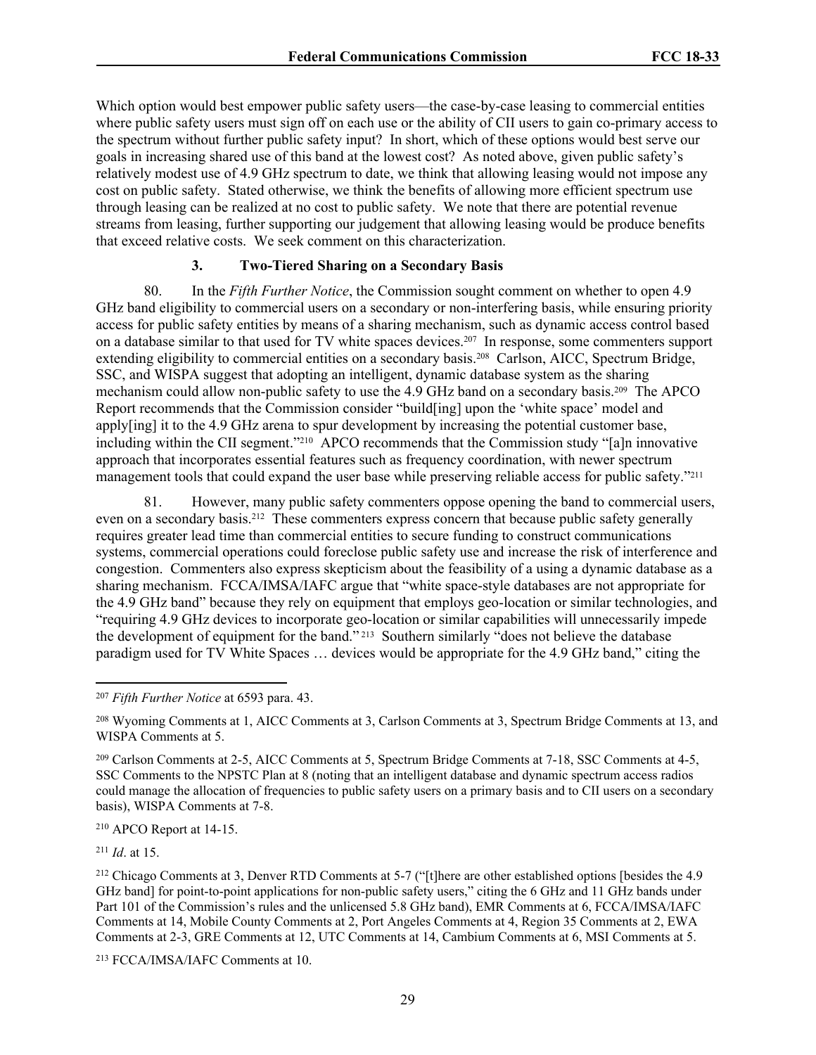Which option would best empower public safety users—the case-by-case leasing to commercial entities where public safety users must sign off on each use or the ability of CII users to gain co-primary access to the spectrum without further public safety input? In short, which of these options would best serve our goals in increasing shared use of this band at the lowest cost? As noted above, given public safety's relatively modest use of 4.9 GHz spectrum to date, we think that allowing leasing would not impose any cost on public safety. Stated otherwise, we think the benefits of allowing more efficient spectrum use through leasing can be realized at no cost to public safety. We note that there are potential revenue streams from leasing, further supporting our judgement that allowing leasing would be produce benefits that exceed relative costs. We seek comment on this characterization.

## **3. Two-Tiered Sharing on a Secondary Basis**

80. In the *Fifth Further Notice*, the Commission sought comment on whether to open 4.9 GHz band eligibility to commercial users on a secondary or non-interfering basis, while ensuring priority access for public safety entities by means of a sharing mechanism, such as dynamic access control based on a database similar to that used for TV white spaces devices.207 In response, some commenters support extending eligibility to commercial entities on a secondary basis.208 Carlson, AICC, Spectrum Bridge, SSC, and WISPA suggest that adopting an intelligent, dynamic database system as the sharing mechanism could allow non-public safety to use the 4.9 GHz band on a secondary basis.209 The APCO Report recommends that the Commission consider "build[ing] upon the 'white space' model and apply[ing] it to the 4.9 GHz arena to spur development by increasing the potential customer base, including within the CII segment." <sup>210</sup> APCO recommends that the Commission study "[a]n innovative approach that incorporates essential features such as frequency coordination, with newer spectrum management tools that could expand the user base while preserving reliable access for public safety."<sup>211</sup>

81. However, many public safety commenters oppose opening the band to commercial users, even on a secondary basis.<sup>212</sup> These commenters express concern that because public safety generally requires greater lead time than commercial entities to secure funding to construct communications systems, commercial operations could foreclose public safety use and increase the risk of interference and congestion. Commenters also express skepticism about the feasibility of a using a dynamic database as a sharing mechanism. FCCA/IMSA/IAFC argue that "white space-style databases are not appropriate for the 4.9 GHz band" because they rely on equipment that employs geo-location or similar technologies, and "requiring 4.9 GHz devices to incorporate geo-location or similar capabilities will unnecessarily impede the development of equipment for the band." 213 Southern similarly "does not believe the database paradigm used for TV White Spaces … devices would be appropriate for the 4.9 GHz band," citing the

<sup>210</sup> APCO Report at 14-15.

<sup>211</sup> *Id*. at 15.

<sup>207</sup> *Fifth Further Notice* at 6593 para. 43.

<sup>208</sup> Wyoming Comments at 1, AICC Comments at 3, Carlson Comments at 3, Spectrum Bridge Comments at 13, and WISPA Comments at 5.

<sup>209</sup> Carlson Comments at 2-5, AICC Comments at 5, Spectrum Bridge Comments at 7-18, SSC Comments at 4-5, SSC Comments to the NPSTC Plan at 8 (noting that an intelligent database and dynamic spectrum access radios could manage the allocation of frequencies to public safety users on a primary basis and to CII users on a secondary basis), WISPA Comments at 7-8.

<sup>212</sup> Chicago Comments at 3, Denver RTD Comments at 5-7 ("[t]here are other established options [besides the 4.9 GHz band] for point-to-point applications for non-public safety users," citing the 6 GHz and 11 GHz bands under Part 101 of the Commission's rules and the unlicensed 5.8 GHz band), EMR Comments at 6, FCCA/IMSA/IAFC Comments at 14, Mobile County Comments at 2, Port Angeles Comments at 4, Region 35 Comments at 2, EWA Comments at 2-3, GRE Comments at 12, UTC Comments at 14, Cambium Comments at 6, MSI Comments at 5.

<sup>213</sup> FCCA/IMSA/IAFC Comments at 10.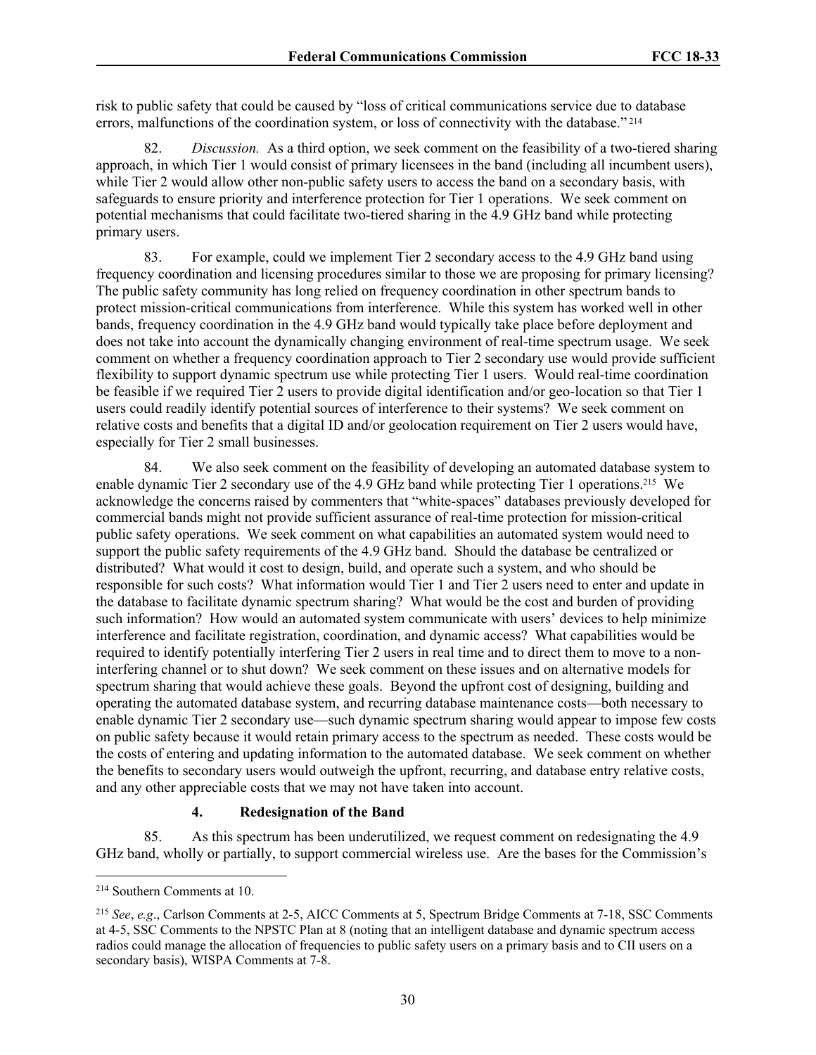risk to public safety that could be caused by "loss of critical communications service due to database errors, malfunctions of the coordination system, or loss of connectivity with the database."<sup>214</sup>

82. *Discussion.* As a third option, we seek comment on the feasibility of a two-tiered sharing approach, in which Tier 1 would consist of primary licensees in the band (including all incumbent users), while Tier 2 would allow other non-public safety users to access the band on a secondary basis, with safeguards to ensure priority and interference protection for Tier 1 operations. We seek comment on potential mechanisms that could facilitate two-tiered sharing in the 4.9 GHz band while protecting primary users.

83. For example, could we implement Tier 2 secondary access to the 4.9 GHz band using frequency coordination and licensing procedures similar to those we are proposing for primary licensing? The public safety community has long relied on frequency coordination in other spectrum bands to protect mission-critical communications from interference. While this system has worked well in other bands, frequency coordination in the 4.9 GHz band would typically take place before deployment and does not take into account the dynamically changing environment of real-time spectrum usage. We seek comment on whether a frequency coordination approach to Tier 2 secondary use would provide sufficient flexibility to support dynamic spectrum use while protecting Tier 1 users. Would real-time coordination be feasible if we required Tier 2 users to provide digital identification and/or geo-location so that Tier 1 users could readily identify potential sources of interference to their systems? We seek comment on relative costs and benefits that a digital ID and/or geolocation requirement on Tier 2 users would have, especially for Tier 2 small businesses.

84. We also seek comment on the feasibility of developing an automated database system to enable dynamic Tier 2 secondary use of the 4.9 GHz band while protecting Tier 1 operations.215 We acknowledge the concerns raised by commenters that "white-spaces" databases previously developed for commercial bands might not provide sufficient assurance of real-time protection for mission-critical public safety operations. We seek comment on what capabilities an automated system would need to support the public safety requirements of the 4.9 GHz band. Should the database be centralized or distributed? What would it cost to design, build, and operate such a system, and who should be responsible for such costs? What information would Tier 1 and Tier 2 users need to enter and update in the database to facilitate dynamic spectrum sharing? What would be the cost and burden of providing such information? How would an automated system communicate with users' devices to help minimize interference and facilitate registration, coordination, and dynamic access? What capabilities would be required to identify potentially interfering Tier 2 users in real time and to direct them to move to a noninterfering channel or to shut down? We seek comment on these issues and on alternative models for spectrum sharing that would achieve these goals. Beyond the upfront cost of designing, building and operating the automated database system, and recurring database maintenance costs—both necessary to enable dynamic Tier 2 secondary use—such dynamic spectrum sharing would appear to impose few costs on public safety because it would retain primary access to the spectrum as needed. These costs would be the costs of entering and updating information to the automated database. We seek comment on whether the benefits to secondary users would outweigh the upfront, recurring, and database entry relative costs, and any other appreciable costs that we may not have taken into account.

# **4. Redesignation of the Band**

85. As this spectrum has been underutilized, we request comment on redesignating the 4.9 GHz band, wholly or partially, to support commercial wireless use. Are the bases for the Commission's

<sup>214</sup> Southern Comments at 10.

<sup>215</sup> *See*, *e.g*., Carlson Comments at 2-5, AICC Comments at 5, Spectrum Bridge Comments at 7-18, SSC Comments at 4-5, SSC Comments to the NPSTC Plan at 8 (noting that an intelligent database and dynamic spectrum access radios could manage the allocation of frequencies to public safety users on a primary basis and to CII users on a secondary basis), WISPA Comments at 7-8.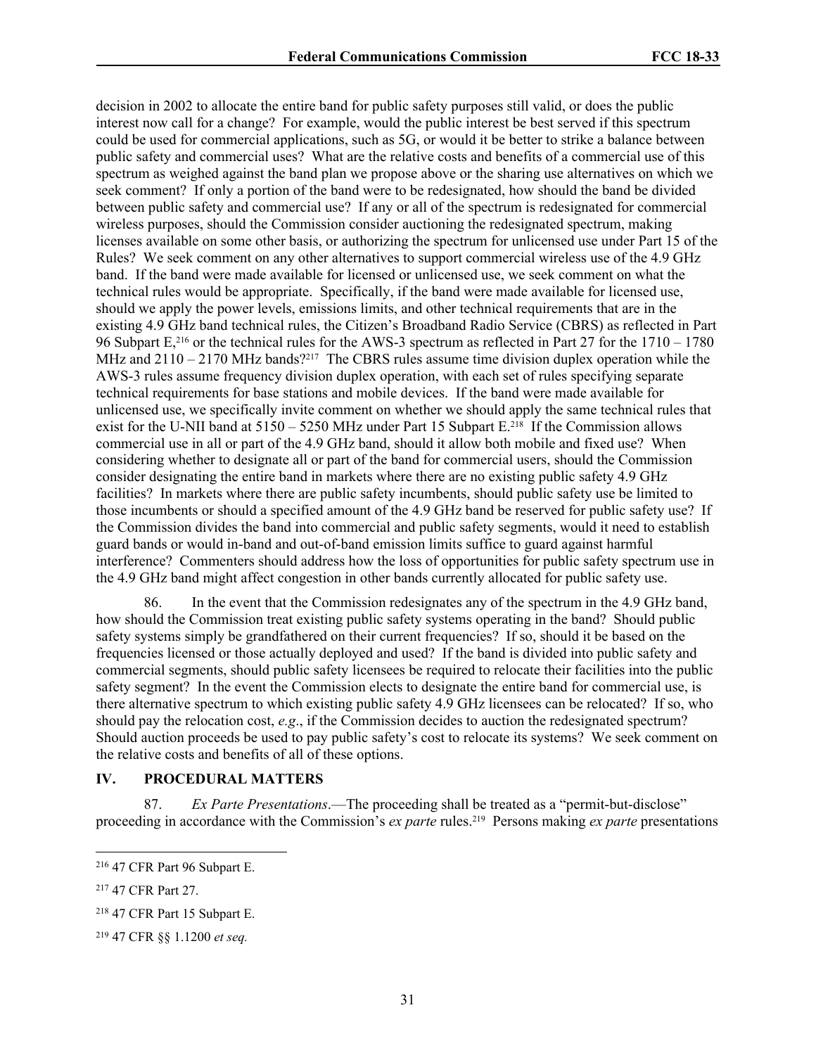decision in 2002 to allocate the entire band for public safety purposes still valid, or does the public interest now call for a change? For example, would the public interest be best served if this spectrum could be used for commercial applications, such as 5G, or would it be better to strike a balance between public safety and commercial uses? What are the relative costs and benefits of a commercial use of this spectrum as weighed against the band plan we propose above or the sharing use alternatives on which we seek comment? If only a portion of the band were to be redesignated, how should the band be divided between public safety and commercial use? If any or all of the spectrum is redesignated for commercial wireless purposes, should the Commission consider auctioning the redesignated spectrum, making licenses available on some other basis, or authorizing the spectrum for unlicensed use under Part 15 of the Rules? We seek comment on any other alternatives to support commercial wireless use of the 4.9 GHz band. If the band were made available for licensed or unlicensed use, we seek comment on what the technical rules would be appropriate. Specifically, if the band were made available for licensed use, should we apply the power levels, emissions limits, and other technical requirements that are in the existing 4.9 GHz band technical rules, the Citizen's Broadband Radio Service (CBRS) as reflected in Part 96 Subpart E,216 or the technical rules for the AWS-3 spectrum as reflected in Part 27 for the 1710 – 1780 MHz and 2110 – 2170 MHz bands?<sup>217</sup> The CBRS rules assume time division duplex operation while the AWS-3 rules assume frequency division duplex operation, with each set of rules specifying separate technical requirements for base stations and mobile devices. If the band were made available for unlicensed use, we specifically invite comment on whether we should apply the same technical rules that exist for the U-NII band at  $5150 - 5250$  MHz under Part 15 Subpart E.<sup>218</sup> If the Commission allows commercial use in all or part of the 4.9 GHz band, should it allow both mobile and fixed use? When considering whether to designate all or part of the band for commercial users, should the Commission consider designating the entire band in markets where there are no existing public safety 4.9 GHz facilities? In markets where there are public safety incumbents, should public safety use be limited to those incumbents or should a specified amount of the 4.9 GHz band be reserved for public safety use? If the Commission divides the band into commercial and public safety segments, would it need to establish guard bands or would in-band and out-of-band emission limits suffice to guard against harmful interference? Commenters should address how the loss of opportunities for public safety spectrum use in the 4.9 GHz band might affect congestion in other bands currently allocated for public safety use.

86. In the event that the Commission redesignates any of the spectrum in the 4.9 GHz band, how should the Commission treat existing public safety systems operating in the band? Should public safety systems simply be grandfathered on their current frequencies? If so, should it be based on the frequencies licensed or those actually deployed and used? If the band is divided into public safety and commercial segments, should public safety licensees be required to relocate their facilities into the public safety segment? In the event the Commission elects to designate the entire band for commercial use, is there alternative spectrum to which existing public safety 4.9 GHz licensees can be relocated? If so, who should pay the relocation cost, *e.g*., if the Commission decides to auction the redesignated spectrum? Should auction proceeds be used to pay public safety's cost to relocate its systems? We seek comment on the relative costs and benefits of all of these options.

# **IV. PROCEDURAL MATTERS**

87. *Ex Parte Presentations*.—The proceeding shall be treated as a "permit-but-disclose" proceeding in accordance with the Commission's *ex parte* rules.219 Persons making *ex parte* presentations

<sup>216</sup> 47 CFR Part 96 Subpart E.

<sup>217</sup> 47 CFR Part 27.

<sup>218</sup> 47 CFR Part 15 Subpart E.

<sup>219</sup> 47 CFR §§ 1.1200 *et seq.*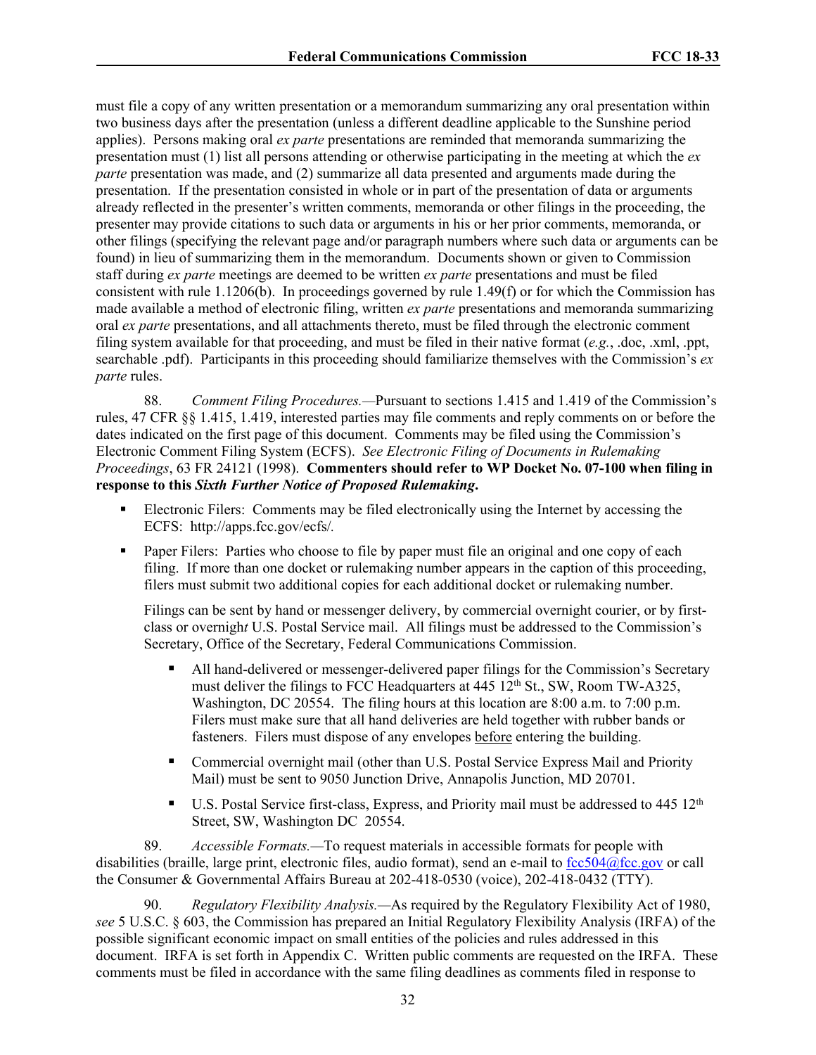must file a copy of any written presentation or a memorandum summarizing any oral presentation within two business days after the presentation (unless a different deadline applicable to the Sunshine period applies). Persons making oral *ex parte* presentations are reminded that memoranda summarizing the presentation must (1) list all persons attending or otherwise participating in the meeting at which the *ex parte* presentation was made, and (2) summarize all data presented and arguments made during the presentation. If the presentation consisted in whole or in part of the presentation of data or arguments already reflected in the presenter's written comments, memoranda or other filings in the proceeding, the presenter may provide citations to such data or arguments in his or her prior comments, memoranda, or other filings (specifying the relevant page and/or paragraph numbers where such data or arguments can be found) in lieu of summarizing them in the memorandum. Documents shown or given to Commission staff during *ex parte* meetings are deemed to be written *ex parte* presentations and must be filed consistent with rule 1.1206(b). In proceedings governed by rule 1.49(f) or for which the Commission has made available a method of electronic filing, written *ex parte* presentations and memoranda summarizing oral *ex parte* presentations, and all attachments thereto, must be filed through the electronic comment filing system available for that proceeding, and must be filed in their native format (*e.g.*, .doc, .xml, .ppt, searchable .pdf). Participants in this proceeding should familiarize themselves with the Commission's *ex parte* rules.

88. *Comment Filing Procedures.—*Pursuant to sections 1.415 and 1.419 of the Commission's rules, 47 CFR §§ 1.415, 1.419, interested parties may file comments and reply comments on or before the dates indicated on the first page of this document. Comments may be filed using the Commission's Electronic Comment Filing System (ECFS). *See Electronic Filing of Documents in Rulemaking Proceedings*, 63 FR 24121 (1998). **Commenters should refer to WP Docket No. 07-100 when filing in response to this** *Sixth Further Notice of Proposed Rulemaking***.**

- Electronic Filers: Comments may be filed electronically using the Internet by accessing the ECFS: http://apps.fcc.gov/ecfs/*.*
- Paper Filers: Parties who choose to file by paper must file an original and one copy of each filing. If more than one docket or rulemakin*g* number appears in the caption of this proceeding, filers must submit two additional copies for each additional docket or rulemaking number.

Filings can be sent by hand or messenger delivery, by commercial overnight courier, or by firstclass or overnigh*t* U.S. Postal Service mail. All filings must be addressed to the Commission's Secretary, Office of the Secretary, Federal Communications Commission.

- All hand-delivered or messenger-delivered paper filings for the Commission's Secretary must deliver the filings to FCC Headquarters at 445 12<sup>th</sup> St., SW, Room TW-A325, Washington, DC 20554. The filin*g* hours at this location are 8:00 a.m. to 7:00 p.m. Filers must make sure that all hand deliveries are held together with rubber bands or fasteners. Filers must dispose of any envelopes before entering the building.
- Commercial overnight mail (other than U.S. Postal Service Express Mail and Priority Mail) must be sent to 9050 Junction Drive, Annapolis Junction, MD 20701.
- $\blacksquare$  U.S. Postal Service first-class, Express, and Priority mail must be addressed to 445 12<sup>th</sup> Street, SW, Washington DC 20554.

89. *Accessible Formats.—*To request materials in accessible formats for people with disabilities (braille, large print, electronic files, audio format), send an e-mail to [fcc504@fcc.gov](mailto:fcc504@fcc.gov) or call the Consumer & Governmental Affairs Bureau at 202-418-0530 (voice), 202-418-0432 (TTY).

90. *Regulatory Flexibility Analysis.—*As required by the Regulatory Flexibility Act of 1980, *see* 5 U.S.C. § 603, the Commission has prepared an Initial Regulatory Flexibility Analysis (IRFA) of the possible significant economic impact on small entities of the policies and rules addressed in this document. IRFA is set forth in Appendix C. Written public comments are requested on the IRFA. These comments must be filed in accordance with the same filing deadlines as comments filed in response to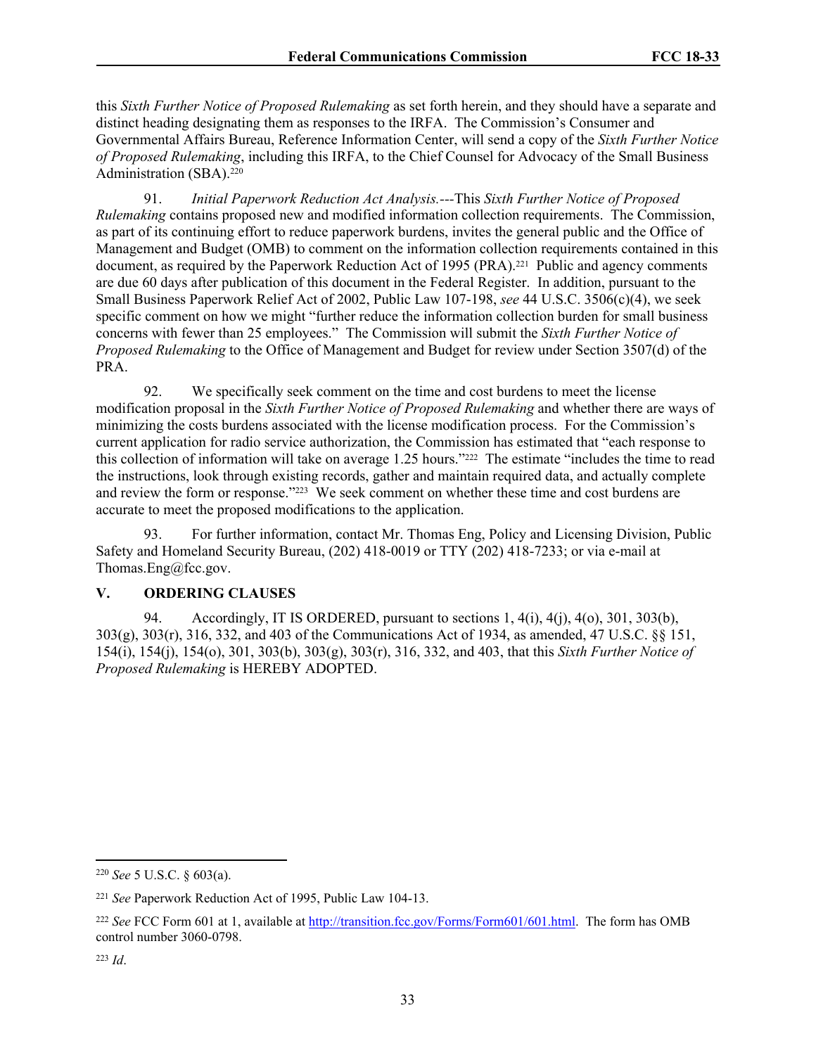this *Sixth Further Notice of Proposed Rulemaking* as set forth herein, and they should have a separate and distinct heading designating them as responses to the IRFA. The Commission's Consumer and Governmental Affairs Bureau, Reference Information Center, will send a copy of the *Sixth Further Notice of Proposed Rulemaking*, including this IRFA, to the Chief Counsel for Advocacy of the Small Business Administration (SBA).<sup>220</sup>

91. *Initial Paperwork Reduction Act Analysis.---*This *Sixth Further Notice of Proposed Rulemaking* contains proposed new and modified information collection requirements. The Commission, as part of its continuing effort to reduce paperwork burdens, invites the general public and the Office of Management and Budget (OMB) to comment on the information collection requirements contained in this document, as required by the Paperwork Reduction Act of 1995 (PRA).<sup>221</sup> Public and agency comments are due 60 days after publication of this document in the Federal Register. In addition, pursuant to the Small Business Paperwork Relief Act of 2002, Public Law 107-198, *see* 44 U.S.C. 3506(c)(4), we seek specific comment on how we might "further reduce the information collection burden for small business concerns with fewer than 25 employees." The Commission will submit the *Sixth Further Notice of Proposed Rulemaking* to the Office of Management and Budget for review under Section 3507(d) of the PRA.

92. We specifically seek comment on the time and cost burdens to meet the license modification proposal in the *Sixth Further Notice of Proposed Rulemaking* and whether there are ways of minimizing the costs burdens associated with the license modification process. For the Commission's current application for radio service authorization, the Commission has estimated that "each response to this collection of information will take on average 1.25 hours."222 The estimate "includes the time to read the instructions, look through existing records, gather and maintain required data, and actually complete and review the form or response."223 We seek comment on whether these time and cost burdens are accurate to meet the proposed modifications to the application.

93. For further information, contact Mr. Thomas Eng, Policy and Licensing Division, Public Safety and Homeland Security Bureau, (202) 418-0019 or TTY (202) 418-7233; or via e-mail at Thomas.Eng@fcc.gov.

# **V. ORDERING CLAUSES**

94. Accordingly, IT IS ORDERED, pursuant to sections 1, 4(i), 4(j), 4(o), 301, 303(b), 303(g), 303(r), 316, 332, and 403 of the Communications Act of 1934, as amended, 47 U.S.C. §§ 151, 154(i), 154(j), 154(o), 301, 303(b), 303(g), 303(r), 316, 332, and 403, that this *Sixth Further Notice of Proposed Rulemaking* is HEREBY ADOPTED.

<sup>220</sup> *See* 5 U.S.C. § 603(a).

<sup>221</sup> *See* Paperwork Reduction Act of 1995, Public Law 104-13.

<sup>222</sup> *See* FCC Form 601 at 1, available at [http://transition.fcc.gov/Forms/Form601/601.html.](http://transition.fcc.gov/Forms/Form601/601.html) The form has OMB control number 3060-0798.

<sup>223</sup> *Id*.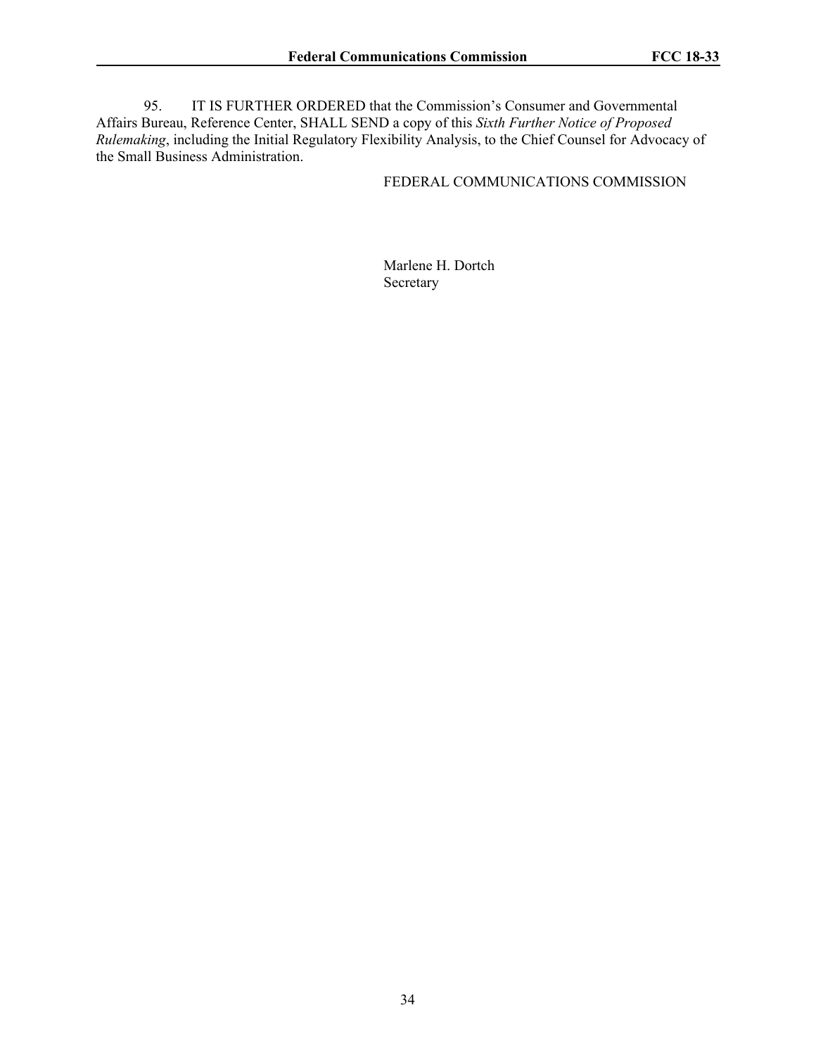95. IT IS FURTHER ORDERED that the Commission's Consumer and Governmental Affairs Bureau, Reference Center, SHALL SEND a copy of this *Sixth Further Notice of Proposed Rulemaking*, including the Initial Regulatory Flexibility Analysis, to the Chief Counsel for Advocacy of the Small Business Administration.

## FEDERAL COMMUNICATIONS COMMISSION

Marlene H. Dortch Secretary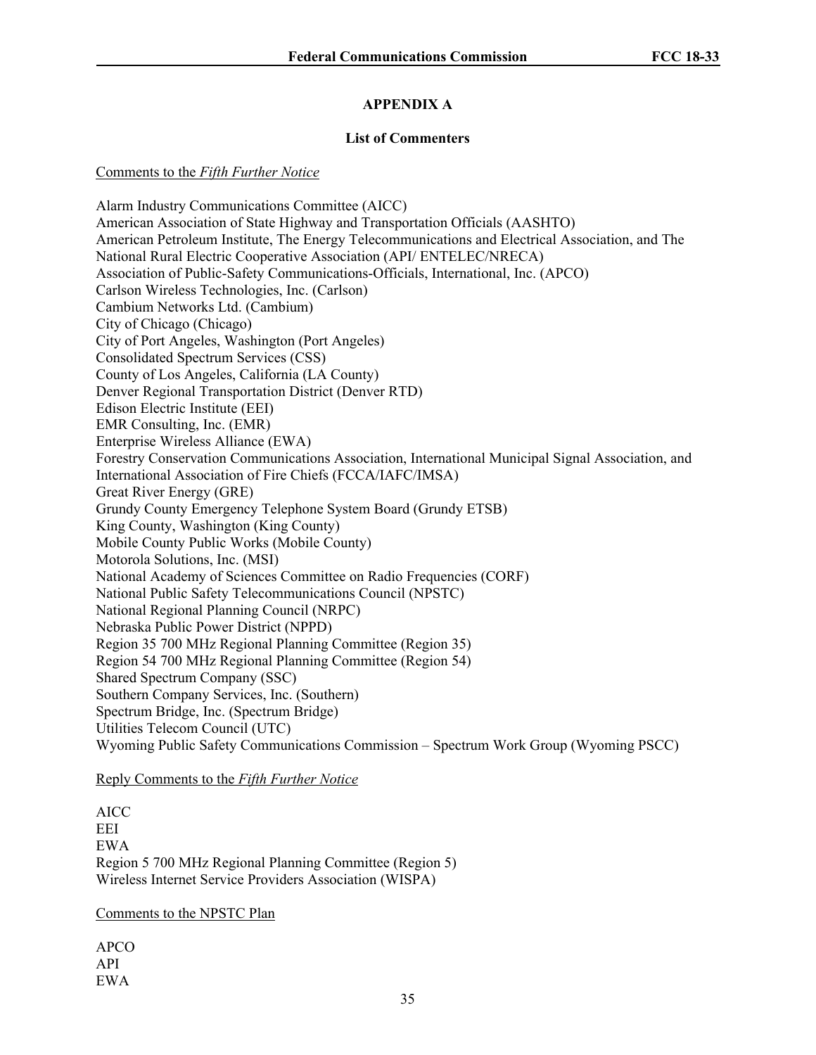# **APPENDIX A**

## **List of Commenters**

#### Comments to the *Fifth Further Notice*

Alarm Industry Communications Committee (AICC) American Association of State Highway and Transportation Officials (AASHTO) American Petroleum Institute, The Energy Telecommunications and Electrical Association, and The National Rural Electric Cooperative Association (API/ ENTELEC/NRECA) Association of Public-Safety Communications-Officials, International, Inc. (APCO) Carlson Wireless Technologies, Inc. (Carlson) Cambium Networks Ltd. (Cambium) City of Chicago (Chicago) City of Port Angeles, Washington (Port Angeles) Consolidated Spectrum Services (CSS) County of Los Angeles, California (LA County) Denver Regional Transportation District (Denver RTD) Edison Electric Institute (EEI) EMR Consulting, Inc. (EMR) Enterprise Wireless Alliance (EWA) Forestry Conservation Communications Association, International Municipal Signal Association, and International Association of Fire Chiefs (FCCA/IAFC/IMSA) Great River Energy (GRE) Grundy County Emergency Telephone System Board (Grundy ETSB) King County, Washington (King County) Mobile County Public Works (Mobile County) Motorola Solutions, Inc. (MSI) National Academy of Sciences Committee on Radio Frequencies (CORF) National Public Safety Telecommunications Council (NPSTC) National Regional Planning Council (NRPC) Nebraska Public Power District (NPPD) Region 35 700 MHz Regional Planning Committee (Region 35) Region 54 700 MHz Regional Planning Committee (Region 54) Shared Spectrum Company (SSC) Southern Company Services, Inc. (Southern) Spectrum Bridge, Inc. (Spectrum Bridge) Utilities Telecom Council (UTC) Wyoming Public Safety Communications Commission – Spectrum Work Group (Wyoming PSCC)

#### Reply Comments to the *Fifth Further Notice*

AICC EEI EWA Region 5 700 MHz Regional Planning Committee (Region 5) Wireless Internet Service Providers Association (WISPA)

# Comments to the NPSTC Plan

APCO API EWA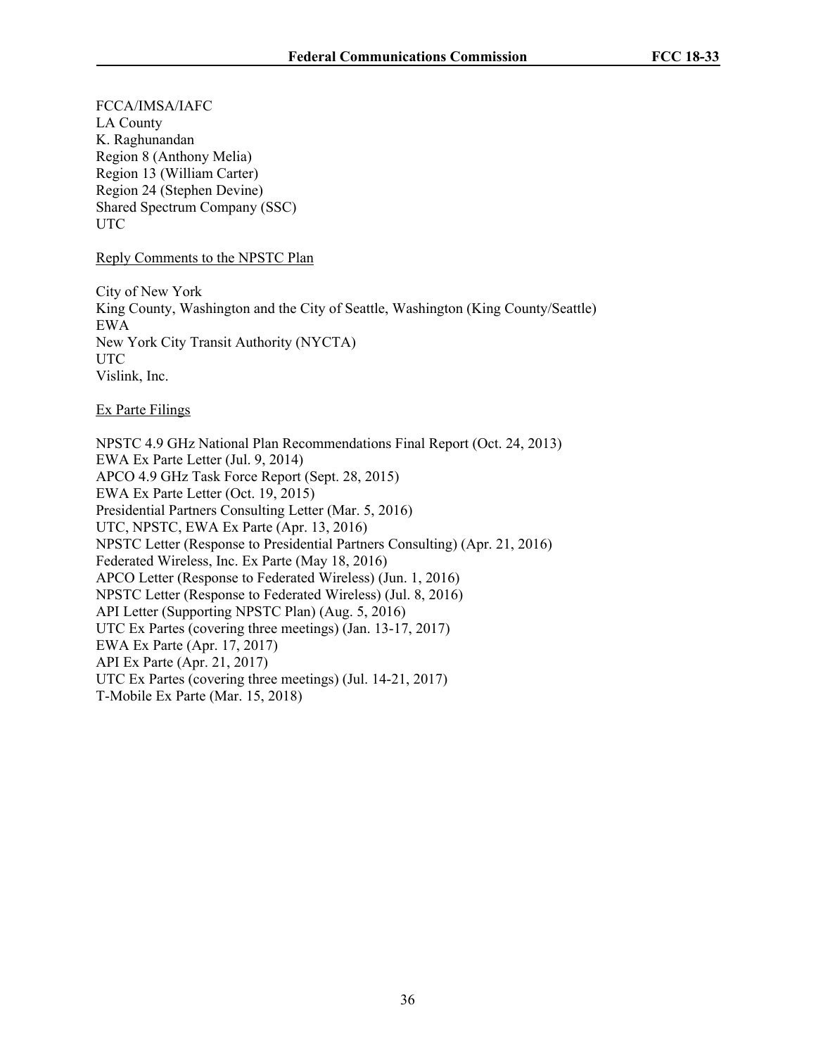FCCA/IMSA/IAFC LA County K. Raghunandan Region 8 (Anthony Melia) Region 13 (William Carter) Region 24 (Stephen Devine) Shared Spectrum Company (SSC) UTC

Reply Comments to the NPSTC Plan

City of New York King County, Washington and the City of Seattle, Washington (King County/Seattle) EWA New York City Transit Authority (NYCTA) UTC Vislink, Inc.

Ex Parte Filings

NPSTC 4.9 GHz National Plan Recommendations Final Report (Oct. 24, 2013) EWA Ex Parte Letter (Jul. 9, 2014) APCO 4.9 GHz Task Force Report (Sept. 28, 2015) EWA Ex Parte Letter (Oct. 19, 2015) Presidential Partners Consulting Letter (Mar. 5, 2016) UTC, NPSTC, EWA Ex Parte (Apr. 13, 2016) NPSTC Letter (Response to Presidential Partners Consulting) (Apr. 21, 2016) Federated Wireless, Inc. Ex Parte (May 18, 2016) APCO Letter (Response to Federated Wireless) (Jun. 1, 2016) NPSTC Letter (Response to Federated Wireless) (Jul. 8, 2016) API Letter (Supporting NPSTC Plan) (Aug. 5, 2016) UTC Ex Partes (covering three meetings) (Jan. 13-17, 2017) EWA Ex Parte (Apr. 17, 2017) API Ex Parte (Apr. 21, 2017) UTC Ex Partes (covering three meetings) (Jul. 14-21, 2017) T-Mobile Ex Parte (Mar. 15, 2018)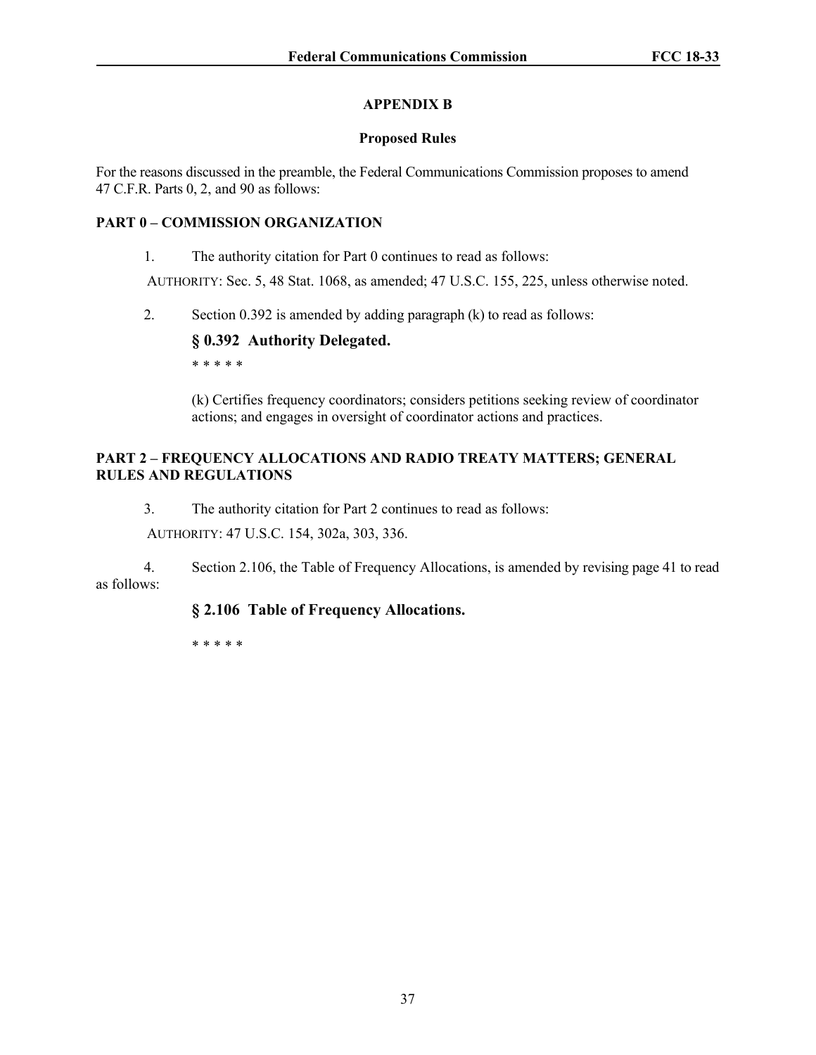# **APPENDIX B**

# **Proposed Rules**

For the reasons discussed in the preamble, the Federal Communications Commission proposes to amend 47 C.F.R. Parts 0, 2, and 90 as follows:

# **PART 0 – COMMISSION ORGANIZATION**

1. The authority citation for Part 0 continues to read as follows:

AUTHORITY: Sec. 5, 48 Stat. 1068, as amended; 47 U.S.C. 155, 225, unless otherwise noted.

2. Section 0.392 is amended by adding paragraph (k) to read as follows:

# **§ 0.392 Authority Delegated.**

\* \* \* \* \*

(k) Certifies frequency coordinators; considers petitions seeking review of coordinator actions; and engages in oversight of coordinator actions and practices.

# **PART 2 – FREQUENCY ALLOCATIONS AND RADIO TREATY MATTERS; GENERAL RULES AND REGULATIONS**

3. The authority citation for Part 2 continues to read as follows:

AUTHORITY: 47 U.S.C. 154, 302a, 303, 336.

4. Section 2.106, the Table of Frequency Allocations, is amended by revising page 41 to read as follows:

# **§ 2.106 Table of Frequency Allocations.**

\* \* \* \* \*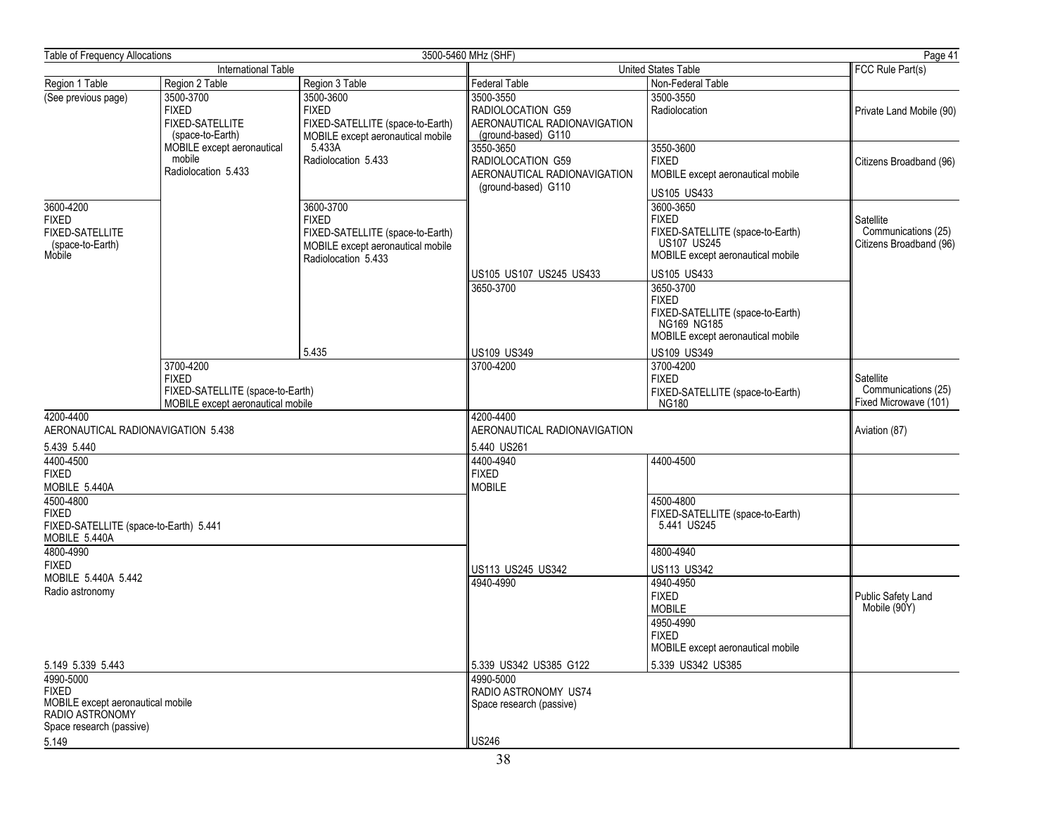| Table of Frequency Allocations                                                                                |                                                                                                    |                                                                                                                           | 3500-5460 MHz (SHF)                                                                   |                                                                                                                                                        | Page 41                                                     |
|---------------------------------------------------------------------------------------------------------------|----------------------------------------------------------------------------------------------------|---------------------------------------------------------------------------------------------------------------------------|---------------------------------------------------------------------------------------|--------------------------------------------------------------------------------------------------------------------------------------------------------|-------------------------------------------------------------|
|                                                                                                               | International Table                                                                                |                                                                                                                           | United States Table                                                                   |                                                                                                                                                        | FCC Rule Part(s)                                            |
| Region 1 Table                                                                                                | Region 2 Table                                                                                     | Region 3 Table                                                                                                            | <b>Federal Table</b>                                                                  | Non-Federal Table                                                                                                                                      |                                                             |
| (See previous page)                                                                                           | 3500-3700<br><b>FIXED</b><br><b>FIXED-SATELLITE</b><br>(space-to-Earth)                            | 3500-3600<br><b>FIXED</b><br>FIXED-SATELLITE (space-to-Earth)<br>MOBILE except aeronautical mobile                        | 3500-3550<br>RADIOLOCATION G59<br>AERONAUTICAL RADIONAVIGATION<br>(ground-based) G110 | 3500-3550<br>Radiolocation                                                                                                                             | Private Land Mobile (90)                                    |
|                                                                                                               | MOBILE except aeronautical<br>mobile<br>Radiolocation 5.433                                        | 5.433A<br>Radiolocation 5.433                                                                                             | 3550-3650<br>RADIOLOCATION G59<br>AERONAUTICAL RADIONAVIGATION<br>(ground-based) G110 | 3550-3600<br><b>FIXED</b><br>MOBILE except aeronautical mobile<br>US105 US433                                                                          | Citizens Broadband (96)                                     |
| 3600-4200<br><b>FIXED</b><br><b>FIXED-SATELLITE</b><br>(space-to-Earth)<br>Mobile                             |                                                                                                    | 3600-3700<br><b>FIXED</b><br>FIXED-SATELLITE (space-to-Earth)<br>MOBILE except aeronautical mobile<br>Radiolocation 5.433 |                                                                                       | 3600-3650<br><b>FIXED</b><br>FIXED-SATELLITE (space-to-Earth)<br><b>US107 US245</b><br>MOBILE except aeronautical mobile                               | Satellite<br>Communications (25)<br>Citizens Broadband (96) |
|                                                                                                               |                                                                                                    | 5.435                                                                                                                     | US105 US107 US245 US433<br>3650-3700<br><b>US109 US349</b>                            | US105 US433<br>3650-3700<br><b>FIXED</b><br>FIXED-SATELLITE (space-to-Earth)<br>NG169 NG185<br>MOBILE except aeronautical mobile<br><b>US109 US349</b> |                                                             |
|                                                                                                               | 3700-4200<br><b>FIXED</b><br>FIXED-SATELLITE (space-to-Earth)<br>MOBILE except aeronautical mobile |                                                                                                                           | 3700-4200                                                                             | 3700-4200<br><b>FIXED</b><br>FIXED-SATELLITE (space-to-Earth)<br><b>NG180</b>                                                                          | Satellite<br>Communications (25)<br>Fixed Microwave (101)   |
| 4200-4400<br>AERONAUTICAL RADIONAVIGATION 5.438                                                               |                                                                                                    |                                                                                                                           | 4200-4400<br>AERONAUTICAL RADIONAVIGATION                                             |                                                                                                                                                        | Aviation (87)                                               |
| 5.439 5.440<br>4400-4500<br><b>FIXED</b><br>MOBILE 5.440A                                                     |                                                                                                    |                                                                                                                           | 5.440 US261<br>4400-4940<br><b>FIXED</b><br><b>MOBILE</b>                             | 4400-4500                                                                                                                                              |                                                             |
| 4500-4800<br><b>FIXED</b><br>FIXED-SATELLITE (space-to-Earth) 5.441<br>MOBILE 5.440A                          |                                                                                                    |                                                                                                                           |                                                                                       | 4500-4800<br>FIXED-SATELLITE (space-to-Earth)<br>5.441 US245                                                                                           |                                                             |
| 4800-4990<br><b>FIXED</b><br>MOBILE 5.440A 5.442                                                              |                                                                                                    |                                                                                                                           | US113 US245 US342                                                                     | 4800-4940<br>US113 US342                                                                                                                               |                                                             |
| Radio astronomy                                                                                               |                                                                                                    |                                                                                                                           | 4940-4990                                                                             | 4940-4950<br><b>FIXED</b><br><b>MOBILE</b><br>4950-4990<br><b>FIXED</b><br>MOBILE except aeronautical mobile                                           | Public Safety Land<br>Mobile (90Y)                          |
| 5.149 5.339 5.443                                                                                             |                                                                                                    |                                                                                                                           | 5.339 US342 US385 G122                                                                | 5.339 US342 US385                                                                                                                                      |                                                             |
| 4990-5000<br><b>FIXED</b><br>MOBILE except aeronautical mobile<br>RADIO ASTRONOMY<br>Space research (passive) |                                                                                                    | 4990-5000<br>RADIO ASTRONOMY US74<br>Space research (passive)                                                             |                                                                                       |                                                                                                                                                        |                                                             |
| 5.149                                                                                                         |                                                                                                    |                                                                                                                           | <b>US246</b>                                                                          |                                                                                                                                                        |                                                             |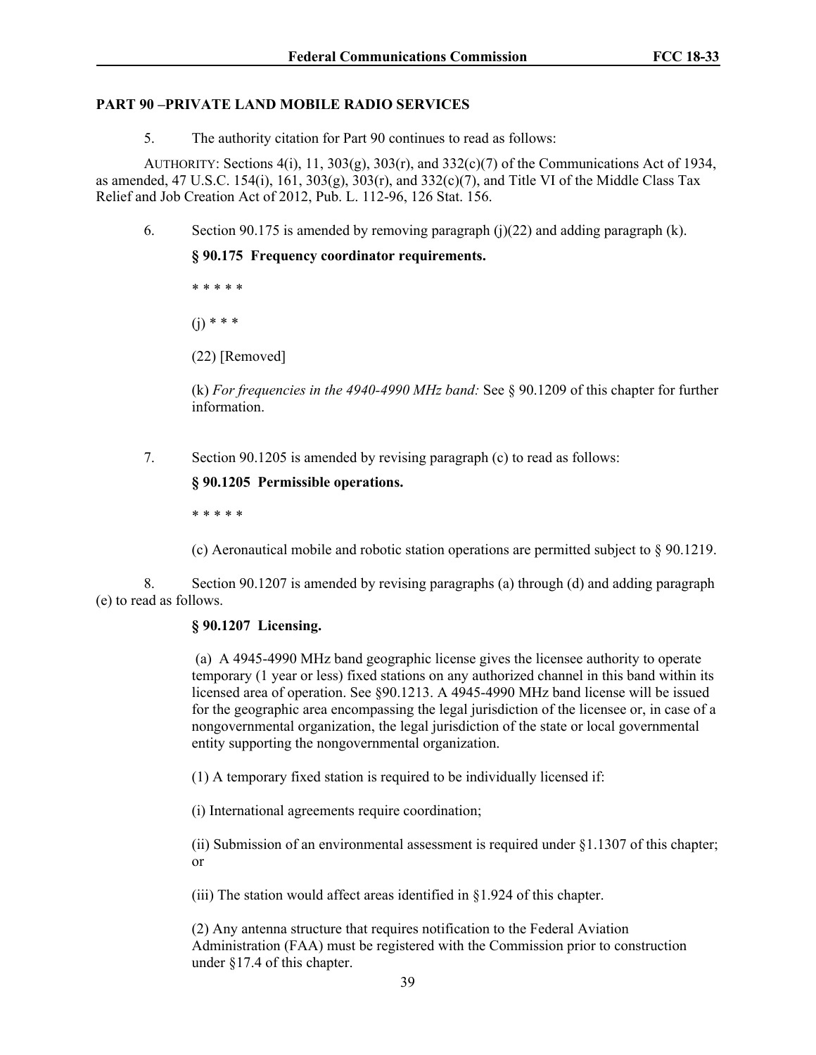## **PART 90 –PRIVATE LAND MOBILE RADIO SERVICES**

5. The authority citation for Part 90 continues to read as follows:

AUTHORITY: Sections  $4(i)$ , 11,  $303(g)$ ,  $303(f)$ , and  $332(c)(7)$  of the Communications Act of 1934, as amended, 47 U.S.C. 154(i), 161, 303(g), 303(r), and 332(c)(7), and Title VI of the Middle Class Tax Relief and Job Creation Act of 2012, Pub. L. 112-96, 126 Stat. 156.

6. Section 90.175 is amended by removing paragraph  $(i)(22)$  and adding paragraph  $(k)$ .

**§ 90.175 Frequency coordinator requirements.**

\* \* \* \* \*  $(i) * * * *$ 

(22) [Removed]

(k) *For frequencies in the 4940-4990 MHz band:* See § 90.1209 of this chapter for further information.

7. Section 90.1205 is amended by revising paragraph (c) to read as follows:

# **§ 90.1205 Permissible operations.**

\* \* \* \* \*

(c) Aeronautical mobile and robotic station operations are permitted subject to § 90.1219.

8. Section 90.1207 is amended by revising paragraphs (a) through (d) and adding paragraph (e) to read as follows.

# **§ 90.1207 Licensing.**

 (a) A 4945-4990 MHz band geographic license gives the licensee authority to operate temporary (1 year or less) fixed stations on any authorized channel in this band within its licensed area of operation. See §90.1213. A 4945-4990 MHz band license will be issued for the geographic area encompassing the legal jurisdiction of the licensee or, in case of a nongovernmental organization, the legal jurisdiction of the state or local governmental entity supporting the nongovernmental organization.

(1) A temporary fixed station is required to be individually licensed if:

(i) International agreements require coordination;

(ii) Submission of an environmental assessment is required under §1.1307 of this chapter; or

(iii) The station would affect areas identified in §1.924 of this chapter.

(2) Any antenna structure that requires notification to the Federal Aviation Administration (FAA) must be registered with the Commission prior to construction under §17.4 of this chapter.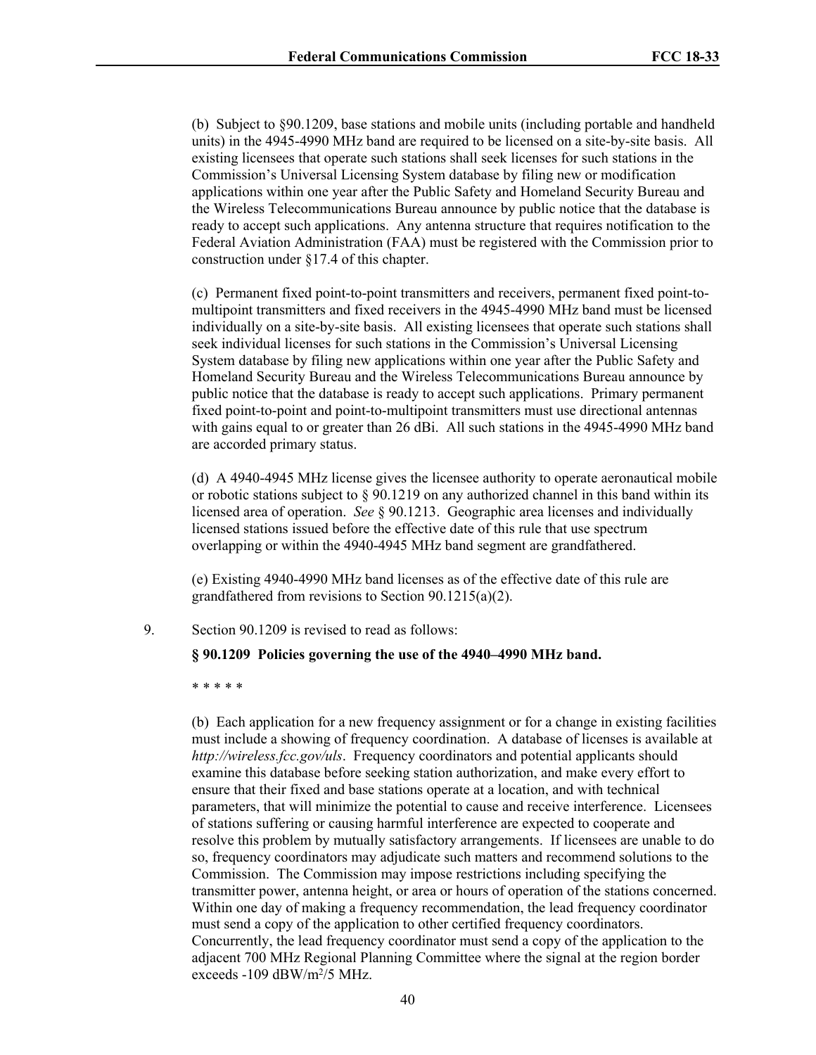(b) Subject to §90.1209, base stations and mobile units (including portable and handheld units) in the 4945-4990 MHz band are required to be licensed on a site-by-site basis. All existing licensees that operate such stations shall seek licenses for such stations in the Commission's Universal Licensing System database by filing new or modification applications within one year after the Public Safety and Homeland Security Bureau and the Wireless Telecommunications Bureau announce by public notice that the database is ready to accept such applications. Any antenna structure that requires notification to the Federal Aviation Administration (FAA) must be registered with the Commission prior to construction under §17.4 of this chapter.

(c) Permanent fixed point-to-point transmitters and receivers, permanent fixed point-tomultipoint transmitters and fixed receivers in the 4945-4990 MHz band must be licensed individually on a site-by-site basis. All existing licensees that operate such stations shall seek individual licenses for such stations in the Commission's Universal Licensing System database by filing new applications within one year after the Public Safety and Homeland Security Bureau and the Wireless Telecommunications Bureau announce by public notice that the database is ready to accept such applications. Primary permanent fixed point-to-point and point-to-multipoint transmitters must use directional antennas with gains equal to or greater than 26 dBi. All such stations in the 4945-4990 MHz band are accorded primary status.

(d) A 4940-4945 MHz license gives the licensee authority to operate aeronautical mobile or robotic stations subject to § 90.1219 on any authorized channel in this band within its licensed area of operation. *See* § 90.1213. Geographic area licenses and individually licensed stations issued before the effective date of this rule that use spectrum overlapping or within the 4940-4945 MHz band segment are grandfathered.

(e) Existing 4940-4990 MHz band licenses as of the effective date of this rule are grandfathered from revisions to Section 90.1215(a)(2).

## 9. Section 90.1209 is revised to read as follows:

#### **§ 90.1209 Policies governing the use of the 4940–4990 MHz band.**

\* \* \* \* \*

(b) Each application for a new frequency assignment or for a change in existing facilities must include a showing of frequency coordination. A database of licenses is available at *http://wireless.fcc.gov/uls*. Frequency coordinators and potential applicants should examine this database before seeking station authorization, and make every effort to ensure that their fixed and base stations operate at a location, and with technical parameters, that will minimize the potential to cause and receive interference. Licensees of stations suffering or causing harmful interference are expected to cooperate and resolve this problem by mutually satisfactory arrangements. If licensees are unable to do so, frequency coordinators may adjudicate such matters and recommend solutions to the Commission. The Commission may impose restrictions including specifying the transmitter power, antenna height, or area or hours of operation of the stations concerned. Within one day of making a frequency recommendation, the lead frequency coordinator must send a copy of the application to other certified frequency coordinators. Concurrently, the lead frequency coordinator must send a copy of the application to the adjacent 700 MHz Regional Planning Committee where the signal at the region border exceeds -109 dBW/m<sup>2</sup>/5 MHz.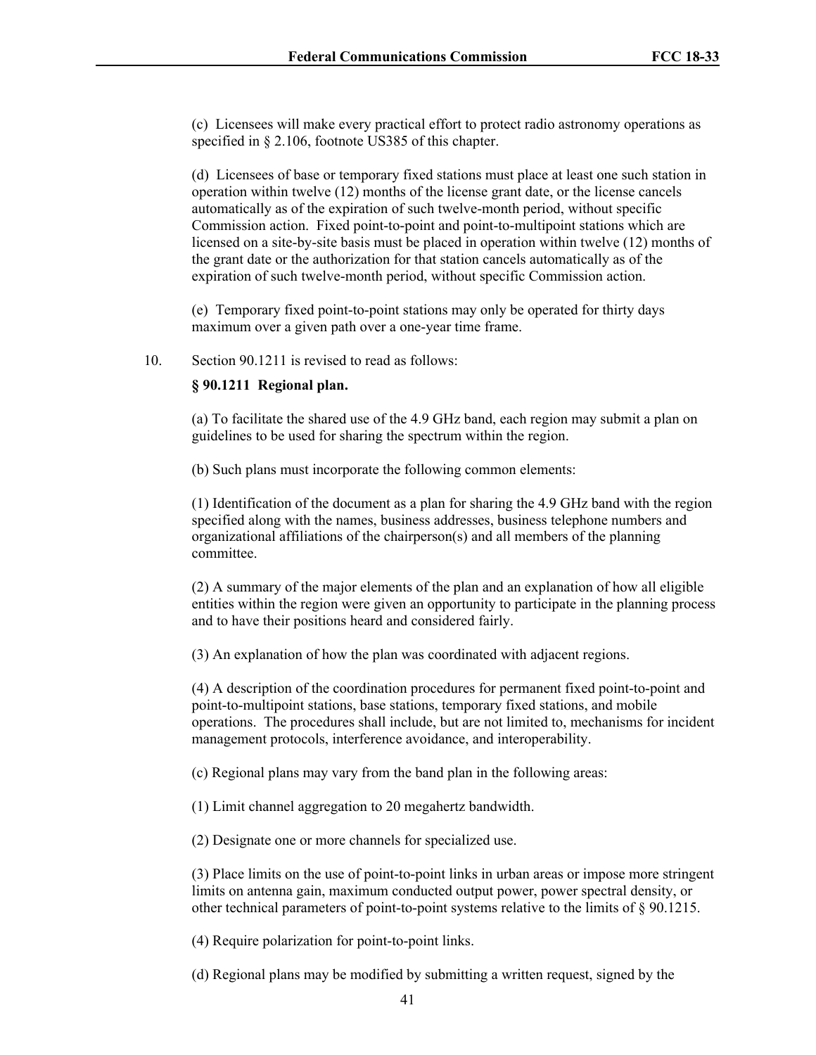(c) Licensees will make every practical effort to protect radio astronomy operations as specified in § 2.106, footnote US385 of this chapter.

(d) Licensees of base or temporary fixed stations must place at least one such station in operation within twelve (12) months of the license grant date, or the license cancels automatically as of the expiration of such twelve-month period, without specific Commission action. Fixed point-to-point and point-to-multipoint stations which are licensed on a site-by-site basis must be placed in operation within twelve (12) months of the grant date or the authorization for that station cancels automatically as of the expiration of such twelve-month period, without specific Commission action.

(e) Temporary fixed point-to-point stations may only be operated for thirty days maximum over a given path over a one-year time frame.

10. Section 90.1211 is revised to read as follows:

### **§ 90.1211 Regional plan.**

(a) To facilitate the shared use of the 4.9 GHz band, each region may submit a plan on guidelines to be used for sharing the spectrum within the region.

(b) Such plans must incorporate the following common elements:

(1) Identification of the document as a plan for sharing the 4.9 GHz band with the region specified along with the names, business addresses, business telephone numbers and organizational affiliations of the chairperson(s) and all members of the planning committee.

(2) A summary of the major elements of the plan and an explanation of how all eligible entities within the region were given an opportunity to participate in the planning process and to have their positions heard and considered fairly.

(3) An explanation of how the plan was coordinated with adjacent regions.

(4) A description of the coordination procedures for permanent fixed point-to-point and point-to-multipoint stations, base stations, temporary fixed stations, and mobile operations. The procedures shall include, but are not limited to, mechanisms for incident management protocols, interference avoidance, and interoperability.

(c) Regional plans may vary from the band plan in the following areas:

(1) Limit channel aggregation to 20 megahertz bandwidth.

(2) Designate one or more channels for specialized use.

(3) Place limits on the use of point-to-point links in urban areas or impose more stringent limits on antenna gain, maximum conducted output power, power spectral density, or other technical parameters of point-to-point systems relative to the limits of § 90.1215.

(4) Require polarization for point-to-point links.

(d) Regional plans may be modified by submitting a written request, signed by the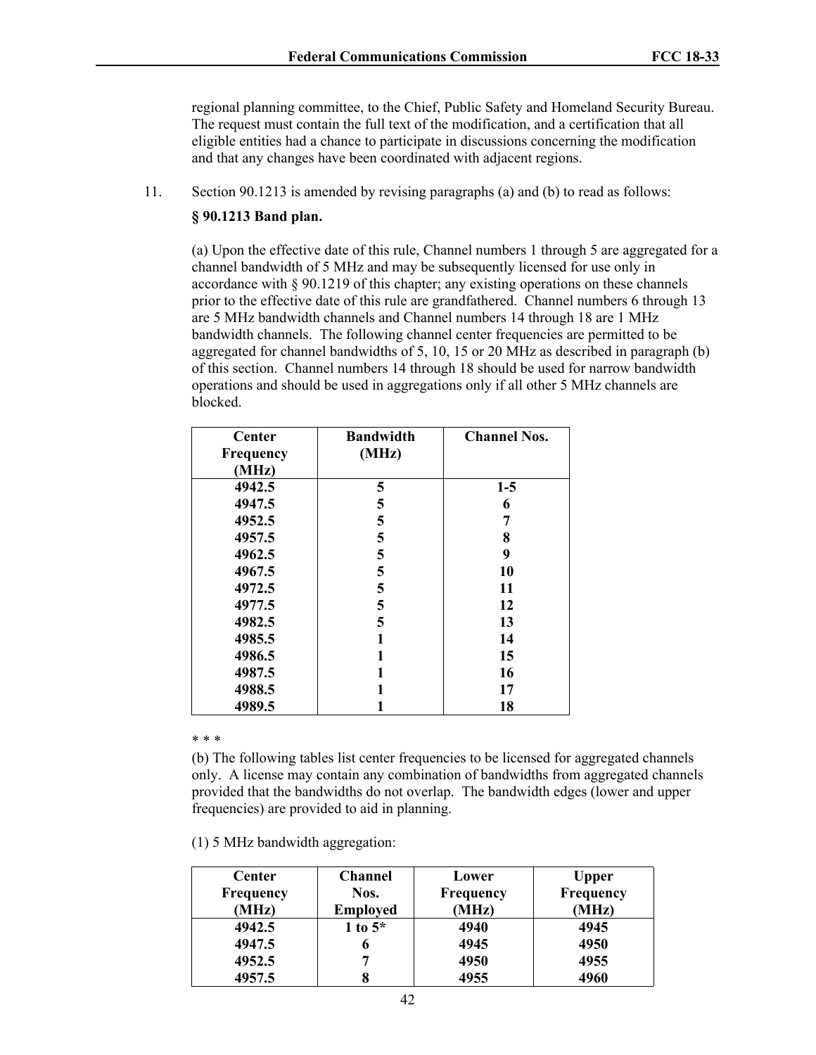regional planning committee, to the Chief, Public Safety and Homeland Security Bureau. The request must contain the full text of the modification, and a certification that all eligible entities had a chance to participate in discussions concerning the modification and that any changes have been coordinated with adjacent regions.

11. Section 90.1213 is amended by revising paragraphs (a) and (b) to read as follows:

## **§ 90.1213 Band plan.**

(a) Upon the effective date of this rule, Channel numbers 1 through 5 are aggregated for a channel bandwidth of 5 MHz and may be subsequently licensed for use only in accordance with § 90.1219 of this chapter; any existing operations on these channels prior to the effective date of this rule are grandfathered. Channel numbers 6 through 13 are 5 MHz bandwidth channels and Channel numbers 14 through 18 are 1 MHz bandwidth channels. The following channel center frequencies are permitted to be aggregated for channel bandwidths of 5, 10, 15 or 20 MHz as described in paragraph (b) of this section. Channel numbers 14 through 18 should be used for narrow bandwidth operations and should be used in aggregations only if all other 5 MHz channels are blocked.

| Center<br>Frequency | <b>Bandwidth</b><br>(MHz) | <b>Channel Nos.</b> |
|---------------------|---------------------------|---------------------|
| (MHz)               |                           |                     |
| 4942.5              | 5                         | $1-5$               |
| 4947.5              | 5                         | 6                   |
| 4952.5              | 5                         | 7                   |
| 4957.5              | 5                         | 8                   |
| 4962.5              | 5                         | 9                   |
| 4967.5              | 5                         | 10                  |
| 4972.5              | 5                         | 11                  |
| 4977.5              | 5                         | 12                  |
| 4982.5              | 5                         | 13                  |
| 4985.5              |                           | 14                  |
| 4986.5              |                           | 15                  |
| 4987.5              |                           | 16                  |
| 4988.5              |                           | 17                  |
| 4989.5              |                           | 18                  |

\* \* \*

(b) The following tables list center frequencies to be licensed for aggregated channels only. A license may contain any combination of bandwidths from aggregated channels provided that the bandwidths do not overlap. The bandwidth edges (lower and upper frequencies) are provided to aid in planning.

(1) 5 MHz bandwidth aggregation:

| Center           | <b>Channel</b>  | Lower            | <b>Upper</b> |
|------------------|-----------------|------------------|--------------|
| <b>Frequency</b> | Nos.            | <b>Frequency</b> | Frequency    |
| (MHz)            | <b>Employed</b> | (MHz)            | (MHz)        |
| 4942.5           | 1 to $5^*$      | 4940             | 4945         |
| 4947.5           | o               | 4945             | 4950         |
| 4952.5           |                 | 4950             | 4955         |
| 4957.5           |                 | 4955             | 4960         |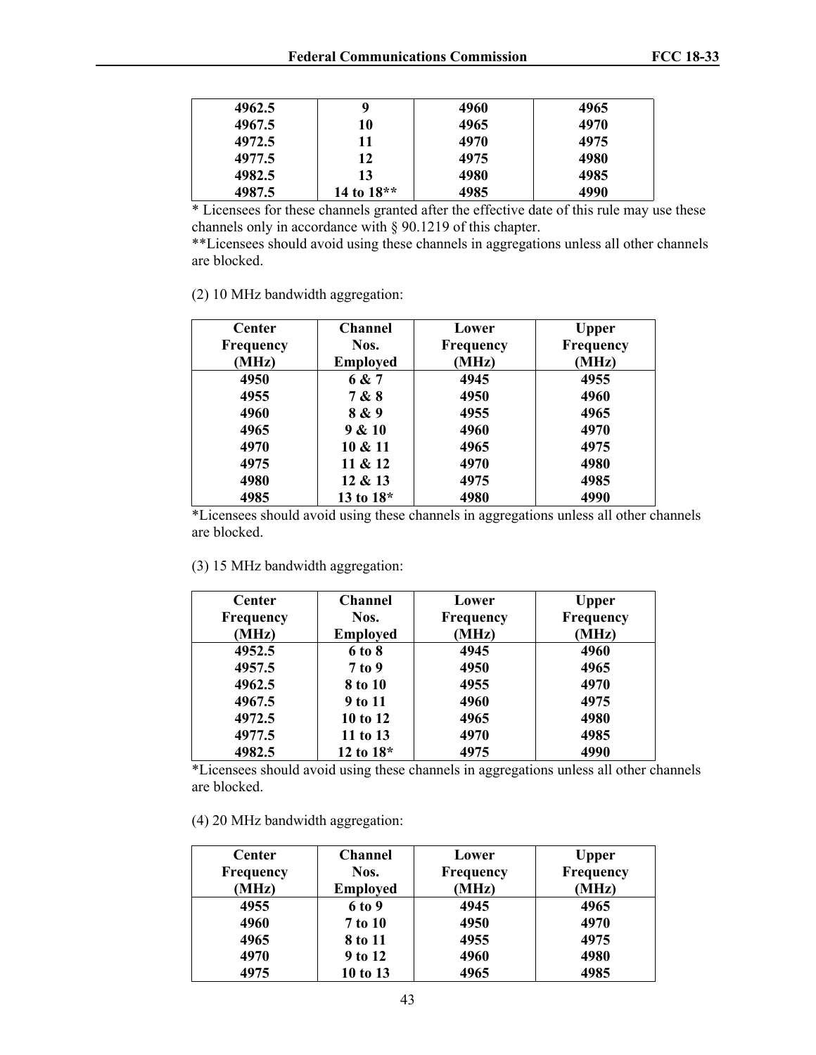| 4962.5 | 9            | 4960 | 4965 |
|--------|--------------|------|------|
| 4967.5 | 10           | 4965 | 4970 |
| 4972.5 | 11           | 4970 | 4975 |
| 4977.5 | 12           | 4975 | 4980 |
| 4982.5 | 13           | 4980 | 4985 |
| 4987.5 | 14 to $18**$ | 4985 | 4990 |

\* Licensees for these channels granted after the effective date of this rule may use these channels only in accordance with § 90.1219 of this chapter.

\*\*Licensees should avoid using these channels in aggregations unless all other channels are blocked.

(2) 10 MHz bandwidth aggregation:

| <b>Center</b> | <b>Channel</b>  | Lower            | Upper            |
|---------------|-----------------|------------------|------------------|
| Frequency     | Nos.            | <b>Frequency</b> | <b>Frequency</b> |
| (MHz)         | <b>Employed</b> | (MHz)            | (MHz)            |
| 4950          | 6 & 7           | 4945             | 4955             |
| 4955          | 7 & 8           | 4950             | 4960             |
| 4960          | 8 & 9           | 4955             | 4965             |
| 4965          | 9 & 10          | 4960             | 4970             |
| 4970          | 10 & 11         | 4965             | 4975             |
| 4975          | 11 & 12         | 4970             | 4980             |
| 4980          | 12 & 13         | 4975             | 4985             |
| 4985          | 13 to 18*       | 4980             | 4990             |

\*Licensees should avoid using these channels in aggregations unless all other channels are blocked.

(3) 15 MHz bandwidth aggregation:

| <b>Center</b>    | <b>Channel</b>  | Lower     | <b>Upper</b> |
|------------------|-----------------|-----------|--------------|
| <b>Frequency</b> | Nos.            | Frequency | Frequency    |
| (MHz)            | <b>Employed</b> | (MHz)     | (MHz)        |
| 4952.5           | 6 to 8          | 4945      | 4960         |
| 4957.5           | $7$ to 9        | 4950      | 4965         |
| 4962.5           | 8 to 10         | 4955      | 4970         |
| 4967.5           | 9 to 11         | 4960      | 4975         |
| 4972.5           | 10 to 12        | 4965      | 4980         |
| 4977.5           | 11 to 13        | 4970      | 4985         |
| 4982.5           | 12 to $18*$     | 4975      | 4990         |

\*Licensees should avoid using these channels in aggregations unless all other channels are blocked.

(4) 20 MHz bandwidth aggregation:

| <b>Center</b><br><b>Frequency</b><br>(MHz) | <b>Channel</b><br>Nos.<br><b>Employed</b> | Lower<br>Frequency<br>(MHz) | <b>Upper</b><br>Frequency<br>(MHz) |
|--------------------------------------------|-------------------------------------------|-----------------------------|------------------------------------|
| 4955                                       | 6 to 9                                    | 4945                        | 4965                               |
| 4960                                       | 7 to 10                                   | 4950                        | 4970                               |
| 4965                                       | 8 to 11                                   | 4955                        | 4975                               |
| 4970                                       | 9 to 12                                   | 4960                        | 4980                               |
| 4975                                       | 10 to 13                                  | 4965                        | 4985                               |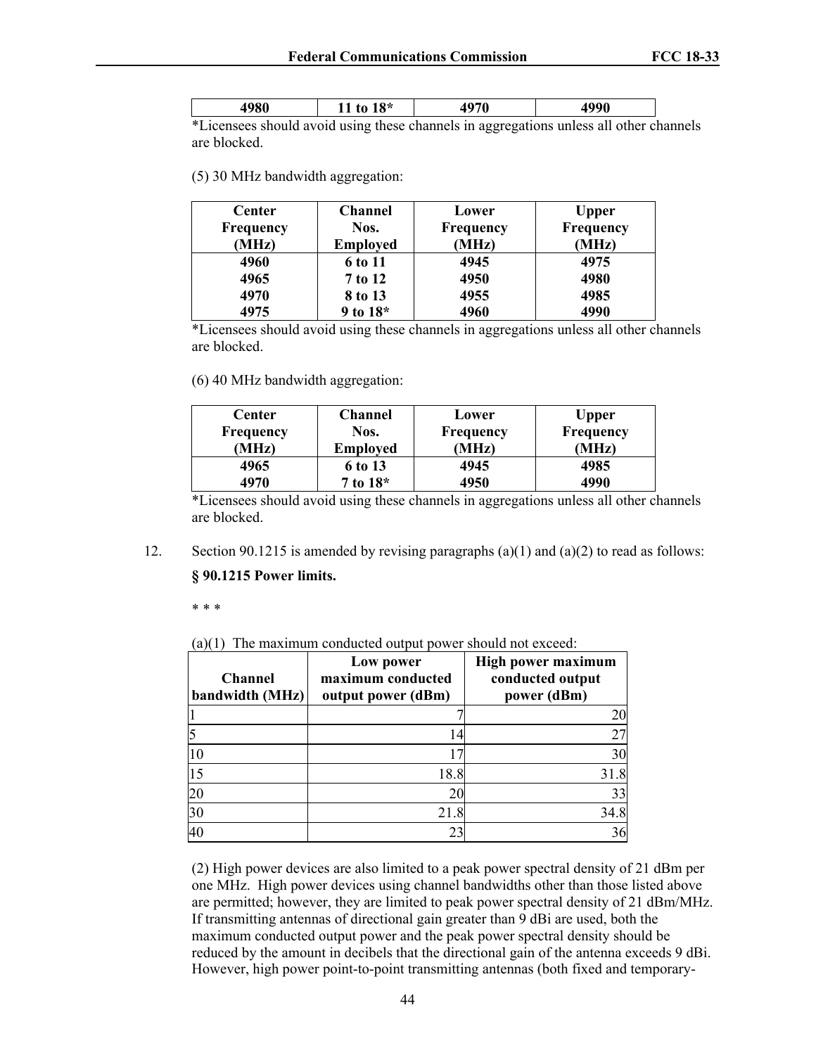| . .              |        |
|------------------|--------|
| $\sim$<br>$\sim$ | $\sim$ |

\*Licensees should avoid using these channels in aggregations unless all other channels are blocked.

(5) 30 MHz bandwidth aggregation:

| Center           | <b>Channel</b>  | Lower            | <b>Upper</b> |
|------------------|-----------------|------------------|--------------|
| <b>Frequency</b> | Nos.            | <b>Frequency</b> | Frequency    |
| (MHz)            | <b>Employed</b> | (MHz)            | (MHz)        |
| 4960             | 6 to 11         | 4945             | 4975         |
| 4965             | 7 to 12         | 4950             | 4980         |
| 4970             | 8 to 13         | 4955             | 4985         |
| 4975             | 9 to $18*$      | 4960             | 4990         |

\*Licensees should avoid using these channels in aggregations unless all other channels are blocked.

(6) 40 MHz bandwidth aggregation:

| Center           | Channel         | Lower            | <b>Upper</b> |
|------------------|-----------------|------------------|--------------|
| <b>Frequency</b> | Nos.            | <b>Frequency</b> | Frequency    |
| (MHz)            | <b>Employed</b> | (MHz)            | (MHz)        |
| 4965             | 6 to 13         | 4945             | 4985         |
| 4970             | 7 to 18*        | 4950             | 4990         |

\*Licensees should avoid using these channels in aggregations unless all other channels are blocked.

12. Section 90.1215 is amended by revising paragraphs (a)(1) and (a)(2) to read as follows:

#### **§ 90.1215 Power limits.**

\* \* \*

(a)(1) The maximum conducted output power should not exceed:

| Channel<br>bandwidth (MHz) | Low power<br>maximum conducted<br>output power (dBm) | <b>High power maximum</b><br>conducted output<br>power (dBm) |
|----------------------------|------------------------------------------------------|--------------------------------------------------------------|
|                            |                                                      | 20                                                           |
|                            | 14                                                   | 27                                                           |
| 10                         |                                                      | 30                                                           |
| 15                         | 18.8                                                 | 31.8                                                         |
| 20                         | 20                                                   | 33                                                           |
| $\overline{30}$            | 21.8                                                 | 34.8                                                         |
| 40                         | 23                                                   | 36                                                           |

(2) High power devices are also limited to a peak power spectral density of 21 dBm per one MHz. High power devices using channel bandwidths other than those listed above are permitted; however, they are limited to peak power spectral density of 21 dBm/MHz. If transmitting antennas of directional gain greater than 9 dBi are used, both the maximum conducted output power and the peak power spectral density should be reduced by the amount in decibels that the directional gain of the antenna exceeds 9 dBi. However, high power point-to-point transmitting antennas (both fixed and temporary-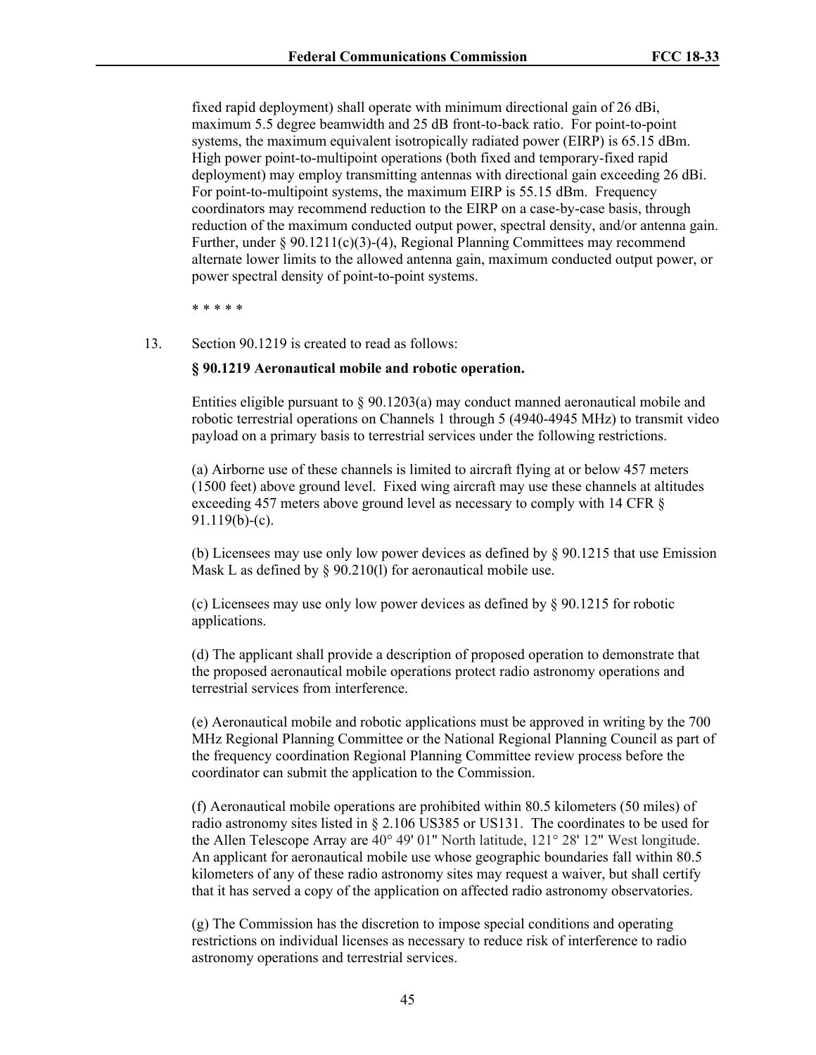fixed rapid deployment) shall operate with minimum directional gain of 26 dBi, maximum 5.5 degree beamwidth and 25 dB front-to-back ratio. For point-to-point systems, the maximum equivalent isotropically radiated power (EIRP) is 65.15 dBm. High power point-to-multipoint operations (both fixed and temporary-fixed rapid deployment) may employ transmitting antennas with directional gain exceeding 26 dBi. For point-to-multipoint systems, the maximum EIRP is 55.15 dBm. Frequency coordinators may recommend reduction to the EIRP on a case-by-case basis, through reduction of the maximum conducted output power, spectral density, and/or antenna gain. Further, under § 90.1211(c)(3)-(4), Regional Planning Committees may recommend alternate lower limits to the allowed antenna gain, maximum conducted output power, or power spectral density of point-to-point systems.

\* \* \* \* \*

13. Section 90.1219 is created to read as follows:

#### **§ 90.1219 Aeronautical mobile and robotic operation.**

Entities eligible pursuant to § 90.1203(a) may conduct manned aeronautical mobile and robotic terrestrial operations on Channels 1 through 5 (4940-4945 MHz) to transmit video payload on a primary basis to terrestrial services under the following restrictions.

(a) Airborne use of these channels is limited to aircraft flying at or below 457 meters (1500 feet) above ground level. Fixed wing aircraft may use these channels at altitudes exceeding 457 meters above ground level as necessary to comply with 14 CFR § 91.119(b)-(c).

(b) Licensees may use only low power devices as defined by § 90.1215 that use Emission Mask L as defined by § 90.210(1) for aeronautical mobile use.

(c) Licensees may use only low power devices as defined by § 90.1215 for robotic applications.

(d) The applicant shall provide a description of proposed operation to demonstrate that the proposed aeronautical mobile operations protect radio astronomy operations and terrestrial services from interference.

(e) Aeronautical mobile and robotic applications must be approved in writing by the 700 MHz Regional Planning Committee or the National Regional Planning Council as part of the frequency coordination Regional Planning Committee review process before the coordinator can submit the application to the Commission.

(f) Aeronautical mobile operations are prohibited within 80.5 kilometers (50 miles) of radio astronomy sites listed in § 2.106 US385 or US131. The coordinates to be used for the Allen Telescope Array are 40° 49' 01" North latitude, 121° 28' 12" West longitude. An applicant for aeronautical mobile use whose geographic boundaries fall within 80.5 kilometers of any of these radio astronomy sites may request a waiver, but shall certify that it has served a copy of the application on affected radio astronomy observatories.

(g) The Commission has the discretion to impose special conditions and operating restrictions on individual licenses as necessary to reduce risk of interference to radio astronomy operations and terrestrial services.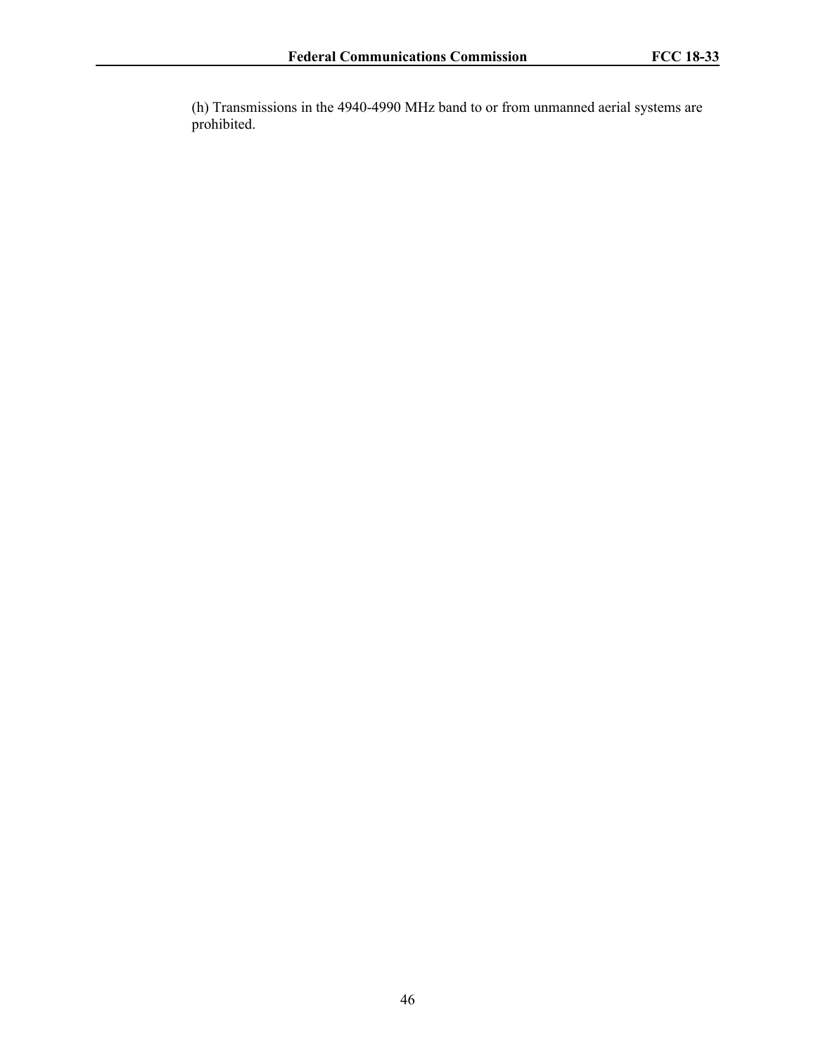(h) Transmissions in the 4940-4990 MHz band to or from unmanned aerial systems are prohibited.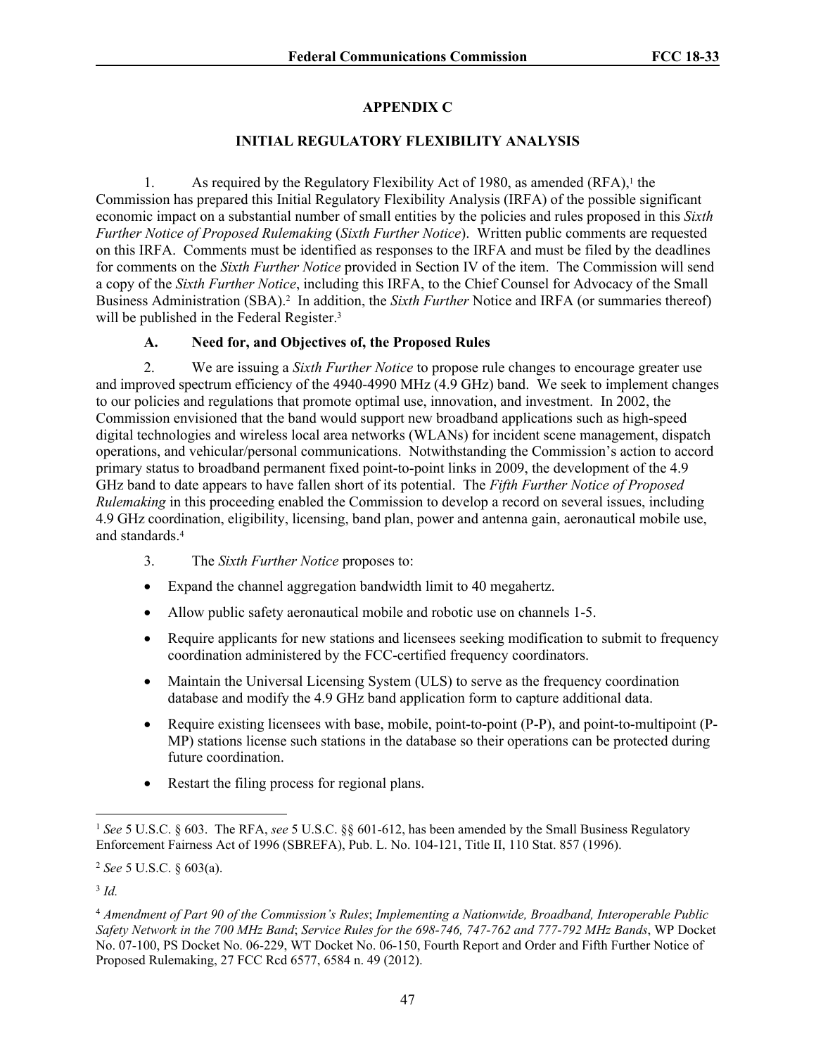# **APPENDIX C**

# **INITIAL REGULATORY FLEXIBILITY ANALYSIS**

1. As required by the Regulatory Flexibility Act of 1980, as amended  $(RFA)$ ,<sup>1</sup> the Commission has prepared this Initial Regulatory Flexibility Analysis (IRFA) of the possible significant economic impact on a substantial number of small entities by the policies and rules proposed in this *Sixth Further Notice of Proposed Rulemaking* (*Sixth Further Notice*). Written public comments are requested on this IRFA. Comments must be identified as responses to the IRFA and must be filed by the deadlines for comments on the *Sixth Further Notice* provided in Section IV of the item. The Commission will send a copy of the *Sixth Further Notice*, including this IRFA, to the Chief Counsel for Advocacy of the Small Business Administration (SBA).<sup>2</sup> In addition, the *Sixth Further* Notice and IRFA (or summaries thereof) will be published in the Federal Register.<sup>3</sup>

# **A. Need for, and Objectives of, the Proposed Rules**

2. We are issuing a *Sixth Further Notice* to propose rule changes to encourage greater use and improved spectrum efficiency of the 4940-4990 MHz (4.9 GHz) band. We seek to implement changes to our policies and regulations that promote optimal use, innovation, and investment. In 2002, the Commission envisioned that the band would support new broadband applications such as high-speed digital technologies and wireless local area networks (WLANs) for incident scene management, dispatch operations, and vehicular/personal communications. Notwithstanding the Commission's action to accord primary status to broadband permanent fixed point-to-point links in 2009, the development of the 4.9 GHz band to date appears to have fallen short of its potential. The *Fifth Further Notice of Proposed Rulemaking* in this proceeding enabled the Commission to develop a record on several issues, including 4.9 GHz coordination, eligibility, licensing, band plan, power and antenna gain, aeronautical mobile use, and standards.<sup>4</sup>

- 3. The *Sixth Further Notice* proposes to:
- Expand the channel aggregation bandwidth limit to 40 megahertz.
- Allow public safety aeronautical mobile and robotic use on channels 1-5.
- Require applicants for new stations and licensees seeking modification to submit to frequency coordination administered by the FCC-certified frequency coordinators.
- Maintain the Universal Licensing System (ULS) to serve as the frequency coordination database and modify the 4.9 GHz band application form to capture additional data.
- Require existing licensees with base, mobile, point-to-point (P-P), and point-to-multipoint (P-MP) stations license such stations in the database so their operations can be protected during future coordination.
- Restart the filing process for regional plans.

<sup>1</sup> *See* 5 U.S.C. § 603. The RFA, *see* 5 U.S.C. §§ 601-612, has been amended by the Small Business Regulatory Enforcement Fairness Act of 1996 (SBREFA), Pub. L. No. 104-121, Title II, 110 Stat. 857 (1996).

<sup>2</sup> *See* 5 U.S.C. § 603(a).

<sup>3</sup> *Id.*

<sup>4</sup> *Amendment of Part 90 of the Commission's Rules*; *Implementing a Nationwide, Broadband, Interoperable Public Safety Network in the 700 MHz Band*; *Service Rules for the 698-746, 747-762 and 777-792 MHz Bands*, WP Docket No. 07-100, PS Docket No. 06-229, WT Docket No. 06-150, Fourth Report and Order and Fifth Further Notice of Proposed Rulemaking, 27 FCC Rcd 6577, 6584 n. 49 (2012).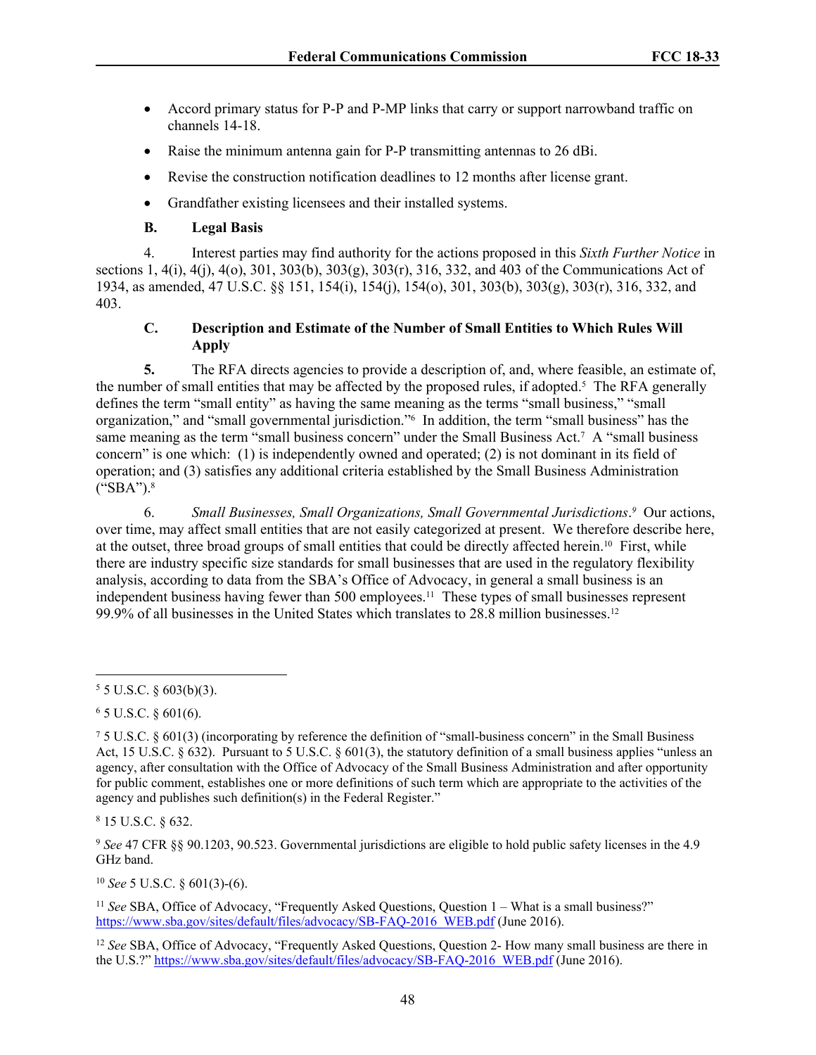- Accord primary status for P-P and P-MP links that carry or support narrowband traffic on channels 14-18.
- Raise the minimum antenna gain for P-P transmitting antennas to 26 dBi.
- Revise the construction notification deadlines to 12 months after license grant.
- Grandfather existing licensees and their installed systems.

# **B. Legal Basis**

4. Interest parties may find authority for the actions proposed in this *Sixth Further Notice* in sections 1, 4(i), 4(j), 4(o), 301, 303(b), 303(g), 303(r), 316, 332, and 403 of the Communications Act of 1934, as amended, 47 U.S.C. §§ 151, 154(i), 154(j), 154(o), 301, 303(b), 303(g), 303(r), 316, 332, and 403.

# <span id="page-47-0"></span>**C. Description and Estimate of the Number of Small Entities to Which Rules Will Apply**

**5.** The RFA directs agencies to provide a description of, and, where feasible, an estimate of, the number of small entities that may be affected by the proposed rules, if adopted.<sup>5</sup> The RFA generally defines the term "small entity" as having the same meaning as the terms "small business," "small organization," and "small governmental jurisdiction."<sup>6</sup> In addition, the term "small business" has the same meaning as the term "small business concern" under the Small Business Act.<sup>7</sup> A "small business concern" is one which: (1) is independently owned and operated; (2) is not dominant in its field of operation; and (3) satisfies any additional criteria established by the Small Business Administration ("SBA").<sup>8</sup>

6. Small Businesses, Small Organizations, Small Governmental Jurisdictions.<sup>9</sup> Our actions, over time, may affect small entities that are not easily categorized at present. We therefore describe here, at the outset, three broad groups of small entities that could be directly affected herein.10 First, while there are industry specific size standards for small businesses that are used in the regulatory flexibility analysis, according to data from the SBA's Office of Advocacy, in general a small business is an independent business having fewer than 500 employees.11 These types of small businesses represent 99.9% of all businesses in the United States which translates to 28.8 million businesses.<sup>12</sup>

8 15 U.S.C. § 632.

<sup>9</sup> *See* 47 CFR §§ 90.1203, 90.523. Governmental jurisdictions are eligible to hold public safety licenses in the 4.9 GHz band.

<sup>10</sup> *See* 5 U.S.C. § 601(3)-(6).

<sup>11</sup> See SBA, Office of Advocacy, "Frequently Asked Questions, Question 1 – What is a small business?" [https://www.sba.gov/sites/default/files/advocacy/SB-FAQ-2016\\_WEB.pdf](https://www.sba.gov/sites/default/files/advocacy/SB-FAQ-2016_WEB.pdf) (June 2016).

<sup>12</sup> *See* SBA, Office of Advocacy, "Frequently Asked Questions, Question 2- How many small business are there in the U.S.?" [https://www.sba.gov/sites/default/files/advocacy/SB-FAQ-2016\\_WEB.pdf](https://www.sba.gov/sites/default/files/advocacy/SB-FAQ-2016_WEB.pdf) (June 2016).

 $55$  U.S.C. § 603(b)(3).

 $6$  5 U.S.C. § 601(6).

<sup>7</sup> 5 U.S.C. § 601(3) (incorporating by reference the definition of "small-business concern" in the Small Business Act, 15 U.S.C.  $\S 632$ ). Pursuant to 5 U.S.C.  $\S 601(3)$ , the statutory definition of a small business applies "unless an agency, after consultation with the Office of Advocacy of the Small Business Administration and after opportunity for public comment, establishes one or more definitions of such term which are appropriate to the activities of the agency and publishes such definition(s) in the Federal Register."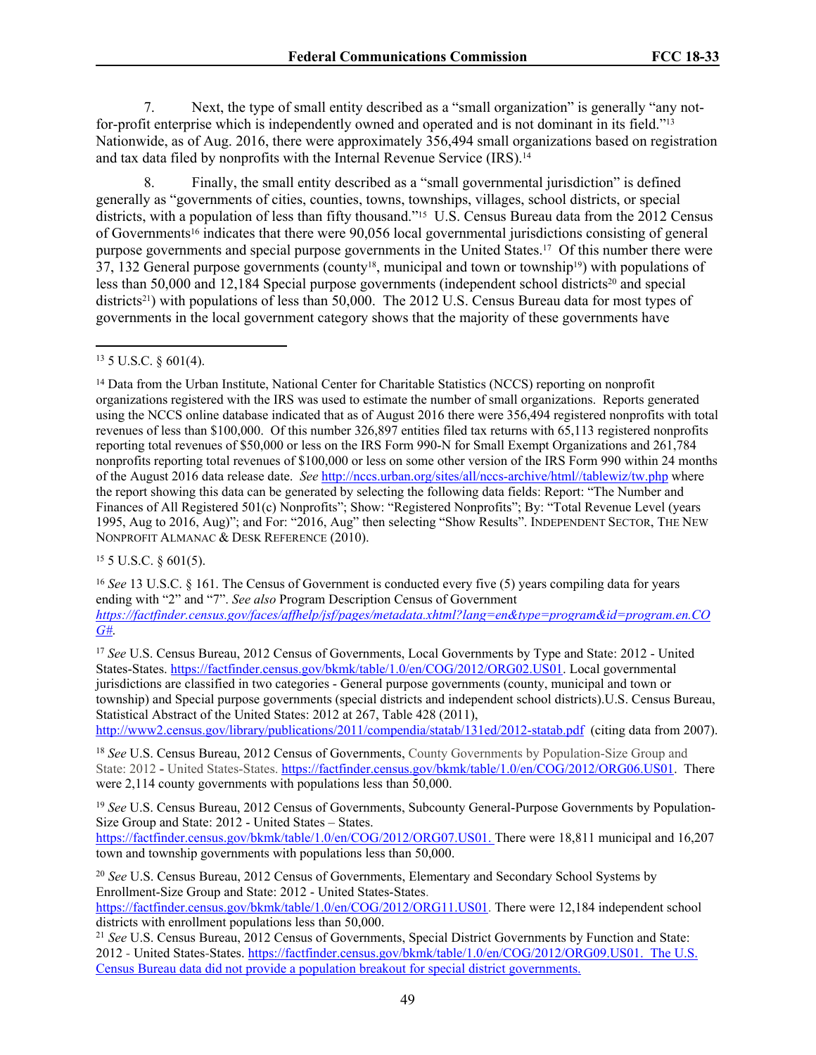7. Next, the type of small entity described as a "small organization" is generally "any notfor-profit enterprise which is independently owned and operated and is not dominant in its field."<sup>13</sup> Nationwide, as of Aug. 2016, there were approximately 356,494 small organizations based on registration and tax data filed by nonprofits with the Internal Revenue Service (IRS).<sup>14</sup>

8. Finally, the small entity described as a "small governmental jurisdiction" is defined generally as "governments of cities, counties, towns, townships, villages, school districts, or special districts, with a population of less than fifty thousand."<sup>15</sup> U.S. Census Bureau data from the 2012 Census of Governments16 indicates that there were 90,056 local governmental jurisdictions consisting of general purpose governments and special purpose governments in the United States.17 Of this number there were 37, 132 General purpose governments (county<sup>18</sup>, municipal and town or township<sup>19</sup>) with populations of less than  $50,000$  and  $12,184$  Special purpose governments (independent school districts<sup>20</sup> and special districts<sup>21</sup>) with populations of less than 50,000. The 2012 U.S. Census Bureau data for most types of governments in the local government category shows that the majority of these governments have

<sup>14</sup> Data from the Urban Institute, National Center for Charitable Statistics (NCCS) reporting on nonprofit organizations registered with the IRS was used to estimate the number of small organizations. Reports generated using the NCCS online database indicated that as of August 2016 there were 356,494 registered nonprofits with total revenues of less than \$100,000. Of this number 326,897 entities filed tax returns with 65,113 registered nonprofits reporting total revenues of \$50,000 or less on the IRS Form 990-N for Small Exempt Organizations and 261,784 nonprofits reporting total revenues of \$100,000 or less on some other version of the IRS Form 990 within 24 months of the August 2016 data release date. *See* [http://nccs.urban.org/sites/all/nccs-archive/html//tablewiz/tw.php](http://nccs.urban.org/sites/all/nccs-archive/html/tablewiz/tw.php) where the report showing this data can be generated by selecting the following data fields: Report: "The Number and Finances of All Registered 501(c) Nonprofits"; Show: "Registered Nonprofits"; By: "Total Revenue Level (years 1995, Aug to 2016, Aug)"; and For: "2016, Aug" then selecting "Show Results". INDEPENDENT SECTOR, THE NEW NONPROFIT ALMANAC & DESK REFERENCE (2010).

<sup>15</sup> 5 U.S.C. § 601(5).

<sup>16</sup> *See* 13 U.S.C. § 161. The Census of Government is conducted every five (5) years compiling data for years ending with "2" and "7". *See also* Program Description Census of Government *[https://factfinder.census.gov/faces/affhelp/jsf/pages/metadata.xhtml?lang=en&type=program&id=program.en.CO](https://factfinder.census.gov/faces/affhelp/jsf/pages/metadata.xhtml?lang=en&type=program&id=program.en.COG) [G#](https://factfinder.census.gov/faces/affhelp/jsf/pages/metadata.xhtml?lang=en&type=program&id=program.en.COG)*.

<sup>17</sup> *See* U.S. Census Bureau, 2012 Census of Governments, Local Governments by Type and State: 2012 - United States-States. [https://factfinder.census.gov/bkmk/table/1.0/en/COG/2012/ORG02.US01.](https://factfinder.census.gov/bkmk/table/1.0/en/COG/2012/ORG02.US01) Local governmental jurisdictions are classified in two categories - General purpose governments (county, municipal and town or township) and Special purpose governments (special districts and independent school districts).U.S. Census Bureau, Statistical Abstract of the United States: 2012 at 267, Table 428 (2011), <http://www2.census.gov/library/publications/2011/compendia/statab/131ed/2012-statab.pdf> (citing data from 2007).

<sup>18</sup> *See* U.S. Census Bureau, 2012 Census of Governments, County Governments by Population-Size Group and State: 2012 - United States-States. [https://factfinder.census.gov/bkmk/table/1.0/en/COG/2012/ORG06.US01.](https://factfinder.census.gov/bkmk/table/1.0/en/COG/2012/ORG06.US01) There were 2,114 county governments with populations less than 50,000.

<sup>19</sup> *See* U.S. Census Bureau, 2012 Census of Governments, Subcounty General-Purpose Governments by Population-Size Group and State: 2012 - United States – States. <https://factfinder.census.gov/bkmk/table/1.0/en/COG/2012/ORG07.US01>. There were 18,811 municipal and 16,207

town and township governments with populations less than 50,000.

<sup>20</sup> *See* U.S. Census Bureau, 2012 Census of Governments, Elementary and Secondary School Systems by Enrollment-Size Group and State: 2012 - United States-States. <https://factfinder.census.gov/bkmk/table/1.0/en/COG/2012/ORG11.US01>. There were 12,184 independent school

districts with enrollment populations less than 50,000. <sup>21</sup> *See* U.S. Census Bureau, 2012 Census of Governments, Special District Governments by Function and State: 2012 - United States-States. [https://factfinder.census.gov/bkmk/table/1.0/en/COG/2012/ORG09.US01.](https://factfinder.census.gov/bkmk/table/1.0/en/COG/2012/ORG09.US01) The U.S. Census Bureau data did not provide a population breakout for special district governments.

<sup>13</sup> 5 U.S.C. § 601(4).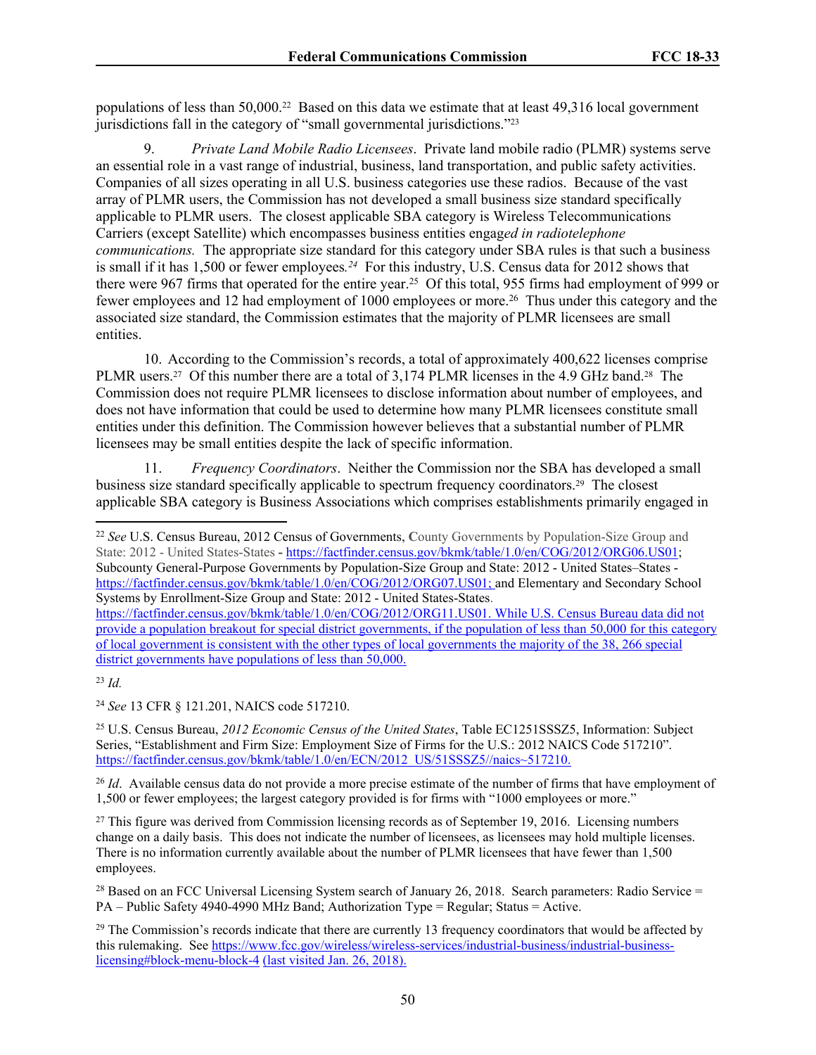populations of less than 50,000.22 Based on this data we estimate that at least 49,316 local government jurisdictions fall in the category of "small governmental jurisdictions."<sup>23</sup>

9. *Private Land Mobile Radio Licensees*. Private land mobile radio (PLMR) systems serve an essential role in a vast range of industrial, business, land transportation, and public safety activities. Companies of all sizes operating in all U.S. business categories use these radios. Because of the vast array of PLMR users, the Commission has not developed a small business size standard specifically applicable to PLMR users. The closest applicable SBA category is Wireless Telecommunications Carriers (except Satellite) which encompasses business entities engag*ed in radiotelephone communications.* The appropriate size standard for this category under SBA rules is that such a business is small if it has 1,500 or fewer employees.<sup>24</sup> For this industry, U.S. Census data for 2012 shows that there were 967 firms that operated for the entire year.<sup>25</sup> Of this total, 955 firms had employment of 999 or fewer employees and 12 had employment of 1000 employees or more.<sup>26</sup> Thus under this category and the associated size standard, the Commission estimates that the majority of PLMR licensees are small entities.

10. According to the Commission's records, a total of approximately 400,622 licenses comprise PLMR users.27 Of this number there are a total of 3,174 PLMR licenses in the 4.9 GHz band.28 The Commission does not require PLMR licensees to disclose information about number of employees, and does not have information that could be used to determine how many PLMR licensees constitute small entities under this definition. The Commission however believes that a substantial number of PLMR licensees may be small entities despite the lack of specific information.

11. *Frequency Coordinators*. Neither the Commission nor the SBA has developed a small business size standard specifically applicable to spectrum frequency coordinators.29 The closest applicable SBA category is Business Associations which comprises establishments primarily engaged in

<sup>22</sup> *See* U.S. Census Bureau, 2012 Census of Governments, **C**ounty Governments by Population-Size Group and State: 2012 - United States-States **-** <https://factfinder.census.gov/bkmk/table/1.0/en/COG/2012/ORG06.US01>; Subcounty General-Purpose Governments by Population-Size Group and State: 2012 - United States–States <https://factfinder.census.gov/bkmk/table/1.0/en/COG/2012/ORG07.US01>; and Elementary and Secondary School Systems by Enrollment-Size Group and State: 2012 - United States-States. <https://factfinder.census.gov/bkmk/table/1.0/en/COG/2012/ORG11.US01>. While U.S. Census Bureau data did not provide a population breakout for special district governments, if the population of less than 50,000 for this category of local government is consistent with the other types of local governments the majority of the 38, 266 special district governments have populations of less than 50,000.

<sup>24</sup> *See* 13 CFR § 121.201, NAICS code 517210.

<sup>25</sup> U.S. Census Bureau, *2012 Economic Census of the United States*, Table EC1251SSSZ5, Information: Subject Series, "Establishment and Firm Size: Employment Size of Firms for the U.S.: 2012 NAICS Code 517210". [https://factfinder.census.gov/bkmk/table/1.0/en/ECN/2012\\_US/51SSSZ5//naics~517210.](https://factfinder.census.gov/bkmk/table/1.0/en/ECN/2012_US/51SSSZ5//naics~517210)

<sup>26</sup> *Id.* Available census data do not provide a more precise estimate of the number of firms that have employment of 1,500 or fewer employees; the largest category provided is for firms with "1000 employees or more."

<sup>27</sup> This figure was derived from Commission licensing records as of September 19, 2016. Licensing numbers change on a daily basis. This does not indicate the number of licensees, as licensees may hold multiple licenses. There is no information currently available about the number of PLMR licensees that have fewer than 1,500 employees.

<sup>28</sup> Based on an FCC Universal Licensing System search of January 26, 2018. Search parameters: Radio Service = PA – Public Safety 4940-4990 MHz Band; Authorization Type = Regular; Status = Active.

 $29$  The Commission's records indicate that there are currently 13 frequency coordinators that would be affected by this rulemaking. See [https://www.fcc.gov/wireless/wireless-services/industrial-business/industrial-business](https://www.fcc.gov/wireless/wireless-services/industrial-business/industrial-business-licensing#block-menu-block-4)[licensing#block-menu-block-4](https://www.fcc.gov/wireless/wireless-services/industrial-business/industrial-business-licensing#block-menu-block-4) (last visited Jan. 26, 2018).

<sup>23</sup> *Id.*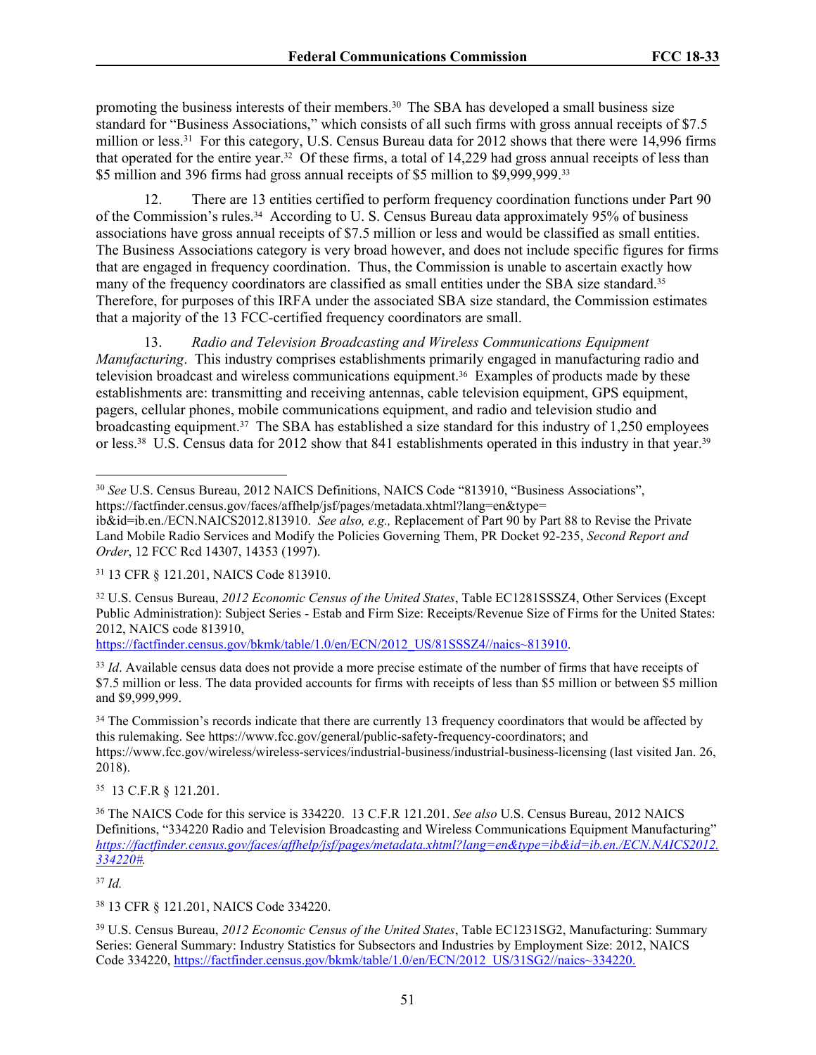promoting the business interests of their members.<sup>30</sup> The SBA has developed a small business size standard for "Business Associations," which consists of all such firms with gross annual receipts of \$7.5 million or less.<sup>31</sup> For this category, U.S. Census Bureau data for 2012 shows that there were 14,996 firms that operated for the entire year.32 Of these firms, a total of 14,229 had gross annual receipts of less than \$5 million and 396 firms had gross annual receipts of \$5 million to \$9,999,999.<sup>33</sup>

12. There are 13 entities certified to perform frequency coordination functions under Part 90 of the Commission's rules.34 According to U. S. Census Bureau data approximately 95% of business associations have gross annual receipts of \$7.5 million or less and would be classified as small entities. The Business Associations category is very broad however, and does not include specific figures for firms that are engaged in frequency coordination. Thus, the Commission is unable to ascertain exactly how many of the frequency coordinators are classified as small entities under the SBA size standard.<sup>35</sup> Therefore, for purposes of this IRFA under the associated SBA size standard, the Commission estimates that a majority of the 13 FCC-certified frequency coordinators are small.

13. *Radio and Television Broadcasting and Wireless Communications Equipment Manufacturing*. This industry comprises establishments primarily engaged in manufacturing radio and television broadcast and wireless communications equipment.36 Examples of products made by these establishments are: transmitting and receiving antennas, cable television equipment, GPS equipment, pagers, cellular phones, mobile communications equipment, and radio and television studio and broadcasting equipment.37 The SBA has established a size standard for this industry of 1,250 employees or less.<sup>38</sup> U.S. Census data for 2012 show that 841 establishments operated in this industry in that year.<sup>39</sup>

[https://factfinder.census.gov/bkmk/table/1.0/en/ECN/2012\\_US/81SSSZ4//naics~813910.](https://factfinder.census.gov/bkmk/table/1.0/en/ECN/2012_US/81SSSZ4//naics~813910)

<sup>33</sup> *Id.* Available census data does not provide a more precise estimate of the number of firms that have receipts of \$7.5 million or less. The data provided accounts for firms with receipts of less than \$5 million or between \$5 million and \$9,999,999.

<sup>34</sup> The Commission's records indicate that there are currently 13 frequency coordinators that would be affected by this rulemaking. See https://www.fcc.gov/general/public-safety-frequency-coordinators; and https://www.fcc.gov/wireless/wireless-services/industrial-business/industrial-business-licensing (last visited Jan. 26, 2018).

<sup>35</sup> 13 C.F.R § 121.201.

<sup>36</sup> The NAICS Code for this service is 334220. 13 C.F.R 121.201. *See also* U.S. Census Bureau, 2012 NAICS Definitions, "334220 Radio and Television Broadcasting and Wireless Communications Equipment Manufacturing" *[https://factfinder.census.gov/faces/affhelp/jsf/pages/metadata.xhtml?lang=en&type=ib&id=ib.en./ECN.NAICS2012.](https://factfinder.census.gov/faces/affhelp/jsf/pages/metadata.xhtml?lang=en&type=ib&id=ib.en./ECN.NAICS2012.334220) [334220#](https://factfinder.census.gov/faces/affhelp/jsf/pages/metadata.xhtml?lang=en&type=ib&id=ib.en./ECN.NAICS2012.334220).*

<sup>37</sup> *Id.*

<sup>38</sup> 13 CFR § 121.201, NAICS Code 334220.

<sup>39</sup> U.S. Census Bureau, *2012 Economic Census of the United States*, Table EC1231SG2, Manufacturing: Summary Series: General Summary: Industry Statistics for Subsectors and Industries by Employment Size: 2012, NAICS Code 334220, [https://factfinder.census.gov/bkmk/table/1.0/en/ECN/2012\\_US/31SG2//naics~334220.](https://factfinder.census.gov/bkmk/table/1.0/en/ECN/2012_US/31SG2//naics~334220)

<sup>30</sup> *See* U.S. Census Bureau, 2012 NAICS Definitions, NAICS Code "813910, "Business Associations", https://factfinder.census.gov/faces/affhelp/jsf/pages/metadata.xhtml?lang=en&type=

ib&id=ib.en./ECN.NAICS2012.813910. *See also, e.g.,* Replacement of Part 90 by Part 88 to Revise the Private Land Mobile Radio Services and Modify the Policies Governing Them, PR Docket 92-235, *Second Report and Order*, 12 FCC Rcd 14307, 14353 (1997).

<sup>31</sup> 13 CFR § 121.201, NAICS Code 813910.

<sup>32</sup> U.S. Census Bureau, *2012 Economic Census of the United States*, Table EC1281SSSZ4, Other Services (Except Public Administration): Subject Series - Estab and Firm Size: Receipts/Revenue Size of Firms for the United States: 2012, NAICS code 813910,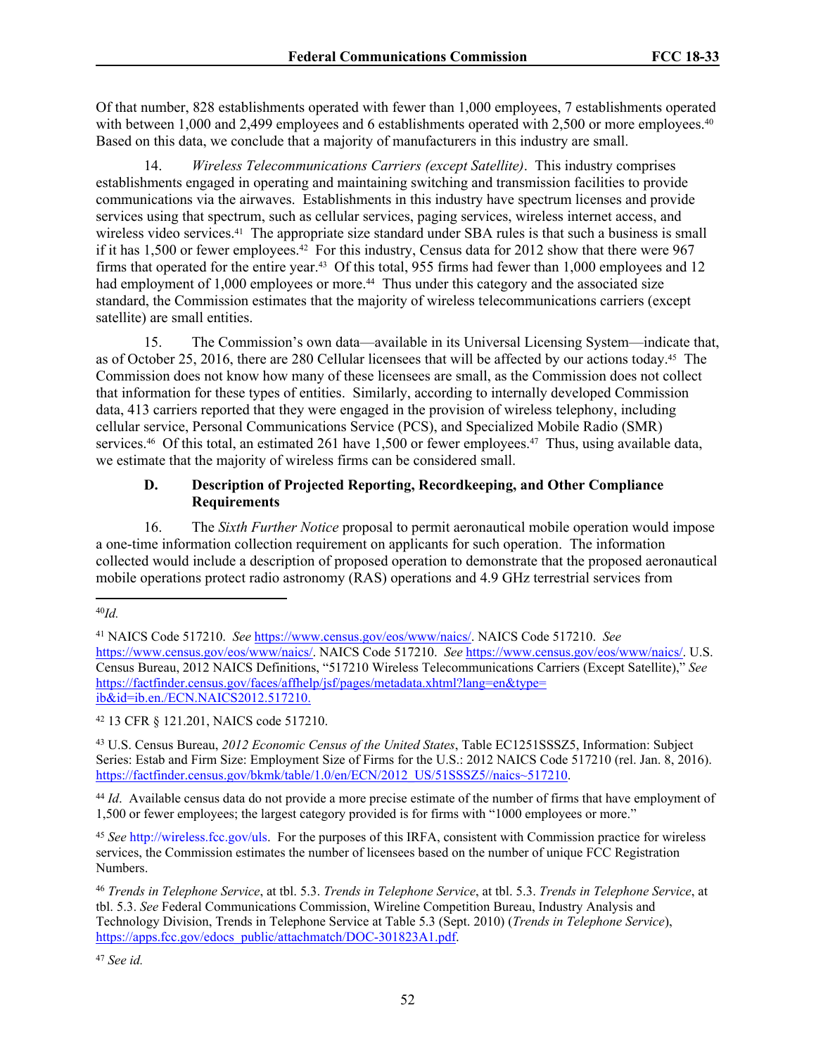Of that number, 828 establishments operated with fewer than 1,000 employees, 7 establishments operated with between 1,000 and 2,499 employees and 6 establishments operated with 2,500 or more employees.<sup>40</sup> Based on this data, we conclude that a majority of manufacturers in this industry are small.

14. *Wireless Telecommunications Carriers (except Satellite)*. This industry comprises establishments engaged in operating and maintaining switching and transmission facilities to provide communications via the airwaves. Establishments in this industry have spectrum licenses and provide services using that spectrum, such as cellular services, paging services, wireless internet access, and wireless video services.<sup>41</sup> The appropriate size standard under SBA rules is that such a business is small if it has 1,500 or fewer employees.42 For this industry, Census data for 2012 show that there were 967 firms that operated for the entire year.43 Of this total, 955 firms had fewer than 1,000 employees and 12 had employment of 1,000 employees or more.<sup>44</sup> Thus under this category and the associated size standard, the Commission estimates that the majority of wireless telecommunications carriers (except satellite) are small entities.

15. The Commission's own data—available in its Universal Licensing System—indicate that, as of October 25, 2016, there are 280 Cellular licensees that will be affected by our actions today.45 The Commission does not know how many of these licensees are small, as the Commission does not collect that information for these types of entities. Similarly, according to internally developed Commission data, 413 carriers reported that they were engaged in the provision of wireless telephony, including cellular service, Personal Communications Service (PCS), and Specialized Mobile Radio (SMR) services.<sup>46</sup> Of this total, an estimated 261 have 1,500 or fewer employees.<sup>47</sup> Thus, using available data, we estimate that the majority of wireless firms can be considered small.

# **D. Description of Projected Reporting, Recordkeeping, and Other Compliance Requirements**

16. The *Sixth Further Notice* proposal to permit aeronautical mobile operation would impose a one-time information collection requirement on applicants for such operation. The information collected would include a description of proposed operation to demonstrate that the proposed aeronautical mobile operations protect radio astronomy (RAS) operations and 4.9 GHz terrestrial services from

<sup>42</sup> 13 CFR § 121.201, NAICS code 517210.

<sup>43</sup> U.S. Census Bureau, *2012 Economic Census of the United States*, Table EC1251SSSZ5, Information: Subject Series: Estab and Firm Size: Employment Size of Firms for the U.S.: 2012 NAICS Code 517210 (rel. Jan. 8, 2016). [https://factfinder.census.gov/bkmk/table/1.0/en/ECN/2012\\_US/51SSSZ5//naics~517210.](https://factfinder.census.gov/bkmk/table/1.0/en/ECN/2012_US/51SSSZ5//naics~517210)

<sup>44</sup> *Id.* Available census data do not provide a more precise estimate of the number of firms that have employment of 1,500 or fewer employees; the largest category provided is for firms with "1000 employees or more."

<sup>45</sup> *See* http://wireless.fcc.gov/uls. For the purposes of this IRFA, consistent with Commission practice for wireless services, the Commission estimates the number of licensees based on the number of unique FCC Registration Numbers.

<sup>46</sup> *Trends in Telephone Service*, at tbl. 5.3. *Trends in Telephone Service*, at tbl. 5.3. *Trends in Telephone Service*, at tbl. 5.3. *See* Federal Communications Commission, Wireline Competition Bureau, Industry Analysis and Technology Division, Trends in Telephone Service at Table 5.3 (Sept. 2010) (*Trends in Telephone Service*), [https://apps.fcc.gov/edocs\\_public/attachmatch/DOC-301823A1.pdf](https://apps.fcc.gov/edocs_public/attachmatch/DOC-301823A1.pdf).

<sup>47</sup> *See id.*

<sup>40</sup>*Id.* 

<sup>41</sup> NAICS Code 517210. *See* https://www.census.gov/eos/www/naics/. NAICS Code 517210. *See*  https://www.census.gov/eos/www/naics/. NAICS Code 517210. *See* https://www.census.gov/eos/www/naics/. U.S. Census Bureau, 2012 NAICS Definitions, "517210 Wireless Telecommunications Carriers (Except Satellite)," *See* [https://factfinder.census.gov/faces/affhelp/jsf/pages/metadata.xhtml?lang=en&type=](https://factfinder.census.gov/faces/affhelp/jsf/pages/metadata.xhtml?lang=en&type=ib&id=ib.en./ECN.NAICS2012.517210) [ib&id=ib.en./ECN.NAICS2012.517210.](https://factfinder.census.gov/faces/affhelp/jsf/pages/metadata.xhtml?lang=en&type=ib&id=ib.en./ECN.NAICS2012.517210)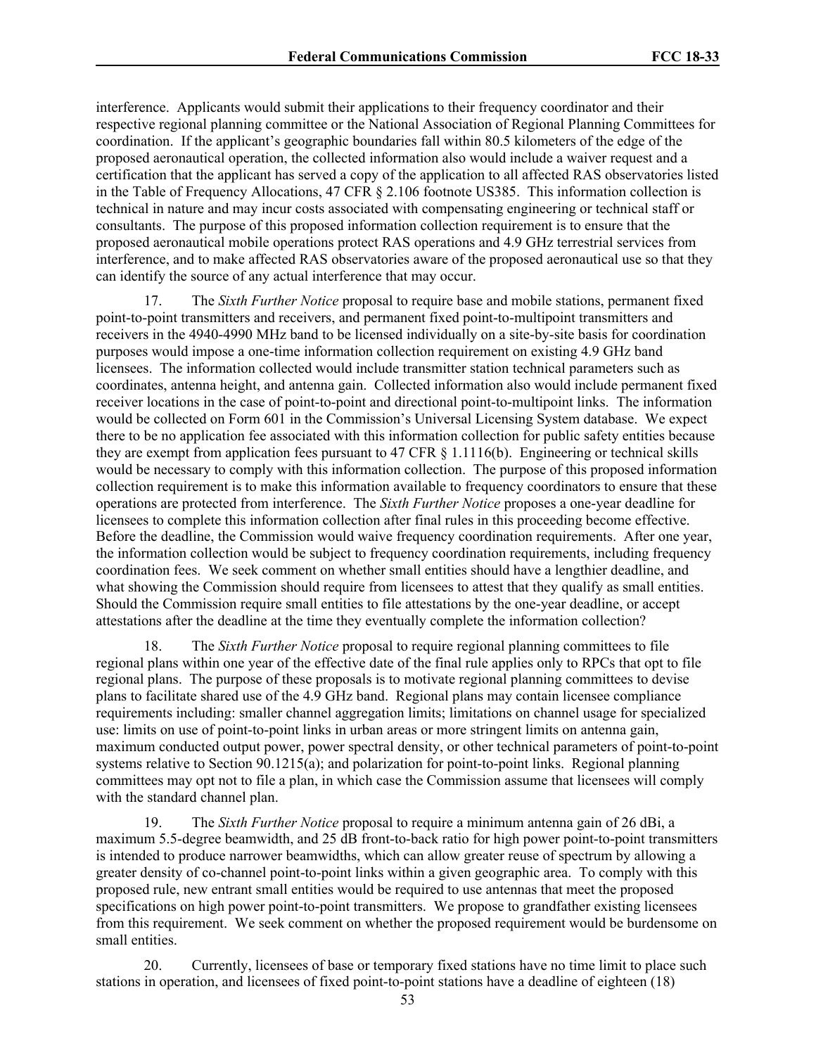interference. Applicants would submit their applications to their frequency coordinator and their respective regional planning committee or the National Association of Regional Planning Committees for coordination. If the applicant's geographic boundaries fall within 80.5 kilometers of the edge of the proposed aeronautical operation, the collected information also would include a waiver request and a certification that the applicant has served a copy of the application to all affected RAS observatories listed in the Table of Frequency Allocations, 47 CFR § 2.106 footnote US385. This information collection is technical in nature and may incur costs associated with compensating engineering or technical staff or consultants. The purpose of this proposed information collection requirement is to ensure that the proposed aeronautical mobile operations protect RAS operations and 4.9 GHz terrestrial services from interference, and to make affected RAS observatories aware of the proposed aeronautical use so that they can identify the source of any actual interference that may occur.

17. The *Sixth Further Notice* proposal to require base and mobile stations, permanent fixed point-to-point transmitters and receivers, and permanent fixed point-to-multipoint transmitters and receivers in the 4940-4990 MHz band to be licensed individually on a site-by-site basis for coordination purposes would impose a one-time information collection requirement on existing 4.9 GHz band licensees. The information collected would include transmitter station technical parameters such as coordinates, antenna height, and antenna gain. Collected information also would include permanent fixed receiver locations in the case of point-to-point and directional point-to-multipoint links. The information would be collected on Form 601 in the Commission's Universal Licensing System database. We expect there to be no application fee associated with this information collection for public safety entities because they are exempt from application fees pursuant to 47 CFR § 1.1116(b). Engineering or technical skills would be necessary to comply with this information collection. The purpose of this proposed information collection requirement is to make this information available to frequency coordinators to ensure that these operations are protected from interference. The *Sixth Further Notice* proposes a one-year deadline for licensees to complete this information collection after final rules in this proceeding become effective. Before the deadline, the Commission would waive frequency coordination requirements. After one year, the information collection would be subject to frequency coordination requirements, including frequency coordination fees. We seek comment on whether small entities should have a lengthier deadline, and what showing the Commission should require from licensees to attest that they qualify as small entities. Should the Commission require small entities to file attestations by the one-year deadline, or accept attestations after the deadline at the time they eventually complete the information collection?

18. The *Sixth Further Notice* proposal to require regional planning committees to file regional plans within one year of the effective date of the final rule applies only to RPCs that opt to file regional plans. The purpose of these proposals is to motivate regional planning committees to devise plans to facilitate shared use of the 4.9 GHz band. Regional plans may contain licensee compliance requirements including: smaller channel aggregation limits; limitations on channel usage for specialized use: limits on use of point-to-point links in urban areas or more stringent limits on antenna gain, maximum conducted output power, power spectral density, or other technical parameters of point-to-point systems relative to Section 90.1215(a); and polarization for point-to-point links. Regional planning committees may opt not to file a plan, in which case the Commission assume that licensees will comply with the standard channel plan.

19. The *Sixth Further Notice* proposal to require a minimum antenna gain of 26 dBi, a maximum 5.5-degree beamwidth, and 25 dB front-to-back ratio for high power point-to-point transmitters is intended to produce narrower beamwidths, which can allow greater reuse of spectrum by allowing a greater density of co-channel point-to-point links within a given geographic area. To comply with this proposed rule, new entrant small entities would be required to use antennas that meet the proposed specifications on high power point-to-point transmitters. We propose to grandfather existing licensees from this requirement. We seek comment on whether the proposed requirement would be burdensome on small entities.

20. Currently, licensees of base or temporary fixed stations have no time limit to place such stations in operation, and licensees of fixed point-to-point stations have a deadline of eighteen (18)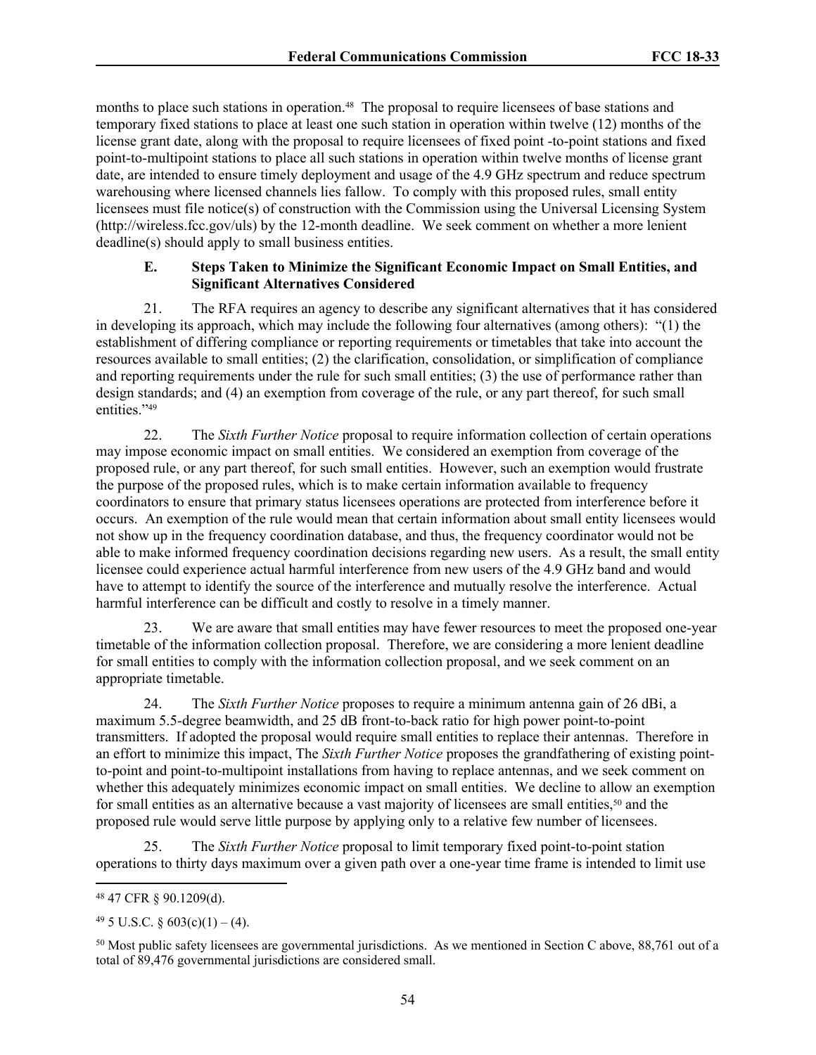months to place such stations in operation.<sup>48</sup> The proposal to require licensees of base stations and temporary fixed stations to place at least one such station in operation within twelve (12) months of the license grant date, along with the proposal to require licensees of fixed point -to-point stations and fixed point-to-multipoint stations to place all such stations in operation within twelve months of license grant date, are intended to ensure timely deployment and usage of the 4.9 GHz spectrum and reduce spectrum warehousing where licensed channels lies fallow. To comply with this proposed rules, small entity licensees must file notice(s) of construction with the Commission using the Universal Licensing System (http://wireless.fcc.gov/uls) by the 12-month deadline. We seek comment on whether a more lenient deadline(s) should apply to small business entities.

# **E. Steps Taken to Minimize the Significant Economic Impact on Small Entities, and Significant Alternatives Considered**

21. The RFA requires an agency to describe any significant alternatives that it has considered in developing its approach, which may include the following four alternatives (among others): "(1) the establishment of differing compliance or reporting requirements or timetables that take into account the resources available to small entities; (2) the clarification, consolidation, or simplification of compliance and reporting requirements under the rule for such small entities; (3) the use of performance rather than design standards; and (4) an exemption from coverage of the rule, or any part thereof, for such small entities."49

22. The *Sixth Further Notice* proposal to require information collection of certain operations may impose economic impact on small entities. We considered an exemption from coverage of the proposed rule, or any part thereof, for such small entities. However, such an exemption would frustrate the purpose of the proposed rules, which is to make certain information available to frequency coordinators to ensure that primary status licensees operations are protected from interference before it occurs. An exemption of the rule would mean that certain information about small entity licensees would not show up in the frequency coordination database, and thus, the frequency coordinator would not be able to make informed frequency coordination decisions regarding new users. As a result, the small entity licensee could experience actual harmful interference from new users of the 4.9 GHz band and would have to attempt to identify the source of the interference and mutually resolve the interference. Actual harmful interference can be difficult and costly to resolve in a timely manner.

23. We are aware that small entities may have fewer resources to meet the proposed one-year timetable of the information collection proposal. Therefore, we are considering a more lenient deadline for small entities to comply with the information collection proposal, and we seek comment on an appropriate timetable.

24. The *Sixth Further Notice* proposes to require a minimum antenna gain of 26 dBi, a maximum 5.5-degree beamwidth, and 25 dB front-to-back ratio for high power point-to-point transmitters. If adopted the proposal would require small entities to replace their antennas. Therefore in an effort to minimize this impact, The *Sixth Further Notice* proposes the grandfathering of existing pointto-point and point-to-multipoint installations from having to replace antennas, and we seek comment on whether this adequately minimizes economic impact on small entities. We decline to allow an exemption for small entities as an alternative because a vast majority of licensees are small entities,<sup>50</sup> and the proposed rule would serve little purpose by applying only to a relative few number of licensees.

25. The *Sixth Further Notice* proposal to limit temporary fixed point-to-point station operations to thirty days maximum over a given path over a one-year time frame is intended to limit use

<sup>48</sup> 47 CFR § 90.1209(d).

 $49\,5$  U.S.C. § 603(c)(1) – (4).

<sup>50</sup> Most public safety licensees are governmental jurisdictions. As we mentioned in Section [C](#page-47-0) above, 88,761 out of a total of 89,476 governmental jurisdictions are considered small.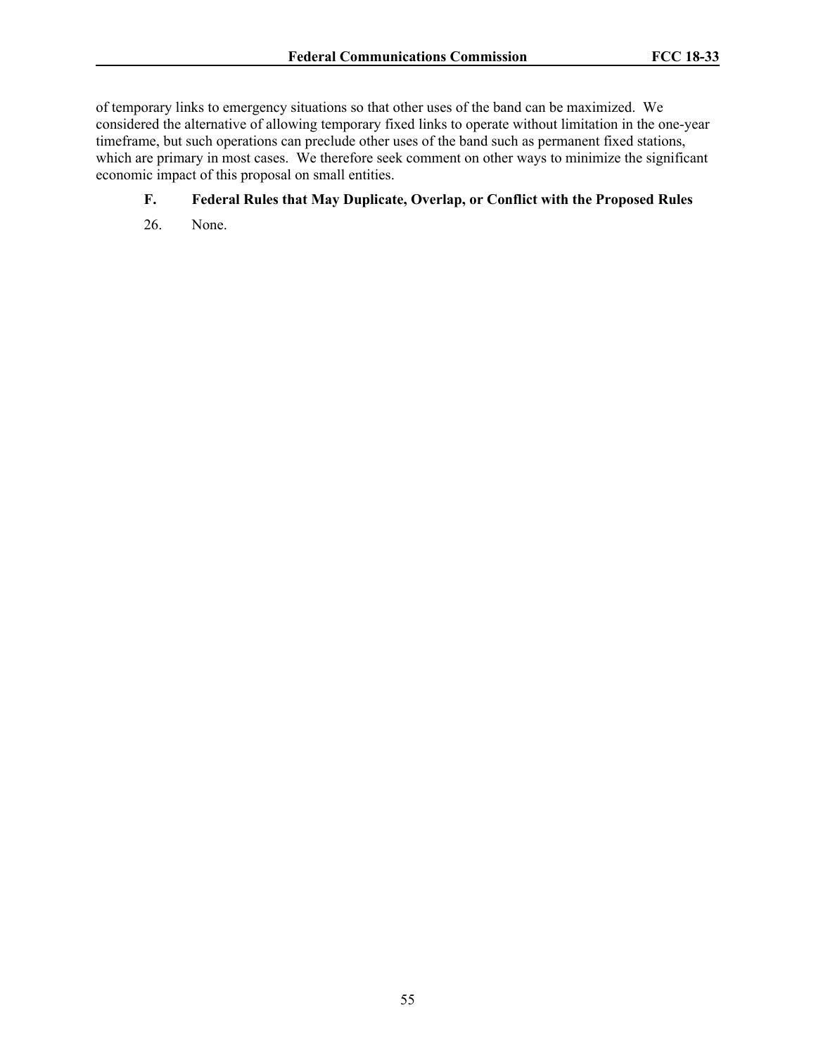of temporary links to emergency situations so that other uses of the band can be maximized. We considered the alternative of allowing temporary fixed links to operate without limitation in the one-year timeframe, but such operations can preclude other uses of the band such as permanent fixed stations, which are primary in most cases. We therefore seek comment on other ways to minimize the significant economic impact of this proposal on small entities.

# **F. Federal Rules that May Duplicate, Overlap, or Conflict with the Proposed Rules**

26. None.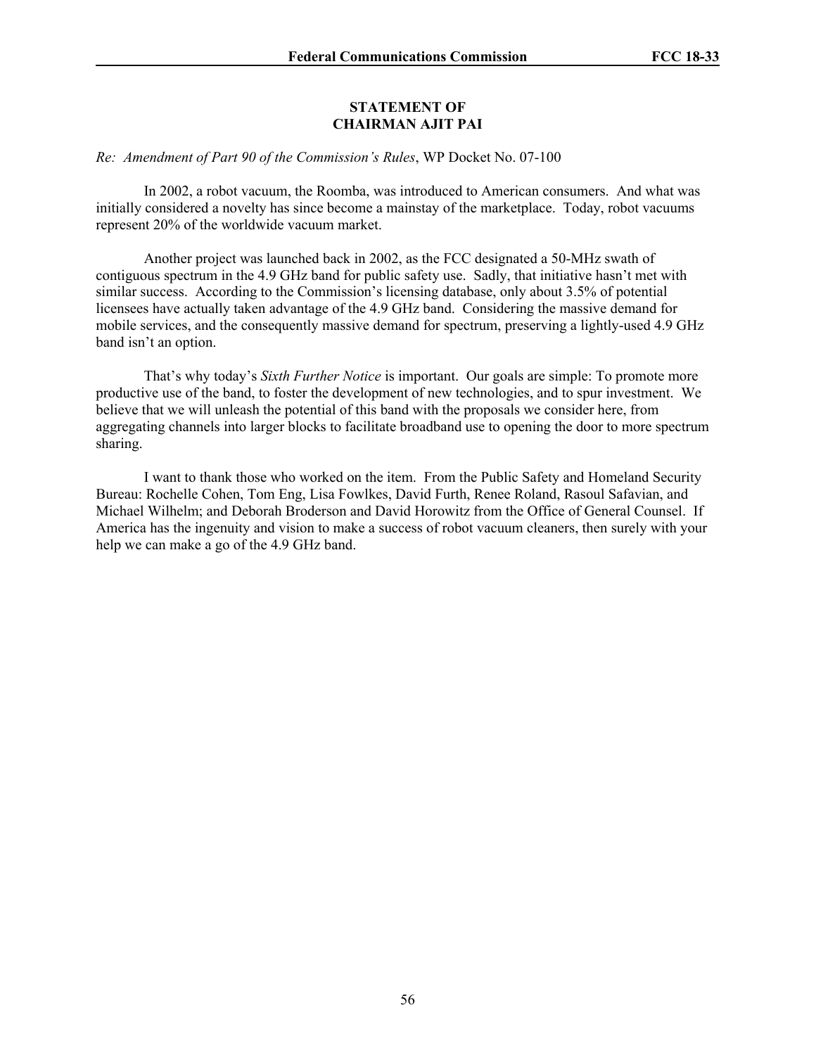# **STATEMENT OF CHAIRMAN AJIT PAI**

## *Re: Amendment of Part 90 of the Commission's Rules*, WP Docket No. 07-100

In 2002, a robot vacuum, the Roomba, was introduced to American consumers. And what was initially considered a novelty has since become a mainstay of the marketplace. Today, robot vacuums represent 20% of the worldwide vacuum market.

Another project was launched back in 2002, as the FCC designated a 50-MHz swath of contiguous spectrum in the 4.9 GHz band for public safety use. Sadly, that initiative hasn't met with similar success. According to the Commission's licensing database, only about 3.5% of potential licensees have actually taken advantage of the 4.9 GHz band. Considering the massive demand for mobile services, and the consequently massive demand for spectrum, preserving a lightly-used 4.9 GHz band isn't an option.

That's why today's *Sixth Further Notice* is important. Our goals are simple: To promote more productive use of the band, to foster the development of new technologies, and to spur investment. We believe that we will unleash the potential of this band with the proposals we consider here, from aggregating channels into larger blocks to facilitate broadband use to opening the door to more spectrum sharing.

I want to thank those who worked on the item. From the Public Safety and Homeland Security Bureau: Rochelle Cohen, Tom Eng, Lisa Fowlkes, David Furth, Renee Roland, Rasoul Safavian, and Michael Wilhelm; and Deborah Broderson and David Horowitz from the Office of General Counsel. If America has the ingenuity and vision to make a success of robot vacuum cleaners, then surely with your help we can make a go of the 4.9 GHz band.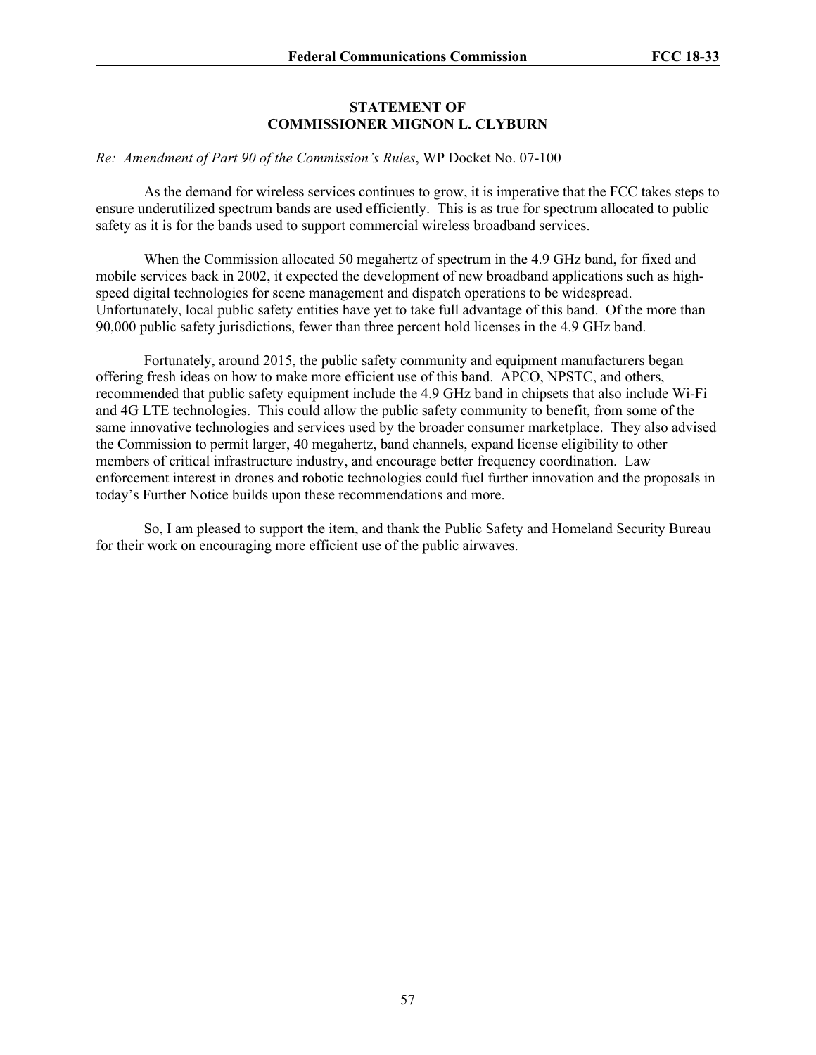# **STATEMENT OF COMMISSIONER MIGNON L. CLYBURN**

#### *Re: Amendment of Part 90 of the Commission's Rules*, WP Docket No. 07-100

As the demand for wireless services continues to grow, it is imperative that the FCC takes steps to ensure underutilized spectrum bands are used efficiently. This is as true for spectrum allocated to public safety as it is for the bands used to support commercial wireless broadband services.

When the Commission allocated 50 megahertz of spectrum in the 4.9 GHz band, for fixed and mobile services back in 2002, it expected the development of new broadband applications such as highspeed digital technologies for scene management and dispatch operations to be widespread. Unfortunately, local public safety entities have yet to take full advantage of this band. Of the more than 90,000 public safety jurisdictions, fewer than three percent hold licenses in the 4.9 GHz band.

Fortunately, around 2015, the public safety community and equipment manufacturers began offering fresh ideas on how to make more efficient use of this band. APCO, NPSTC, and others, recommended that public safety equipment include the 4.9 GHz band in chipsets that also include Wi-Fi and 4G LTE technologies. This could allow the public safety community to benefit, from some of the same innovative technologies and services used by the broader consumer marketplace. They also advised the Commission to permit larger, 40 megahertz, band channels, expand license eligibility to other members of critical infrastructure industry, and encourage better frequency coordination. Law enforcement interest in drones and robotic technologies could fuel further innovation and the proposals in today's Further Notice builds upon these recommendations and more.

So, I am pleased to support the item, and thank the Public Safety and Homeland Security Bureau for their work on encouraging more efficient use of the public airwaves.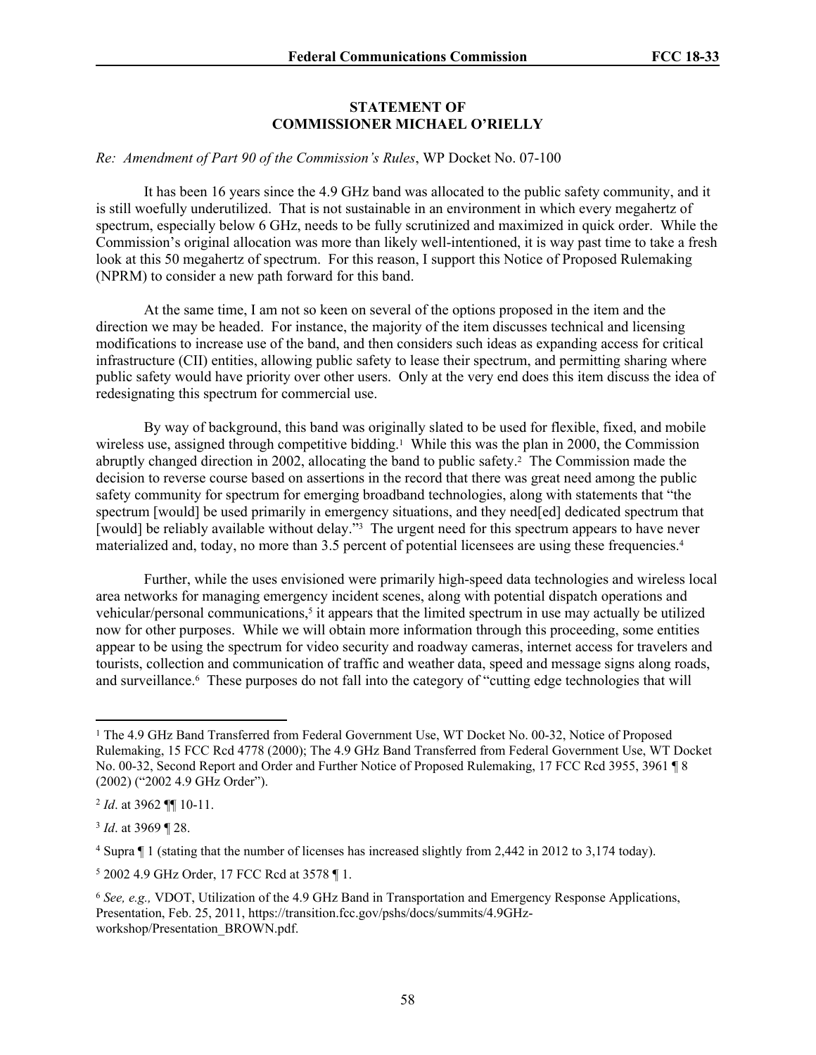# **STATEMENT OF COMMISSIONER MICHAEL O'RIELLY**

## *Re: Amendment of Part 90 of the Commission's Rules*, WP Docket No. 07-100

It has been 16 years since the 4.9 GHz band was allocated to the public safety community, and it is still woefully underutilized. That is not sustainable in an environment in which every megahertz of spectrum, especially below 6 GHz, needs to be fully scrutinized and maximized in quick order. While the Commission's original allocation was more than likely well-intentioned, it is way past time to take a fresh look at this 50 megahertz of spectrum. For this reason, I support this Notice of Proposed Rulemaking (NPRM) to consider a new path forward for this band.

At the same time, I am not so keen on several of the options proposed in the item and the direction we may be headed. For instance, the majority of the item discusses technical and licensing modifications to increase use of the band, and then considers such ideas as expanding access for critical infrastructure (CII) entities, allowing public safety to lease their spectrum, and permitting sharing where public safety would have priority over other users. Only at the very end does this item discuss the idea of redesignating this spectrum for commercial use.

By way of background, this band was originally slated to be used for flexible, fixed, and mobile wireless use, assigned through competitive bidding.<sup>1</sup> While this was the plan in 2000, the Commission abruptly changed direction in 2002, allocating the band to public safety.<sup>2</sup> The Commission made the decision to reverse course based on assertions in the record that there was great need among the public safety community for spectrum for emerging broadband technologies, along with statements that "the spectrum [would] be used primarily in emergency situations, and they need[ed] dedicated spectrum that [would] be reliably available without delay."<sup>3</sup> The urgent need for this spectrum appears to have never materialized and, today, no more than 3.5 percent of potential licensees are using these frequencies.<sup>4</sup>

Further, while the uses envisioned were primarily high-speed data technologies and wireless local area networks for managing emergency incident scenes, along with potential dispatch operations and vehicular/personal communications,<sup>5</sup> it appears that the limited spectrum in use may actually be utilized now for other purposes. While we will obtain more information through this proceeding, some entities appear to be using the spectrum for video security and roadway cameras, internet access for travelers and tourists, collection and communication of traffic and weather data, speed and message signs along roads, and surveillance.<sup>6</sup> These purposes do not fall into the category of "cutting edge technologies that will

<sup>&</sup>lt;sup>1</sup> The 4.9 GHz Band Transferred from Federal Government Use, WT Docket No. 00-32, Notice of Proposed Rulemaking, 15 FCC Rcd 4778 (2000); The 4.9 GHz Band Transferred from Federal Government Use, WT Docket No. 00-32, Second Report and Order and Further Notice of Proposed Rulemaking, 17 FCC Rcd 3955, 3961 ¶ 8 (2002) ("2002 4.9 GHz Order").

<sup>2</sup> *Id*. at 3962 ¶¶ 10-11.

<sup>3</sup> *Id*. at 3969 ¶ 28.

<sup>4</sup> Supra ¶ 1 (stating that the number of licenses has increased slightly from 2,442 in 2012 to 3,174 today).

<sup>5</sup> 2002 4.9 GHz Order, 17 FCC Rcd at 3578 ¶ 1.

<sup>6</sup> *See, e.g.,* VDOT, Utilization of the 4.9 GHz Band in Transportation and Emergency Response Applications, Presentation, Feb. 25, 2011, https://transition.fcc.gov/pshs/docs/summits/4.9GHzworkshop/Presentation\_BROWN.pdf.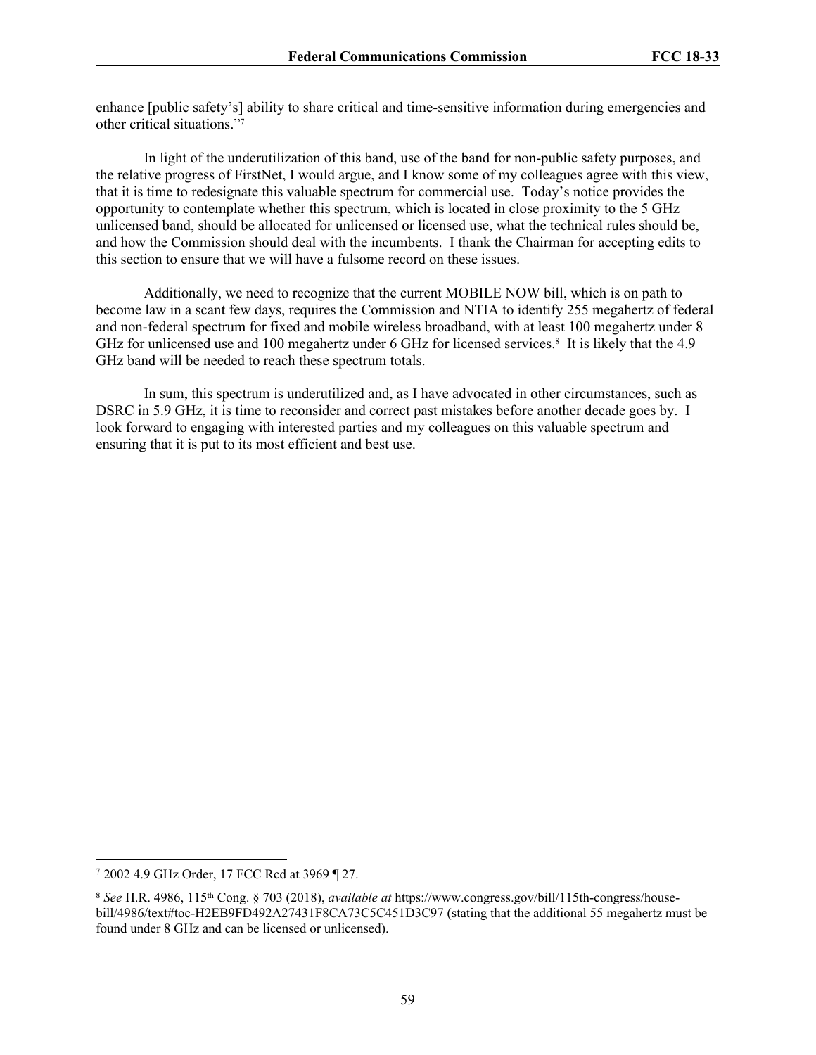enhance [public safety's] ability to share critical and time-sensitive information during emergencies and other critical situations."<sup>7</sup>

In light of the underutilization of this band, use of the band for non-public safety purposes, and the relative progress of FirstNet, I would argue, and I know some of my colleagues agree with this view, that it is time to redesignate this valuable spectrum for commercial use. Today's notice provides the opportunity to contemplate whether this spectrum, which is located in close proximity to the 5 GHz unlicensed band, should be allocated for unlicensed or licensed use, what the technical rules should be, and how the Commission should deal with the incumbents. I thank the Chairman for accepting edits to this section to ensure that we will have a fulsome record on these issues.

Additionally, we need to recognize that the current MOBILE NOW bill, which is on path to become law in a scant few days, requires the Commission and NTIA to identify 255 megahertz of federal and non-federal spectrum for fixed and mobile wireless broadband, with at least 100 megahertz under 8 GHz for unlicensed use and 100 megahertz under 6 GHz for licensed services.<sup>8</sup> It is likely that the 4.9 GHz band will be needed to reach these spectrum totals.

In sum, this spectrum is underutilized and, as I have advocated in other circumstances, such as DSRC in 5.9 GHz, it is time to reconsider and correct past mistakes before another decade goes by. I look forward to engaging with interested parties and my colleagues on this valuable spectrum and ensuring that it is put to its most efficient and best use.

<sup>7</sup> 2002 4.9 GHz Order, 17 FCC Rcd at 3969 ¶ 27.

<sup>8</sup> *See* H.R. 4986, 115th Cong. § 703 (2018), *available at* https://www.congress.gov/bill/115th-congress/housebill/4986/text#toc-H2EB9FD492A27431F8CA73C5C451D3C97 (stating that the additional 55 megahertz must be found under 8 GHz and can be licensed or unlicensed).